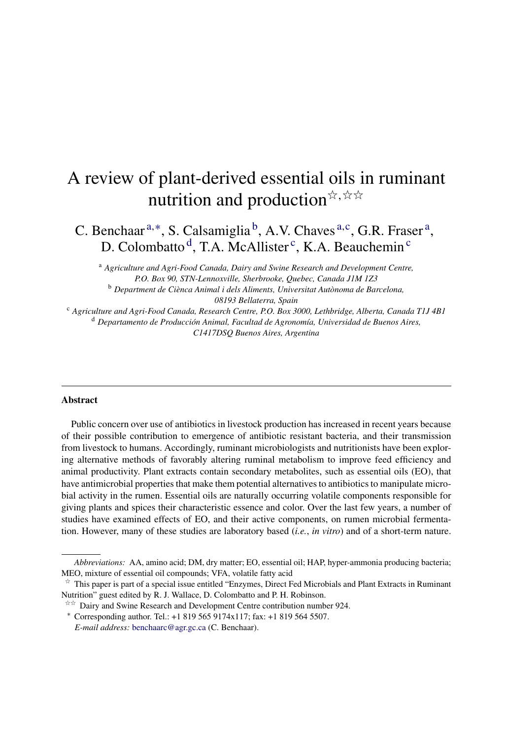# A review of plant-derived essential oils in ruminant nutrition and production  $\forall x, \forall x$

C. Benchaar<sup>a,\*</sup>, S. Calsamiglia<sup>b</sup>, A.V. Chaves<sup>a,c</sup>, G.R. Fraser<sup>a</sup>, D. Colombatto<sup>d</sup>, T.A. McAllister<sup>c</sup>, K.A. Beauchemin<sup>c</sup>

<sup>a</sup> *Agriculture and Agri-Food Canada, Dairy and Swine Research and Development Centre, P.O. Box 90, STN-Lennoxville, Sherbrooke, Quebec, Canada J1M 1Z3*

<sup>b</sup> Department de Ciènca Animal i dels Aliments, Universitat Autònoma de Barcelona,

*08193 Bellaterra, Spain*

<sup>c</sup> *Agriculture and Agri-Food Canada, Research Centre, P.O. Box 3000, Lethbridge, Alberta, Canada T1J 4B1* <sup>d</sup> Departamento de Producción Animal, Facultad de Agronomía, Universidad de Buenos Aires, *C1417DSQ Buenos Aires, Argentina*

#### **Abstract**

Public concern over use of antibiotics in livestock production has increased in recent years because of their possible contribution to emergence of antibiotic resistant bacteria, and their transmission from livestock to humans. Accordingly, ruminant microbiologists and nutritionists have been exploring alternative methods of favorably altering ruminal metabolism to improve feed efficiency and animal productivity. Plant extracts contain secondary metabolites, such as essential oils (EO), that have antimicrobial properties that make them potential alternatives to antibiotics to manipulate microbial activity in the rumen. Essential oils are naturally occurring volatile components responsible for giving plants and spices their characteristic essence and color. Over the last few years, a number of studies have examined effects of EO, and their active components, on rumen microbial fermentation. However, many of these studies are laboratory based (*i.e.*, *in vitro*) and of a short-term nature.

*Abbreviations:* AA, amino acid; DM, dry matter; EO, essential oil; HAP, hyper-ammonia producing bacteria; MEO, mixture of essential oil compounds; VFA, volatile fatty acid

<sup>-</sup> This paper is part of a special issue entitled "Enzymes, Direct Fed Microbials and Plant Extracts in Ruminant Nutrition" guest edited by R. J. Wallace, D. Colombatto and P. H. Robinson.

<sup>\*\*</sup> Dairy and Swine Research and Development Centre contribution number 924.

<sup>∗</sup> Corresponding author. Tel.: +1 819 565 9174x117; fax: +1 819 564 5507.

*E-mail address:* [benchaarc@agr.gc.ca](mailto:benchaarc@agr.gc.ca) (C. Benchaar).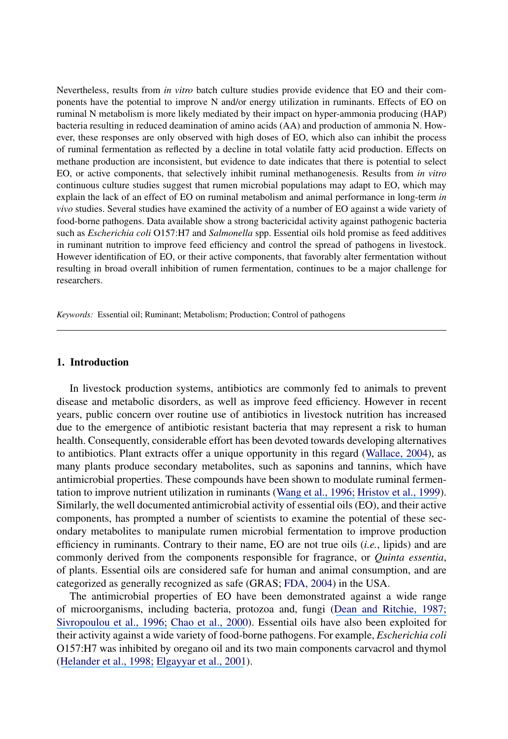Nevertheless, results from *in vitro* batch culture studies provide evidence that EO and their components have the potential to improve N and/or energy utilization in ruminants. Effects of EO on ruminal N metabolism is more likely mediated by their impact on hyper-ammonia producing (HAP) bacteria resulting in reduced deamination of amino acids (AA) and production of ammonia N. However, these responses are only observed with high doses of EO, which also can inhibit the process of ruminal fermentation as reflected by a decline in total volatile fatty acid production. Effects on methane production are inconsistent, but evidence to date indicates that there is potential to select EO, or active components, that selectively inhibit ruminal methanogenesis. Results from *in vitro* continuous culture studies suggest that rumen microbial populations may adapt to EO, which may explain the lack of an effect of EO on ruminal metabolism and animal performance in long-term *in vivo* studies. Several studies have examined the activity of a number of EO against a wide variety of food-borne pathogens. Data available show a strong bactericidal activity against pathogenic bacteria such as *Escherichia coli* O157:H7 and *Salmonella* spp. Essential oils hold promise as feed additives in ruminant nutrition to improve feed efficiency and control the spread of pathogens in livestock. However identification of EO, or their active components, that favorably alter fermentation without resulting in broad overall inhibition of rumen fermentation, continues to be a major challenge for researchers.

*Keywords:* Essential oil; Ruminant; Metabolism; Production; Control of pathogens

## **1. Introduction**

In livestock production systems, antibiotics are commonly fed to animals to prevent disease and metabolic disorders, as well as improve feed efficiency. However in recent years, public concern over routine use of antibiotics in livestock nutrition has increased due to the emergence of antibiotic resistant bacteria that may represent a risk to human health. Consequently, considerable effort has been devoted towards developing alternatives to antibiotics. Plant extracts offer a unique opportunity in this regard [\(](#page-19-0)[Wallace, 200](https://www.researchgate.net/publication/7906246_Antimicrobial_properties_of_plant_secondary_metabolites?el=1_x_8&enrichId=rgreq-c2a975f87c3c0a4ae4f72c568b2909c3-XXX&enrichSource=Y292ZXJQYWdlOzI0ODMzMjkyNjtBUzoxNjMyMTg0Nzk2NTY5NjBAMTQxNTkyNTcyNjMzOQ==)[4\),](#page-19-0) as many plants produce secondary metabolites, such as saponins and tannins, which have antimicrobial properties. These compounds have been shown to modulate ruminal fermentation to improve nutrient utilization in ruminants [\(](#page-19-0)[Wang et al., 1996;](https://www.researchgate.net/publication/231851750_Effect_of_condensed_tannins_upon_the_performance_of_lambs_grazing_Lotus_corniculatus_and_lucern_Medicago_sativa?el=1_x_8&enrichId=rgreq-c2a975f87c3c0a4ae4f72c568b2909c3-XXX&enrichSource=Y292ZXJQYWdlOzI0ODMzMjkyNjtBUzoxNjMyMTg0Nzk2NTY5NjBAMTQxNTkyNTcyNjMzOQ==) [Hristov et al., 199](https://www.researchgate.net/publication/12808694_Effect_of_Yucca_Schidigera_on_ruminal_fermentation_and_nutrient_digestion_in_heifers?el=1_x_8&enrichId=rgreq-c2a975f87c3c0a4ae4f72c568b2909c3-XXX&enrichSource=Y292ZXJQYWdlOzI0ODMzMjkyNjtBUzoxNjMyMTg0Nzk2NTY5NjBAMTQxNTkyNTcyNjMzOQ==)[9\).](#page-19-0) Similarly, the well documented antimicrobial activity of essential oils (EO), and their active components, has prompted a number of scientists to examine the potential of these secondary metabolites to manipulate rumen microbial fermentation to improve production efficiency in ruminants. Contrary to their name, EO are not true oils (*i.e.*, lipids) and are commonly derived from the components responsible for fragrance, or *Quinta essentia*, of plants. Essential oils are considered safe for human and animal consumption, and are categorized as generally recognized as safe (GRAS; [FDA, 2004\)](#page-16-0) in the USA.

The antimicrobial properties of EO have been demonstrated against a wide range of microorganisms, including bacteria, protozoa and, fungi [\(D](#page-16-0)[ean and Ritchie, 1987;](https://www.researchgate.net/publication/222873503_Antibacterial_Properties_of_Plant_Essential_oils?el=1_x_8&enrichId=rgreq-c2a975f87c3c0a4ae4f72c568b2909c3-XXX&enrichSource=Y292ZXJQYWdlOzI0ODMzMjkyNjtBUzoxNjMyMTg0Nzk2NTY5NjBAMTQxNTkyNTcyNjMzOQ==) [Sivropoulou et al., 1996;](https://www.researchgate.net/publication/231554524_Antimicrobial_and_Cytotoxic_Activities_of_Origanum_Essential_Oils?el=1_x_8&enrichId=rgreq-c2a975f87c3c0a4ae4f72c568b2909c3-XXX&enrichSource=Y292ZXJQYWdlOzI0ODMzMjkyNjtBUzoxNjMyMTg0Nzk2NTY5NjBAMTQxNTkyNTcyNjMzOQ==) [Chao et al., 200](https://www.researchgate.net/publication/254246707_Screening_for_Inhibitory_Activity_of_Essential_Oils_on_Selected_Bacteria_Fungi_and_Viruses?el=1_x_8&enrichId=rgreq-c2a975f87c3c0a4ae4f72c568b2909c3-XXX&enrichSource=Y292ZXJQYWdlOzI0ODMzMjkyNjtBUzoxNjMyMTg0Nzk2NTY5NjBAMTQxNTkyNTcyNjMzOQ==)[0\).](#page-16-0) Essential oils have also been exploited for their activity against a wide variety of food-borne pathogens. For example, *Escherichia coli* O157:H7 was inhibited by oregano oil and its two main components carvacrol and thymol [\(](#page-17-0)[Helander et al., 1998;](https://www.researchgate.net/publication/40153105_Characterization_of_the_Action_of_Selected_Essential_Oil_Components_on_Gram-Negative_Bacteria?el=1_x_8&enrichId=rgreq-c2a975f87c3c0a4ae4f72c568b2909c3-XXX&enrichSource=Y292ZXJQYWdlOzI0ODMzMjkyNjtBUzoxNjMyMTg0Nzk2NTY5NjBAMTQxNTkyNTcyNjMzOQ==) [Elgayyar et al., 200](https://www.researchgate.net/publication/11886060_Antimicrobial_Activity_of_Essential_Oils_from_Plants_against_Selected_Pathogenic_and_Saprophytic_Microorganisms?el=1_x_8&enrichId=rgreq-c2a975f87c3c0a4ae4f72c568b2909c3-XXX&enrichSource=Y292ZXJQYWdlOzI0ODMzMjkyNjtBUzoxNjMyMTg0Nzk2NTY5NjBAMTQxNTkyNTcyNjMzOQ==)[1\).](#page-17-0)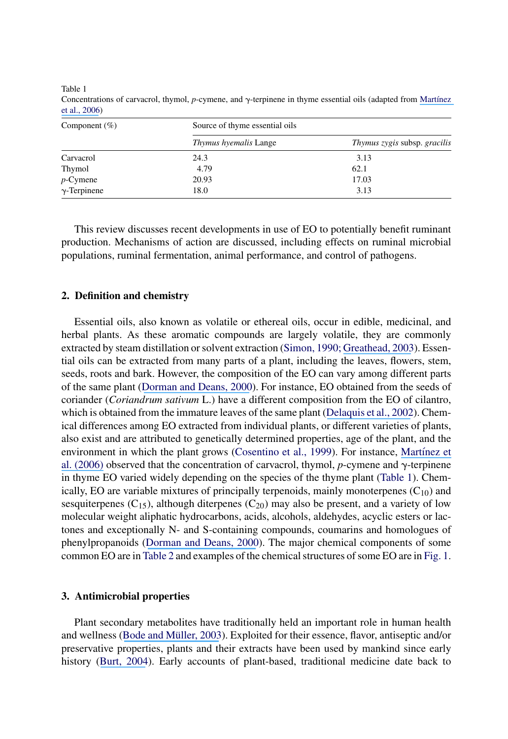| Component $(\% )$   | Source of thyme essential oils |                              |  |
|---------------------|--------------------------------|------------------------------|--|
|                     | <i>Thymus hyemalis</i> Lange   | Thymus zygis subsp. gracilis |  |
| Carvacrol           | 24.3                           | 3.13                         |  |
| Thymol              | 4.79                           | 62.1                         |  |
| $p$ -Cymene         | 20.93                          | 17.03                        |  |
| $\gamma$ -Terpinene | 18.0                           | 3.13                         |  |

Concentrations of carvacrol, thymol, *p*-cymene, and  $\gamma$ -terpinene in thyme essential oils (adapted from Martínez [et al., 2006](https://www.researchgate.net/publication/6850020_Effect_of_Thyme_Essential_Oils_Thymus_hyemalis_and_Thymus_zygis_and_Monensin_on_in_Vitro_Ruminal_Degradation_and_Volatile_Fatty_Acid_Production?el=1_x_8&enrichId=rgreq-c2a975f87c3c0a4ae4f72c568b2909c3-XXX&enrichSource=Y292ZXJQYWdlOzI0ODMzMjkyNjtBUzoxNjMyMTg0Nzk2NTY5NjBAMTQxNTkyNTcyNjMzOQ==)[\)](#page-17-0)

This review discusses recent developments in use of EO to potentially benefit ruminant production. Mechanisms of action are discussed, including effects on ruminal microbial populations, ruminal fermentation, animal performance, and control of pathogens.

#### **2. Definition and chemistry**

Table 1

Essential oils, also known as volatile or ethereal oils, occur in edible, medicinal, and herbal plants. As these aromatic compounds are largely volatile, they are commonly extracted by steam distillation or solvent extraction [\(Simon, 1990;](#page-18-0) [Greathead, 200](https://www.researchgate.net/publication/9082593_Plants_and_plant_extracts_for_improving_animal_productivity?el=1_x_8&enrichId=rgreq-c2a975f87c3c0a4ae4f72c568b2909c3-XXX&enrichSource=Y292ZXJQYWdlOzI0ODMzMjkyNjtBUzoxNjMyMTg0Nzk2NTY5NjBAMTQxNTkyNTcyNjMzOQ==)[3\).](#page-18-0) Essential oils can be extracted from many parts of a plant, including the leaves, flowers, stem, seeds, roots and bark. However, the composition of the EO can vary among different parts of the same plant [\(](#page-16-0)[Dorman and Deans, 200](https://www.researchgate.net/publication/12580253_Antimicrobial_agents_from_plants_Antibacterial_activity_of_plant_volatile_oils?el=1_x_8&enrichId=rgreq-c2a975f87c3c0a4ae4f72c568b2909c3-XXX&enrichSource=Y292ZXJQYWdlOzI0ODMzMjkyNjtBUzoxNjMyMTg0Nzk2NTY5NjBAMTQxNTkyNTcyNjMzOQ==)[0\).](#page-16-0) For instance, EO obtained from the seeds of coriander (*Coriandrum sativum* L.) have a different composition from the EO of cilantro, which is obtained from the immature leaves of the same plant [\(](#page-16-0)[Delaquis et al., 200](https://www.researchgate.net/publication/11436644_Antimicrobial_activity_of_individual_and_mixed_fractions_of_Dill_Cilantro_Coriander_and_Eucalyptus_essential_oils?el=1_x_8&enrichId=rgreq-c2a975f87c3c0a4ae4f72c568b2909c3-XXX&enrichSource=Y292ZXJQYWdlOzI0ODMzMjkyNjtBUzoxNjMyMTg0Nzk2NTY5NjBAMTQxNTkyNTcyNjMzOQ==)[2\).](#page-16-0) Chemical differences among EO extracted from individual plants, or different varieties of plants, also exist and are attributed to genetically determined properties, age of the plant, and the environment in which the plant grows [\(Cosentino et al., 1999\).](#page-16-0) For instance, Martínez et al.  $(2006)$  observed that the concentration of carvacrol, thymol, *p*-cymene and  $\gamma$ -terpinene in thyme EO varied widely depending on the species of the thyme plant (Table 1). Chemically, EO are variable mixtures of principally terpenoids, mainly monoterpenes  $(C_{10})$  and sesquiterpenes  $(C_{15})$ , although diterpenes  $(C_{20})$  may also be present, and a variety of low molecular weight aliphatic hydrocarbons, acids, alcohols, aldehydes, acyclic esters or lactones and exceptionally N- and S-containing compounds, coumarins and homologues of phenylpropanoids [\(D](#page-16-0)[orman and Deans, 200](https://www.researchgate.net/publication/12580253_Antimicrobial_agents_from_plants_Antibacterial_activity_of_plant_volatile_oils?el=1_x_8&enrichId=rgreq-c2a975f87c3c0a4ae4f72c568b2909c3-XXX&enrichSource=Y292ZXJQYWdlOzI0ODMzMjkyNjtBUzoxNjMyMTg0Nzk2NTY5NjBAMTQxNTkyNTcyNjMzOQ==)[0\).](#page-16-0) The major chemical components of some common EO are in [Table 2](#page-3-0) and examples of the chemical structures of some EO are in [Fig. 1.](#page-4-0)

#### **3. Antimicrobial properties**

Plant secondary metabolites have traditionally held an important role in human health and wellness (Bode and Müller, 200[3](#page-15-0)). Exploited for their essence, flavor, antiseptic and/or preservative properties, plants and their extracts have been used by mankind since early history ([Burt, 200](https://www.researchgate.net/publication/8463493_Essential_oils_Their_antibacterial_properties_and_potential_applications_in_foods-A_review_International_Journal_of_Food_Microbiology_943_223-253?el=1_x_8&enrichId=rgreq-c2a975f87c3c0a4ae4f72c568b2909c3-XXX&enrichSource=Y292ZXJQYWdlOzI0ODMzMjkyNjtBUzoxNjMyMTg0Nzk2NTY5NjBAMTQxNTkyNTcyNjMzOQ==)[4\).](#page-16-0) Early accounts of plant-based, traditional medicine date back to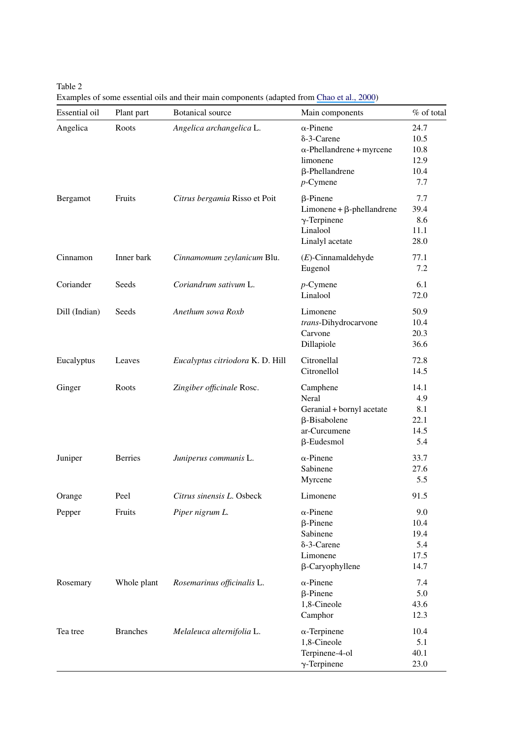<span id="page-3-0"></span>Table 2

Examples of some essential oils and their main components (adapted from [Chao et al., 2000](https://www.researchgate.net/publication/254246707_Screening_for_Inhibitory_Activity_of_Essential_Oils_on_Selected_Bacteria_Fungi_and_Viruses?el=1_x_8&enrichId=rgreq-c2a975f87c3c0a4ae4f72c568b2909c3-XXX&enrichSource=Y292ZXJQYWdlOzI0ODMzMjkyNjtBUzoxNjMyMTg0Nzk2NTY5NjBAMTQxNTkyNTcyNjMzOQ==)[\)](#page-16-0)

| Essential oil | Plant part      | <b>Botanical</b> source          | Main components                                                                                                 | % of total                                  |
|---------------|-----------------|----------------------------------|-----------------------------------------------------------------------------------------------------------------|---------------------------------------------|
| Angelica      | Roots           | Angelica archangelica L.         | $\alpha$ -Pinene<br>δ-3-Carene<br>$\alpha$ -Phellandrene + myrcene<br>limonene<br>β-Phellandrene<br>$p$ -Cymene | 24.7<br>10.5<br>10.8<br>12.9<br>10.4<br>7.7 |
| Bergamot      | Fruits          | Citrus bergamia Risso et Poit    | $\beta$ -Pinene<br>Limonene + $\beta$ -phellandrene<br>$\gamma$ -Terpinene<br>Linalool<br>Linalyl acetate       | 7.7<br>39.4<br>8.6<br>11.1<br>28.0          |
| Cinnamon      | Inner bark      | Cinnamomum zeylanicum Blu.       | $(E)$ -Cinnamaldehyde<br>Eugenol                                                                                | 77.1<br>7.2                                 |
| Coriander     | Seeds           | Coriandrum sativum L.            | $p$ -Cymene<br>Linalool                                                                                         | 6.1<br>72.0                                 |
| Dill (Indian) | Seeds           | Anethum sowa Roxb                | Limonene<br>trans-Dihydrocarvone<br>Carvone<br>Dillapiole                                                       | 50.9<br>10.4<br>20.3<br>36.6                |
| Eucalyptus    | Leaves          | Eucalyptus citriodora K. D. Hill | Citronellal<br>Citronellol                                                                                      | 72.8<br>14.5                                |
| Ginger        | Roots           | Zingiber officinale Rosc.        | Camphene<br>Neral<br>Geranial + bornyl acetate<br>β-Bisabolene<br>ar-Curcumene<br><b>B-Eudesmol</b>             | 14.1<br>4.9<br>8.1<br>22.1<br>14.5<br>5.4   |
| Juniper       | <b>Berries</b>  | Juniperus communis L.            | $\alpha$ -Pinene<br>Sabinene<br>Myrcene                                                                         | 33.7<br>27.6<br>5.5                         |
| Orange        | Peel            | Citrus sinensis L. Osbeck        | Limonene                                                                                                        | 91.5                                        |
| Pepper        | Fruits          | Piper nigrum L.                  | $\alpha$ -Pinene<br><b>B-Pinene</b><br>Sabinene<br>δ-3-Carene<br>Limonene<br>β-Caryophyllene                    | 9.0<br>10.4<br>19.4<br>5.4<br>17.5<br>14.7  |
| Rosemary      | Whole plant     | Rosemarinus officinalis L.       | $\alpha$ -Pinene<br>$\beta$ -Pinene<br>1,8-Cineole<br>Camphor                                                   | 7.4<br>5.0<br>43.6<br>12.3                  |
| Tea tree      | <b>Branches</b> | Melaleuca alternifolia L.        | $\alpha$ -Terpinene<br>1,8-Cineole<br>Terpinene-4-ol<br>$\gamma$ -Terpinene                                     | 10.4<br>5.1<br>40.1<br>23.0                 |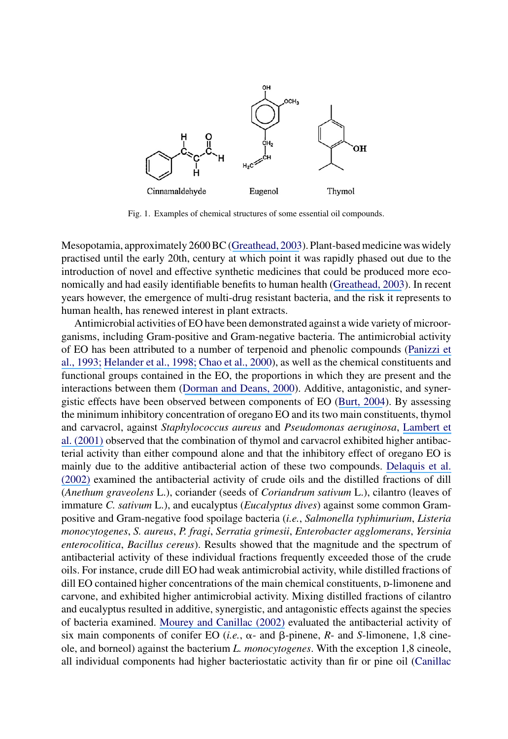<span id="page-4-0"></span>

Fig. 1. Examples of chemical structures of some essential oil compounds.

Mesopotamia, approximately 2600 BC [\(](#page-17-0)[Greathead, 200](https://www.researchgate.net/publication/9082593_Plants_and_plant_extracts_for_improving_animal_productivity?el=1_x_8&enrichId=rgreq-c2a975f87c3c0a4ae4f72c568b2909c3-XXX&enrichSource=Y292ZXJQYWdlOzI0ODMzMjkyNjtBUzoxNjMyMTg0Nzk2NTY5NjBAMTQxNTkyNTcyNjMzOQ==)[3\).](#page-17-0) Plant-based medicine was widely practised until the early 20th, century at which point it was rapidly phased out due to the introduction of novel and effective synthetic medicines that could be produced more economically and had easily identifiable benefits to human health ([Greathead, 200](https://www.researchgate.net/publication/9082593_Plants_and_plant_extracts_for_improving_animal_productivity?el=1_x_8&enrichId=rgreq-c2a975f87c3c0a4ae4f72c568b2909c3-XXX&enrichSource=Y292ZXJQYWdlOzI0ODMzMjkyNjtBUzoxNjMyMTg0Nzk2NTY5NjBAMTQxNTkyNTcyNjMzOQ==)[3\).](#page-17-0) In recent years however, the emergence of multi-drug resistant bacteria, and the risk it represents to human health, has renewed interest in plant extracts.

Antimicrobial activities of EO have been demonstrated against a wide variety of microorganisms, including Gram-positive and Gram-negative bacteria. The antimicrobial activity of EO has been attributed to a number of terpenoid and phenolic compounds ([Panizzi et](https://www.researchgate.net/publication/14940266_Composition_and_antimicrobial_activity_of_essential_oils_of_four_Mediterranean_Lamiaceae?el=1_x_8&enrichId=rgreq-c2a975f87c3c0a4ae4f72c568b2909c3-XXX&enrichSource=Y292ZXJQYWdlOzI0ODMzMjkyNjtBUzoxNjMyMTg0Nzk2NTY5NjBAMTQxNTkyNTcyNjMzOQ==) [al., 1993;](https://www.researchgate.net/publication/14940266_Composition_and_antimicrobial_activity_of_essential_oils_of_four_Mediterranean_Lamiaceae?el=1_x_8&enrichId=rgreq-c2a975f87c3c0a4ae4f72c568b2909c3-XXX&enrichSource=Y292ZXJQYWdlOzI0ODMzMjkyNjtBUzoxNjMyMTg0Nzk2NTY5NjBAMTQxNTkyNTcyNjMzOQ==) [Helander et al., 1998;](https://www.researchgate.net/publication/40153105_Characterization_of_the_Action_of_Selected_Essential_Oil_Components_on_Gram-Negative_Bacteria?el=1_x_8&enrichId=rgreq-c2a975f87c3c0a4ae4f72c568b2909c3-XXX&enrichSource=Y292ZXJQYWdlOzI0ODMzMjkyNjtBUzoxNjMyMTg0Nzk2NTY5NjBAMTQxNTkyNTcyNjMzOQ==) [Chao et al., 200](https://www.researchgate.net/publication/254246707_Screening_for_Inhibitory_Activity_of_Essential_Oils_on_Selected_Bacteria_Fungi_and_Viruses?el=1_x_8&enrichId=rgreq-c2a975f87c3c0a4ae4f72c568b2909c3-XXX&enrichSource=Y292ZXJQYWdlOzI0ODMzMjkyNjtBUzoxNjMyMTg0Nzk2NTY5NjBAMTQxNTkyNTcyNjMzOQ==)[0\),](#page-18-0) as well as the chemical constituents and functional groups contained in the EO, the proportions in which they are present and the interactions between them [\(D](#page-16-0)[orman and Deans, 200](https://www.researchgate.net/publication/12580253_Antimicrobial_agents_from_plants_Antibacterial_activity_of_plant_volatile_oils?el=1_x_8&enrichId=rgreq-c2a975f87c3c0a4ae4f72c568b2909c3-XXX&enrichSource=Y292ZXJQYWdlOzI0ODMzMjkyNjtBUzoxNjMyMTg0Nzk2NTY5NjBAMTQxNTkyNTcyNjMzOQ==)[0\).](#page-16-0) Additive, antagonistic, and synergistic effects have been observed between components of EO [\(](#page-16-0)[Burt, 200](https://www.researchgate.net/publication/8463493_Essential_oils_Their_antibacterial_properties_and_potential_applications_in_foods-A_review_International_Journal_of_Food_Microbiology_943_223-253?el=1_x_8&enrichId=rgreq-c2a975f87c3c0a4ae4f72c568b2909c3-XXX&enrichSource=Y292ZXJQYWdlOzI0ODMzMjkyNjtBUzoxNjMyMTg0Nzk2NTY5NjBAMTQxNTkyNTcyNjMzOQ==)[4\).](#page-16-0) By assessing the minimum inhibitory concentration of oregano EO and its two main constituents, thymol and carvacrol, against *Staphylococcus aureus* and *Pseudomonas aeruginosa*, [Lambert et](https://www.researchgate.net/publication/11790795_A_study_of_the_Minimum_Inhibitory_Concentration_and_mode_of_action_of_Oregano_Essential_Oil_Thymol_and_Carvacrol?el=1_x_8&enrichId=rgreq-c2a975f87c3c0a4ae4f72c568b2909c3-XXX&enrichSource=Y292ZXJQYWdlOzI0ODMzMjkyNjtBUzoxNjMyMTg0Nzk2NTY5NjBAMTQxNTkyNTcyNjMzOQ==) [al. \(2001\)](https://www.researchgate.net/publication/11790795_A_study_of_the_Minimum_Inhibitory_Concentration_and_mode_of_action_of_Oregano_Essential_Oil_Thymol_and_Carvacrol?el=1_x_8&enrichId=rgreq-c2a975f87c3c0a4ae4f72c568b2909c3-XXX&enrichSource=Y292ZXJQYWdlOzI0ODMzMjkyNjtBUzoxNjMyMTg0Nzk2NTY5NjBAMTQxNTkyNTcyNjMzOQ==) observed that the combination of thymol and carvacrol exhibited higher antibacterial activity than either compound alone and that the inhibitory effect of oregano EO is mainly due to the additive antibacterial action of these two compounds. [Delaquis et al.](https://www.researchgate.net/publication/11436644_Antimicrobial_activity_of_individual_and_mixed_fractions_of_Dill_Cilantro_Coriander_and_Eucalyptus_essential_oils?el=1_x_8&enrichId=rgreq-c2a975f87c3c0a4ae4f72c568b2909c3-XXX&enrichSource=Y292ZXJQYWdlOzI0ODMzMjkyNjtBUzoxNjMyMTg0Nzk2NTY5NjBAMTQxNTkyNTcyNjMzOQ==) [\(2002\)](https://www.researchgate.net/publication/11436644_Antimicrobial_activity_of_individual_and_mixed_fractions_of_Dill_Cilantro_Coriander_and_Eucalyptus_essential_oils?el=1_x_8&enrichId=rgreq-c2a975f87c3c0a4ae4f72c568b2909c3-XXX&enrichSource=Y292ZXJQYWdlOzI0ODMzMjkyNjtBUzoxNjMyMTg0Nzk2NTY5NjBAMTQxNTkyNTcyNjMzOQ==) examined the antibacterial activity of crude oils and the distilled fractions of dill (*Anethum graveolens* L.), coriander (seeds of *Coriandrum sativum* L.), cilantro (leaves of immature *C. sativum* L.), and eucalyptus (*Eucalyptus dives*) against some common Grampositive and Gram-negative food spoilage bacteria (*i.e.*, *Salmonella typhimurium*, *Listeria monocytogenes*, *S. aureus*, *P. fragi*, *Serratia grimesii*, *Enterobacter agglomerans*, *Yersinia enterocolitica*, *Bacillus cereus*). Results showed that the magnitude and the spectrum of antibacterial activity of these individual fractions frequently exceeded those of the crude oils. For instance, crude dill EO had weak antimicrobial activity, while distilled fractions of dill EO contained higher concentrations of the main chemical constituents, p-limonene and carvone, and exhibited higher antimicrobial activity. Mixing distilled fractions of cilantro and eucalyptus resulted in additive, synergistic, and antagonistic effects against the species of bacteria examined. [Mourey and Canillac \(2002\)](https://www.researchgate.net/publication/222221215_Anti-Listeria_monocytogenes_activity_of_essential_oils_components_of_conifers?el=1_x_8&enrichId=rgreq-c2a975f87c3c0a4ae4f72c568b2909c3-XXX&enrichSource=Y292ZXJQYWdlOzI0ODMzMjkyNjtBUzoxNjMyMTg0Nzk2NTY5NjBAMTQxNTkyNTcyNjMzOQ==) evaluated the antibacterial activity of six main components of conifer EO (*i.e.*,  $\alpha$ - and  $\beta$ -pinene,  $R$ - and *S*-limonene, 1,8 cineole, and borneol) against the bacterium *L. monocytogenes*. With the exception 1,8 cineole, all individual components had higher bacteriostatic activity than fir or pine oil ([Canillac](#page-16-0)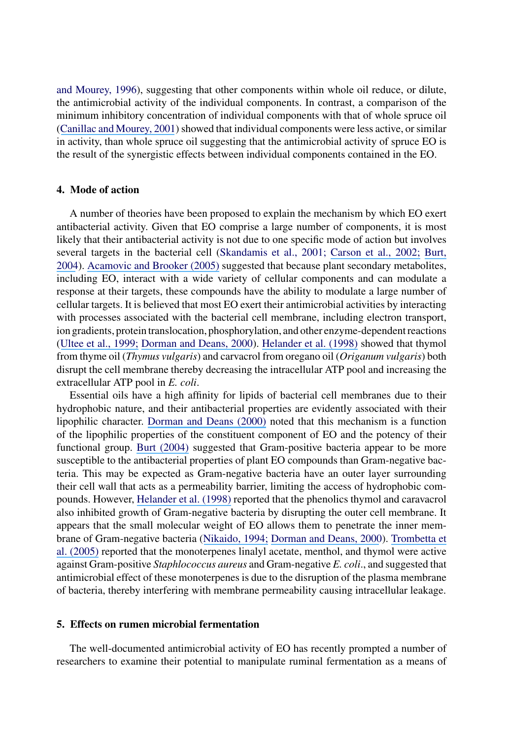[and Mourey, 1996\),](#page-16-0) suggesting that other components within whole oil reduce, or dilute, the antimicrobial activity of the individual components. In contrast, a comparison of the minimum inhibitory concentration of individual components with that of whole spruce oil [\(](#page-16-0)[Canillac and Mourey, 200](https://www.researchgate.net/publication/248565099_Antibacterial_activity_of_the_essential_oil_of_Picea_excelsa_on_Listeria_Staphylococcus_aureus_and_coliform_bacteria?el=1_x_8&enrichId=rgreq-c2a975f87c3c0a4ae4f72c568b2909c3-XXX&enrichSource=Y292ZXJQYWdlOzI0ODMzMjkyNjtBUzoxNjMyMTg0Nzk2NTY5NjBAMTQxNTkyNTcyNjMzOQ==)[1\) s](#page-16-0)howed that individual components were less active, or similar in activity, than whole spruce oil suggesting that the antimicrobial activity of spruce EO is the result of the synergistic effects between individual components contained in the EO.

## **4. Mode of action**

A number of theories have been proposed to explain the mechanism by which EO exert antibacterial activity. Given that EO comprise a large number of components, it is most likely that their antibacterial activity is not due to one specific mode of action but involves several targets in the bacterial cell [\(Skandamis et al., 2001;](#page-18-0) [Carson et al., 2002;](https://www.researchgate.net/publication/11352910_Mechanism_of_Action_of_Melaleuca_alternifolia_Tea_Tree_Oil_on_Staphylococcus_aureus_Determined_by_Time-Kill_Lysis_Leakage_and_Salt_Tolerance_Assays_and_Electron_Microscopy?el=1_x_8&enrichId=rgreq-c2a975f87c3c0a4ae4f72c568b2909c3-XXX&enrichSource=Y292ZXJQYWdlOzI0ODMzMjkyNjtBUzoxNjMyMTg0Nzk2NTY5NjBAMTQxNTkyNTcyNjMzOQ==) [Burt,](https://www.researchgate.net/publication/8463493_Essential_oils_Their_antibacterial_properties_and_potential_applications_in_foods-A_review_International_Journal_of_Food_Microbiology_943_223-253?el=1_x_8&enrichId=rgreq-c2a975f87c3c0a4ae4f72c568b2909c3-XXX&enrichSource=Y292ZXJQYWdlOzI0ODMzMjkyNjtBUzoxNjMyMTg0Nzk2NTY5NjBAMTQxNTkyNTcyNjMzOQ==) [200](https://www.researchgate.net/publication/8463493_Essential_oils_Their_antibacterial_properties_and_potential_applications_in_foods-A_review_International_Journal_of_Food_Microbiology_943_223-253?el=1_x_8&enrichId=rgreq-c2a975f87c3c0a4ae4f72c568b2909c3-XXX&enrichSource=Y292ZXJQYWdlOzI0ODMzMjkyNjtBUzoxNjMyMTg0Nzk2NTY5NjBAMTQxNTkyNTcyNjMzOQ==)[4\).](#page-18-0) [Acamovic and Brooker \(2005\)](https://www.researchgate.net/publication/7696394_Symposium_on_plants_as_animal_foods_a_case_of_catch_22_Biochemistry_of_plant_secondary_metabolites_and_their_effects_in_animals?el=1_x_8&enrichId=rgreq-c2a975f87c3c0a4ae4f72c568b2909c3-XXX&enrichSource=Y292ZXJQYWdlOzI0ODMzMjkyNjtBUzoxNjMyMTg0Nzk2NTY5NjBAMTQxNTkyNTcyNjMzOQ==) suggested that because plant secondary metabolites, including EO, interact with a wide variety of cellular components and can modulate a response at their targets, these compounds have the ability to modulate a large number of cellular targets. It is believed that most EO exert their antimicrobial activities by interacting with processes associated with the bacterial cell membrane, including electron transport, ion gradients, protein translocation, phosphorylation, and other enzyme-dependent reactions [\(](#page-18-0)[Ultee et al., 1999;](https://www.researchgate.net/publication/12792560_Mechanisms_of_Action_of_Carvacrol_on_the_Food-Borne_Pathogen_Bacillus_cereus?el=1_x_8&enrichId=rgreq-c2a975f87c3c0a4ae4f72c568b2909c3-XXX&enrichSource=Y292ZXJQYWdlOzI0ODMzMjkyNjtBUzoxNjMyMTg0Nzk2NTY5NjBAMTQxNTkyNTcyNjMzOQ==) [Dorman and Deans, 200](https://www.researchgate.net/publication/12580253_Antimicrobial_agents_from_plants_Antibacterial_activity_of_plant_volatile_oils?el=1_x_8&enrichId=rgreq-c2a975f87c3c0a4ae4f72c568b2909c3-XXX&enrichSource=Y292ZXJQYWdlOzI0ODMzMjkyNjtBUzoxNjMyMTg0Nzk2NTY5NjBAMTQxNTkyNTcyNjMzOQ==)[0\).](#page-18-0) [Helander et al. \(1998\)](https://www.researchgate.net/publication/40153105_Characterization_of_the_Action_of_Selected_Essential_Oil_Components_on_Gram-Negative_Bacteria?el=1_x_8&enrichId=rgreq-c2a975f87c3c0a4ae4f72c568b2909c3-XXX&enrichSource=Y292ZXJQYWdlOzI0ODMzMjkyNjtBUzoxNjMyMTg0Nzk2NTY5NjBAMTQxNTkyNTcyNjMzOQ==) showed that thymol from thyme oil (*Thymus vulgaris*) and carvacrol from oregano oil (*Origanum vulgaris*) both disrupt the cell membrane thereby decreasing the intracellular ATP pool and increasing the extracellular ATP pool in *E. coli*.

Essential oils have a high affinity for lipids of bacterial cell membranes due to their hydrophobic nature, and their antibacterial properties are evidently associated with their lipophilic character. [Dorman and Deans \(2000\)](https://www.researchgate.net/publication/12580253_Antimicrobial_agents_from_plants_Antibacterial_activity_of_plant_volatile_oils?el=1_x_8&enrichId=rgreq-c2a975f87c3c0a4ae4f72c568b2909c3-XXX&enrichSource=Y292ZXJQYWdlOzI0ODMzMjkyNjtBUzoxNjMyMTg0Nzk2NTY5NjBAMTQxNTkyNTcyNjMzOQ==) noted that this mechanism is a function of the lipophilic properties of the constituent component of EO and the potency of their functional group. [Burt \(2004\)](https://www.researchgate.net/publication/8463493_Essential_oils_Their_antibacterial_properties_and_potential_applications_in_foods-A_review_International_Journal_of_Food_Microbiology_943_223-253?el=1_x_8&enrichId=rgreq-c2a975f87c3c0a4ae4f72c568b2909c3-XXX&enrichSource=Y292ZXJQYWdlOzI0ODMzMjkyNjtBUzoxNjMyMTg0Nzk2NTY5NjBAMTQxNTkyNTcyNjMzOQ==) suggested that Gram-positive bacteria appear to be more susceptible to the antibacterial properties of plant EO compounds than Gram-negative bacteria. This may be expected as Gram-negative bacteria have an outer layer surrounding their cell wall that acts as a permeability barrier, limiting the access of hydrophobic compounds. However, [Helander et al. \(1998\)](https://www.researchgate.net/publication/40153105_Characterization_of_the_Action_of_Selected_Essential_Oil_Components_on_Gram-Negative_Bacteria?el=1_x_8&enrichId=rgreq-c2a975f87c3c0a4ae4f72c568b2909c3-XXX&enrichSource=Y292ZXJQYWdlOzI0ODMzMjkyNjtBUzoxNjMyMTg0Nzk2NTY5NjBAMTQxNTkyNTcyNjMzOQ==) reported that the phenolics thymol and caravacrol also inhibited growth of Gram-negative bacteria by disrupting the outer cell membrane. It appears that the small molecular weight of EO allows them to penetrate the inner membrane of Gram-negative bacteria ([Nikaido, 1994;](https://www.researchgate.net/publication/15044881_Prevention_of_Drug_Access_to_Bacterial_Targets_Permeability_Barriers_and_Active_Efflux?el=1_x_8&enrichId=rgreq-c2a975f87c3c0a4ae4f72c568b2909c3-XXX&enrichSource=Y292ZXJQYWdlOzI0ODMzMjkyNjtBUzoxNjMyMTg0Nzk2NTY5NjBAMTQxNTkyNTcyNjMzOQ==) [Dorman and Deans, 200](https://www.researchgate.net/publication/12580253_Antimicrobial_agents_from_plants_Antibacterial_activity_of_plant_volatile_oils?el=1_x_8&enrichId=rgreq-c2a975f87c3c0a4ae4f72c568b2909c3-XXX&enrichSource=Y292ZXJQYWdlOzI0ODMzMjkyNjtBUzoxNjMyMTg0Nzk2NTY5NjBAMTQxNTkyNTcyNjMzOQ==)[0\).](#page-18-0) [Trombetta et](https://www.researchgate.net/publication/7823332_Mechanisms_of_Antibacterial_Action_of_Three_Monoterpenes?el=1_x_8&enrichId=rgreq-c2a975f87c3c0a4ae4f72c568b2909c3-XXX&enrichSource=Y292ZXJQYWdlOzI0ODMzMjkyNjtBUzoxNjMyMTg0Nzk2NTY5NjBAMTQxNTkyNTcyNjMzOQ==) [al. \(2005\)](https://www.researchgate.net/publication/7823332_Mechanisms_of_Antibacterial_Action_of_Three_Monoterpenes?el=1_x_8&enrichId=rgreq-c2a975f87c3c0a4ae4f72c568b2909c3-XXX&enrichSource=Y292ZXJQYWdlOzI0ODMzMjkyNjtBUzoxNjMyMTg0Nzk2NTY5NjBAMTQxNTkyNTcyNjMzOQ==) reported that the monoterpenes linalyl acetate, menthol, and thymol were active against Gram-positive *Staphlococcus aureus* and Gram-negative *E. coli*., and suggested that antimicrobial effect of these monoterpenes is due to the disruption of the plasma membrane of bacteria, thereby interfering with membrane permeability causing intracellular leakage.

## **5. Effects on rumen microbial fermentation**

The well-documented antimicrobial activity of EO has recently prompted a number of researchers to examine their potential to manipulate ruminal fermentation as a means of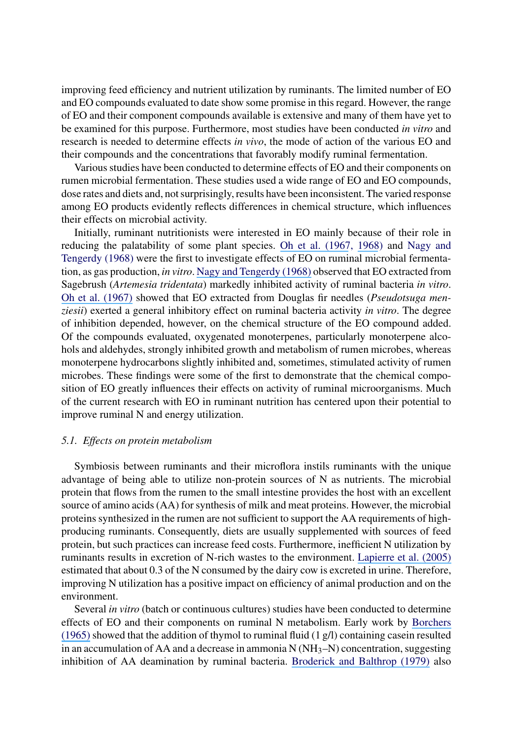<span id="page-6-0"></span>improving feed efficiency and nutrient utilization by ruminants. The limited number of EO and EO compounds evaluated to date show some promise in this regard. However, the range of EO and their component compounds available is extensive and many of them have yet to be examined for this purpose. Furthermore, most studies have been conducted *in vitro* and research is needed to determine effects *in vivo*, the mode of action of the various EO and their compounds and the concentrations that favorably modify ruminal fermentation.

Various studies have been conducted to determine effects of EO and their components on rumen microbial fermentation. These studies used a wide range of EO and EO compounds, dose rates and diets and, not surprisingly, results have been inconsistent. The varied response among EO products evidently reflects differences in chemical structure, which influences their effects on microbial activity.

Initially, ruminant nutritionists were interested in EO mainly because of their role in reducing the palatability of some plant species. [Oh et al. \(196](https://www.researchgate.net/publication/17137581_Effect_of_Various_Essential_Oils_Isolated_from_Douglas_Fir_Needles_upon_Sheep_and_Deer_Rumen_Microbial_Activity?el=1_x_8&enrichId=rgreq-c2a975f87c3c0a4ae4f72c568b2909c3-XXX&enrichSource=Y292ZXJQYWdlOzI0ODMzMjkyNjtBUzoxNjMyMTg0Nzk2NTY5NjBAMTQxNTkyNTcyNjMzOQ==)[7,](#page-18-0) [1968](https://www.researchgate.net/publication/17548492_Comparison_of_Rumen_Microbial_Inhibition_Resulting_from_Various_Essential_Oils_Isolated_from_Relatively_Unpalatable_Plant_Species?el=1_x_8&enrichId=rgreq-c2a975f87c3c0a4ae4f72c568b2909c3-XXX&enrichSource=Y292ZXJQYWdlOzI0ODMzMjkyNjtBUzoxNjMyMTg0Nzk2NTY5NjBAMTQxNTkyNTcyNjMzOQ==)[\)](#page-18-0) and [Nagy and](#page-18-0) [Tengerdy \(1968\)](#page-18-0) were the first to investigate effects of EO on ruminal microbial fermentation, as gas production, *in vitro*. [Nagy and Tengerdy \(1968\)](https://www.researchgate.net/publication/17535889_Antibacterial_Action_of_Essential_Oils_of_Artemisia_as_an_Ecological_Factor_II_Antibacterial_Action_of_the_Volatile_Oils_of_Artemisia_tridentata_Big_Sagebrush_on_Bacteria_from_the_Rumen_of_Mule_Deer?el=1_x_8&enrichId=rgreq-c2a975f87c3c0a4ae4f72c568b2909c3-XXX&enrichSource=Y292ZXJQYWdlOzI0ODMzMjkyNjtBUzoxNjMyMTg0Nzk2NTY5NjBAMTQxNTkyNTcyNjMzOQ==) observed that EO extracted from Sagebrush (*Artemesia tridentata*) markedly inhibited activity of ruminal bacteria *in vitro*. [Oh et al. \(1967\)](https://www.researchgate.net/publication/17137581_Effect_of_Various_Essential_Oils_Isolated_from_Douglas_Fir_Needles_upon_Sheep_and_Deer_Rumen_Microbial_Activity?el=1_x_8&enrichId=rgreq-c2a975f87c3c0a4ae4f72c568b2909c3-XXX&enrichSource=Y292ZXJQYWdlOzI0ODMzMjkyNjtBUzoxNjMyMTg0Nzk2NTY5NjBAMTQxNTkyNTcyNjMzOQ==) showed that EO extracted from Douglas fir needles (*Pseudotsuga menziesii*) exerted a general inhibitory effect on ruminal bacteria activity *in vitro*. The degree of inhibition depended, however, on the chemical structure of the EO compound added. Of the compounds evaluated, oxygenated monoterpenes, particularly monoterpene alcohols and aldehydes, strongly inhibited growth and metabolism of rumen microbes, whereas monoterpene hydrocarbons slightly inhibited and, sometimes, stimulated activity of rumen microbes. These findings were some of the first to demonstrate that the chemical composition of EO greatly influences their effects on activity of ruminal microorganisms. Much of the current research with EO in ruminant nutrition has centered upon their potential to improve ruminal N and energy utilization.

## *5.1. Effects on protein metabolism*

Symbiosis between ruminants and their microflora instils ruminants with the unique advantage of being able to utilize non-protein sources of N as nutrients. The microbial protein that flows from the rumen to the small intestine provides the host with an excellent source of amino acids (AA) for synthesis of milk and meat proteins. However, the microbial proteins synthesized in the rumen are not sufficient to support the AA requirements of highproducing ruminants. Consequently, diets are usually supplemented with sources of feed protein, but such practices can increase feed costs. Furthermore, inefficient N utilization by ruminants results in excretion of N-rich wastes to the environment. [Lapierre et al. \(2005\)](https://www.researchgate.net/publication/231858685_The_route_of_absorbed_nitrogen_into_milk_protein?el=1_x_8&enrichId=rgreq-c2a975f87c3c0a4ae4f72c568b2909c3-XXX&enrichSource=Y292ZXJQYWdlOzI0ODMzMjkyNjtBUzoxNjMyMTg0Nzk2NTY5NjBAMTQxNTkyNTcyNjMzOQ==) estimated that about 0.3 of the N consumed by the dairy cow is excreted in urine. Therefore, improving N utilization has a positive impact on efficiency of animal production and on the environment.

Several *in vitro* (batch or continuous cultures) studies have been conducted to determine effects of EO and their components on ruminal N metabolism. Early work by [Borchers](https://www.researchgate.net/publication/279636959_Proteolytic_Activity_of_Rumen_Fluid_In_Vitro?el=1_x_8&enrichId=rgreq-c2a975f87c3c0a4ae4f72c568b2909c3-XXX&enrichSource=Y292ZXJQYWdlOzI0ODMzMjkyNjtBUzoxNjMyMTg0Nzk2NTY5NjBAMTQxNTkyNTcyNjMzOQ==) [\(1965\)](https://www.researchgate.net/publication/279636959_Proteolytic_Activity_of_Rumen_Fluid_In_Vitro?el=1_x_8&enrichId=rgreq-c2a975f87c3c0a4ae4f72c568b2909c3-XXX&enrichSource=Y292ZXJQYWdlOzI0ODMzMjkyNjtBUzoxNjMyMTg0Nzk2NTY5NjBAMTQxNTkyNTcyNjMzOQ==) showed that the addition of thymol to ruminal fluid (1 g/l) containing casein resulted in an accumulation of AA and a decrease in ammonia  $N(NH_3-N)$  concentration, suggesting inhibition of AA deamination by ruminal bacteria. [Broderick and Balthrop \(1979\)](https://www.researchgate.net/publication/237727919_Chemical_inhibition_of_amino_acid_deamination_by_ruminal_microbes_in_vitro?el=1_x_8&enrichId=rgreq-c2a975f87c3c0a4ae4f72c568b2909c3-XXX&enrichSource=Y292ZXJQYWdlOzI0ODMzMjkyNjtBUzoxNjMyMTg0Nzk2NTY5NjBAMTQxNTkyNTcyNjMzOQ==) also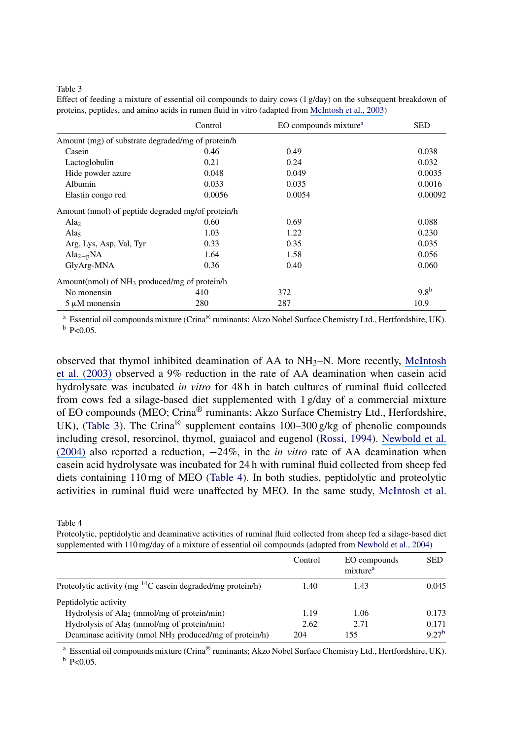Table 3

Effect of feeding a mixture of essential oil compounds to dairy cows (1 g/day) on the subsequent breakdown of proteins, peptides, and amino acids in rumen fluid in vitro (adapted from [McIntosh et al., 200](https://www.researchgate.net/publication/10627333_Effects_of_Essential_Oils_on_Ruminal_Microorganisms_and_Their_Protein_Metabolism?el=1_x_8&enrichId=rgreq-c2a975f87c3c0a4ae4f72c568b2909c3-XXX&enrichSource=Y292ZXJQYWdlOzI0ODMzMjkyNjtBUzoxNjMyMTg0Nzk2NTY5NjBAMTQxNTkyNTcyNjMzOQ==)[3\)](#page-17-0)

|                                                          | Control | EO compounds mixture <sup>a</sup> | <b>SED</b>       |
|----------------------------------------------------------|---------|-----------------------------------|------------------|
| Amount (mg) of substrate degraded/mg of protein/h        |         |                                   |                  |
| Casein                                                   | 0.46    | 0.49                              | 0.038            |
| Lactoglobulin                                            | 0.21    | 0.24                              | 0.032            |
| Hide powder azure                                        | 0.048   | 0.049                             | 0.0035           |
| Albumin                                                  | 0.033   | 0.035                             | 0.0016           |
| Elastin congo red                                        | 0.0056  | 0.0054                            | 0.00092          |
| Amount (nmol) of peptide degraded mg/of protein/h        |         |                                   |                  |
| Ala <sub>2</sub>                                         | 0.60    | 0.69                              | 0.088            |
| Ala <sub>5</sub>                                         | 1.03    | 1.22                              | 0.230            |
| Arg, Lys, Asp, Val, Tyr                                  | 0.33    | 0.35                              | 0.035            |
| $Ala2-pNA$                                               | 1.64    | 1.58                              | 0.056            |
| GlyArg-MNA                                               | 0.36    | 0.40                              | 0.060            |
| Amount(nmol) of NH <sub>3</sub> produced/mg of protein/h |         |                                   |                  |
| No monensin                                              | 410     | 372                               | 9.8 <sup>b</sup> |
| $5 \mu M$ monensin                                       | 280     | 287                               | 10.9             |

<sup>a</sup> Essential oil compounds mixture (Crina® ruminants; Akzo Nobel Surface Chemistry Ltd., Hertfordshire, UK).  $b$  P<0.05.

observed that thymol inhibited deamination of  $AA$  to  $NH_3-N$ . More recently, [McIntosh](https://www.researchgate.net/publication/10627333_Effects_of_Essential_Oils_on_Ruminal_Microorganisms_and_Their_Protein_Metabolism?el=1_x_8&enrichId=rgreq-c2a975f87c3c0a4ae4f72c568b2909c3-XXX&enrichSource=Y292ZXJQYWdlOzI0ODMzMjkyNjtBUzoxNjMyMTg0Nzk2NTY5NjBAMTQxNTkyNTcyNjMzOQ==) [et al. \(2003\)](https://www.researchgate.net/publication/10627333_Effects_of_Essential_Oils_on_Ruminal_Microorganisms_and_Their_Protein_Metabolism?el=1_x_8&enrichId=rgreq-c2a975f87c3c0a4ae4f72c568b2909c3-XXX&enrichSource=Y292ZXJQYWdlOzI0ODMzMjkyNjtBUzoxNjMyMTg0Nzk2NTY5NjBAMTQxNTkyNTcyNjMzOQ==) observed a 9% reduction in the rate of AA deamination when casein acid hydrolysate was incubated *in vitro* for 48 h in batch cultures of ruminal fluid collected from cows fed a silage-based diet supplemented with 1 g/day of a commercial mixture of EO compounds (MEO; Crina® ruminants; Akzo Surface Chemistry Ltd., Herfordshire, UK), (Table 3). The Crina<sup>®</sup> supplement contains  $100-300$  g/kg of phenolic compounds including cresol, resorcinol, thymol, guaiacol and eugenol [\(Rossi, 1994\).](#page-18-0) [Newbold et al.](https://www.researchgate.net/publication/248332725_Effects_of_a_specific_blend_of_essential_oil_compounds_on_rumen_fermentation?el=1_x_8&enrichId=rgreq-c2a975f87c3c0a4ae4f72c568b2909c3-XXX&enrichSource=Y292ZXJQYWdlOzI0ODMzMjkyNjtBUzoxNjMyMTg0Nzk2NTY5NjBAMTQxNTkyNTcyNjMzOQ==) [\(2004\)](https://www.researchgate.net/publication/248332725_Effects_of_a_specific_blend_of_essential_oil_compounds_on_rumen_fermentation?el=1_x_8&enrichId=rgreq-c2a975f87c3c0a4ae4f72c568b2909c3-XXX&enrichSource=Y292ZXJQYWdlOzI0ODMzMjkyNjtBUzoxNjMyMTg0Nzk2NTY5NjBAMTQxNTkyNTcyNjMzOQ==) also reported a reduction, −24%, in the *in vitro* rate of AA deamination when casein acid hydrolysate was incubated for 24 h with ruminal fluid collected from sheep fed diets containing 110 mg of MEO (Table 4). In both studies, peptidolytic and proteolytic activities in ruminal fluid were unaffected by MEO. In the same study, [McIntosh et al.](#page-17-0)

Table 4

Proteolytic, peptidolytic and deaminative activities of ruminal fluid collected from sheep fed a silage-based diet supplemented with 110 mg/day of a mixture of essential oil compounds (adapted from [Newbold et al., 2004\)](#page-18-0)

|                                                                     | Control | EO compounds<br>mixture <sup>a</sup> | <b>SED</b>        |
|---------------------------------------------------------------------|---------|--------------------------------------|-------------------|
| Proteolytic activity (mg ${}^{14}C$ casein degraded/mg protein/h)   | 1.40    | 1.43                                 | 0.045             |
| Peptidolytic activity                                               |         |                                      |                   |
| Hydrolysis of Ala <sub>2</sub> (mmol/mg of protein/min)             | 1.19    | 1.06                                 | 0.173             |
| Hydrolysis of Ala <sub>5</sub> (mmol/mg of protein/min)             | 2.62    | 2.71                                 | 0.171             |
| Deaminase acitivity (nmol NH <sub>3</sub> produced/mg of protein/h) | 204     | 155                                  | 9.27 <sup>b</sup> |

<sup>a</sup> Essential oil compounds mixture (Crina® ruminants; Akzo Nobel Surface Chemistry Ltd., Hertfordshire, UK).  $b$  P<0.05.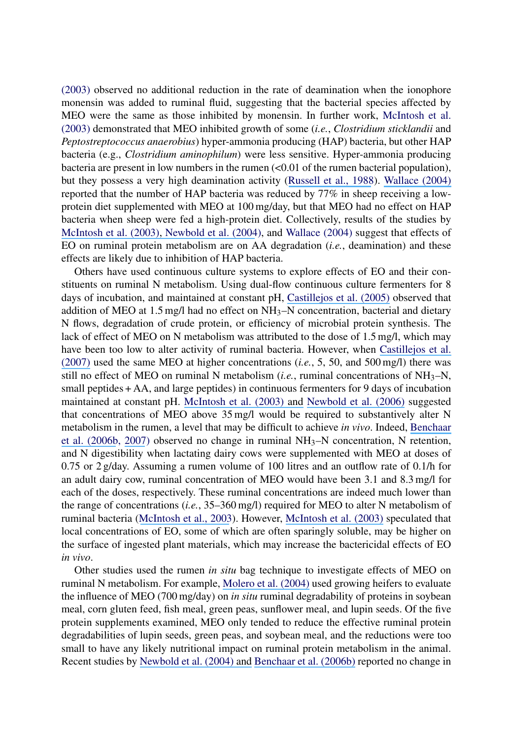[\(2003\)](#page-17-0) observed no additional reduction in the rate of deamination when the ionophore monensin was added to ruminal fluid, suggesting that the bacterial species affected by MEO were the same as those inhibited by monensin. In further work, [McIntosh et al.](#page-17-0) [\(2003\)](#page-17-0) demonstrated that MEO inhibited growth of some (*i.e.*, *Clostridium sticklandii* and *Peptostreptococcus anaerobius*) hyper-ammonia producing (HAP) bacteria, but other HAP bacteria (e.g., *Clostridium aminophilum*) were less sensitive. Hyper-ammonia producing bacteria are present in low numbers in the rumen  $\leq 0.01$  of the rumen bacterial population), but they possess a very high deamination activity [\(](#page-18-0)[Russell et al., 198](https://www.researchgate.net/publication/19777834_Enrichment_and_isolation_of_a_ruminal_bacterium_with_a_very_high_specific_activity_of_ammonia_production?el=1_x_8&enrichId=rgreq-c2a975f87c3c0a4ae4f72c568b2909c3-XXX&enrichSource=Y292ZXJQYWdlOzI0ODMzMjkyNjtBUzoxNjMyMTg0Nzk2NTY5NjBAMTQxNTkyNTcyNjMzOQ==)[8\).](#page-18-0) [Wallace \(2004\)](https://www.researchgate.net/publication/7906246_Antimicrobial_properties_of_plant_secondary_metabolites?el=1_x_8&enrichId=rgreq-c2a975f87c3c0a4ae4f72c568b2909c3-XXX&enrichSource=Y292ZXJQYWdlOzI0ODMzMjkyNjtBUzoxNjMyMTg0Nzk2NTY5NjBAMTQxNTkyNTcyNjMzOQ==) reported that the number of HAP bacteria was reduced by 77% in sheep receiving a lowprotein diet supplemented with MEO at 100 mg/day, but that MEO had no effect on HAP bacteria when sheep were fed a high-protein diet. Collectively, results of the studies by [McIntosh et al. \(200](https://www.researchgate.net/publication/10627333_Effects_of_Essential_Oils_on_Ruminal_Microorganisms_and_Their_Protein_Metabolism?el=1_x_8&enrichId=rgreq-c2a975f87c3c0a4ae4f72c568b2909c3-XXX&enrichSource=Y292ZXJQYWdlOzI0ODMzMjkyNjtBUzoxNjMyMTg0Nzk2NTY5NjBAMTQxNTkyNTcyNjMzOQ==)[3\),](#page-17-0) [Newbold et al. \(200](https://www.researchgate.net/publication/248332725_Effects_of_a_specific_blend_of_essential_oil_compounds_on_rumen_fermentation?el=1_x_8&enrichId=rgreq-c2a975f87c3c0a4ae4f72c568b2909c3-XXX&enrichSource=Y292ZXJQYWdlOzI0ODMzMjkyNjtBUzoxNjMyMTg0Nzk2NTY5NjBAMTQxNTkyNTcyNjMzOQ==)[4\),](#page-18-0) and [Wallace \(2004\)](#page-19-0) suggest that effects of EO on ruminal protein metabolism are on AA degradation (*i.e.*, deamination) and these effects are likely due to inhibition of HAP bacteria.

Others have used continuous culture systems to explore effects of EO and their constituents on ruminal N metabolism. Using dual-flow continuous culture fermenters for 8 days of incubation, and maintained at constant pH, [Castillejos et al. \(2005\)](https://www.researchgate.net/publication/232715600_Effects_of_a_specific_blend_of_essential_oil_compounds_and_the_type_of_diet_on_rumen_microbial_fermentation_and_nutrient_flow_from_a_continuous_culture_system?el=1_x_8&enrichId=rgreq-c2a975f87c3c0a4ae4f72c568b2909c3-XXX&enrichSource=Y292ZXJQYWdlOzI0ODMzMjkyNjtBUzoxNjMyMTg0Nzk2NTY5NjBAMTQxNTkyNTcyNjMzOQ==) observed that addition of MEO at 1.5 mg/l had no effect on  $NH_3-N$  concentration, bacterial and dietary N flows, degradation of crude protein, or efficiency of microbial protein synthesis. The lack of effect of MEO on N metabolism was attributed to the dose of 1.5 mg/l, which may have been too low to alter activity of ruminal bacteria. However, when [Castillejos et al.](https://www.researchgate.net/publication/232715606_Effects_of_dose_and_adaptation_time_of_a_specific_blend_of_essential_oil_compounds_on_rumen_fermentation?el=1_x_8&enrichId=rgreq-c2a975f87c3c0a4ae4f72c568b2909c3-XXX&enrichSource=Y292ZXJQYWdlOzI0ODMzMjkyNjtBUzoxNjMyMTg0Nzk2NTY5NjBAMTQxNTkyNTcyNjMzOQ==) [\(2007\)](https://www.researchgate.net/publication/232715606_Effects_of_dose_and_adaptation_time_of_a_specific_blend_of_essential_oil_compounds_on_rumen_fermentation?el=1_x_8&enrichId=rgreq-c2a975f87c3c0a4ae4f72c568b2909c3-XXX&enrichSource=Y292ZXJQYWdlOzI0ODMzMjkyNjtBUzoxNjMyMTg0Nzk2NTY5NjBAMTQxNTkyNTcyNjMzOQ==) used the same MEO at higher concentrations (*i.e.*, 5, 50, and 500 mg/l) there was still no effect of MEO on ruminal N metabolism (*i.e.*, ruminal concentrations of NH3–N, small peptides + AA, and large peptides) in continuous fermenters for 9 days of incubation maintained at constant pH. [McIntosh et al. \(2003\)](https://www.researchgate.net/publication/10627333_Effects_of_Essential_Oils_on_Ruminal_Microorganisms_and_Their_Protein_Metabolism?el=1_x_8&enrichId=rgreq-c2a975f87c3c0a4ae4f72c568b2909c3-XXX&enrichSource=Y292ZXJQYWdlOzI0ODMzMjkyNjtBUzoxNjMyMTg0Nzk2NTY5NjBAMTQxNTkyNTcyNjMzOQ==) and [Newbold et al. \(2006\)](https://www.researchgate.net/publication/288258272_New_feed_additives_for_ruminants-a_European_perspective?el=1_x_8&enrichId=rgreq-c2a975f87c3c0a4ae4f72c568b2909c3-XXX&enrichSource=Y292ZXJQYWdlOzI0ODMzMjkyNjtBUzoxNjMyMTg0Nzk2NTY5NjBAMTQxNTkyNTcyNjMzOQ==) suggested that concentrations of MEO above 35 mg/l would be required to substantively alter N metabolism in the rumen, a level that may be difficult to achieve *in vivo*. Indeed, [Benchaar](https://www.researchgate.net/publication/6762265_Effects_of_Addition_of_Essential_Oils_and_Monensin_Premix_on_Digestion_Ruminal_Fermentation_Milk_Production_and_Milk_Composition_in_Dairy_Cows?el=1_x_8&enrichId=rgreq-c2a975f87c3c0a4ae4f72c568b2909c3-XXX&enrichSource=Y292ZXJQYWdlOzI0ODMzMjkyNjtBUzoxNjMyMTg0Nzk2NTY5NjBAMTQxNTkyNTcyNjMzOQ==) [et al. \(2006](https://www.researchgate.net/publication/6762265_Effects_of_Addition_of_Essential_Oils_and_Monensin_Premix_on_Digestion_Ruminal_Fermentation_Milk_Production_and_Milk_Composition_in_Dairy_Cows?el=1_x_8&enrichId=rgreq-c2a975f87c3c0a4ae4f72c568b2909c3-XXX&enrichSource=Y292ZXJQYWdlOzI0ODMzMjkyNjtBUzoxNjMyMTg0Nzk2NTY5NjBAMTQxNTkyNTcyNjMzOQ==)[b,](#page-15-0) [200](https://www.researchgate.net/publication/6567967_Effects_of_Essential_Oils_on_Digestion_Ruminal_Fermentation_Rumen_Microbial_Populations_Milk_Production_and_Milk_Composition_in_Dairy_Cows_Fed_Alfalfa_Silage_or_Corn_Silage?el=1_x_8&enrichId=rgreq-c2a975f87c3c0a4ae4f72c568b2909c3-XXX&enrichSource=Y292ZXJQYWdlOzI0ODMzMjkyNjtBUzoxNjMyMTg0Nzk2NTY5NjBAMTQxNTkyNTcyNjMzOQ==)[7\)](#page-15-0) observed no change in ruminal  $NH<sub>3</sub>–N$  concentration, N retention, and N digestibility when lactating dairy cows were supplemented with MEO at doses of 0.75 or 2 g/day. Assuming a rumen volume of 100 litres and an outflow rate of 0.1/h for an adult dairy cow, ruminal concentration of MEO would have been 3.1 and 8.3 mg/l for each of the doses, respectively. These ruminal concentrations are indeed much lower than the range of concentrations (*i.e.*, 35–360 mg/l) required for MEO to alter N metabolism of ruminal bacteria ([McIntosh et al., 200](https://www.researchgate.net/publication/10627333_Effects_of_Essential_Oils_on_Ruminal_Microorganisms_and_Their_Protein_Metabolism?el=1_x_8&enrichId=rgreq-c2a975f87c3c0a4ae4f72c568b2909c3-XXX&enrichSource=Y292ZXJQYWdlOzI0ODMzMjkyNjtBUzoxNjMyMTg0Nzk2NTY5NjBAMTQxNTkyNTcyNjMzOQ==)[3\).](#page-17-0) However, [McIntosh et al. \(2003\)](https://www.researchgate.net/publication/10627333_Effects_of_Essential_Oils_on_Ruminal_Microorganisms_and_Their_Protein_Metabolism?el=1_x_8&enrichId=rgreq-c2a975f87c3c0a4ae4f72c568b2909c3-XXX&enrichSource=Y292ZXJQYWdlOzI0ODMzMjkyNjtBUzoxNjMyMTg0Nzk2NTY5NjBAMTQxNTkyNTcyNjMzOQ==) speculated that local concentrations of EO, some of which are often sparingly soluble, may be higher on the surface of ingested plant materials, which may increase the bactericidal effects of EO *in vivo*.

Other studies used the rumen *in situ* bag technique to investigate effects of MEO on ruminal N metabolism. For example, [Molero et al. \(2004\)](https://www.researchgate.net/publication/248332740_Effects_of_a_specific_blend_of_essential_oil_compounds_on_dry_matter_and_crude_protein_degradability_in_heifers_fed_diets_with_different_forage_to_concentrate_ratios?el=1_x_8&enrichId=rgreq-c2a975f87c3c0a4ae4f72c568b2909c3-XXX&enrichSource=Y292ZXJQYWdlOzI0ODMzMjkyNjtBUzoxNjMyMTg0Nzk2NTY5NjBAMTQxNTkyNTcyNjMzOQ==) used growing heifers to evaluate the influence of MEO (700 mg/day) on *in situ* ruminal degradability of proteins in soybean meal, corn gluten feed, fish meal, green peas, sunflower meal, and lupin seeds. Of the five protein supplements examined, MEO only tended to reduce the effective ruminal protein degradabilities of lupin seeds, green peas, and soybean meal, and the reductions were too small to have any likely nutritional impact on ruminal protein metabolism in the animal. Recent studies by [Newbold et al. \(2004\)](https://www.researchgate.net/publication/248332725_Effects_of_a_specific_blend_of_essential_oil_compounds_on_rumen_fermentation?el=1_x_8&enrichId=rgreq-c2a975f87c3c0a4ae4f72c568b2909c3-XXX&enrichSource=Y292ZXJQYWdlOzI0ODMzMjkyNjtBUzoxNjMyMTg0Nzk2NTY5NjBAMTQxNTkyNTcyNjMzOQ==) and [Benchaar et al. \(2006b\)](https://www.researchgate.net/publication/6762265_Effects_of_Addition_of_Essential_Oils_and_Monensin_Premix_on_Digestion_Ruminal_Fermentation_Milk_Production_and_Milk_Composition_in_Dairy_Cows?el=1_x_8&enrichId=rgreq-c2a975f87c3c0a4ae4f72c568b2909c3-XXX&enrichSource=Y292ZXJQYWdlOzI0ODMzMjkyNjtBUzoxNjMyMTg0Nzk2NTY5NjBAMTQxNTkyNTcyNjMzOQ==) reported no change in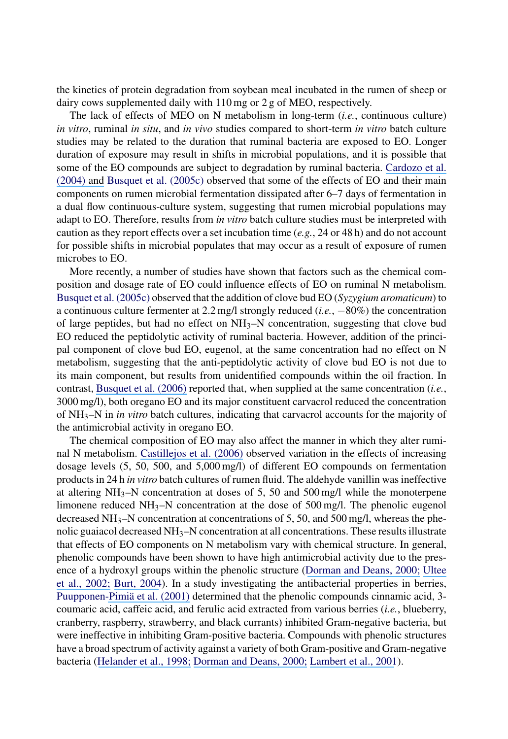the kinetics of protein degradation from soybean meal incubated in the rumen of sheep or dairy cows supplemented daily with 110 mg or 2 g of MEO, respectively.

The lack of effects of MEO on N metabolism in long-term (*i.e.*, continuous culture) *in vitro*, ruminal *in situ*, and *in vivo* studies compared to short-term *in vitro* batch culture studies may be related to the duration that ruminal bacteria are exposed to EO. Longer duration of exposure may result in shifts in microbial populations, and it is possible that some of the EO compounds are subject to degradation by ruminal bacteria. [Cardozo et al.](https://www.researchgate.net/publication/8185439_Effects_of_natural_plant_extracts_on_ruminal_protein_degradation_and_fermentation_profiles_in_continuous_culture1?el=1_x_8&enrichId=rgreq-c2a975f87c3c0a4ae4f72c568b2909c3-XXX&enrichSource=Y292ZXJQYWdlOzI0ODMzMjkyNjtBUzoxNjMyMTg0Nzk2NTY5NjBAMTQxNTkyNTcyNjMzOQ==) [\(2004\)](https://www.researchgate.net/publication/8185439_Effects_of_natural_plant_extracts_on_ruminal_protein_degradation_and_fermentation_profiles_in_continuous_culture1?el=1_x_8&enrichId=rgreq-c2a975f87c3c0a4ae4f72c568b2909c3-XXX&enrichSource=Y292ZXJQYWdlOzI0ODMzMjkyNjtBUzoxNjMyMTg0Nzk2NTY5NjBAMTQxNTkyNTcyNjMzOQ==) and [Busquet et al. \(2005c\)](#page-16-0) observed that some of the effects of EO and their main components on rumen microbial fermentation dissipated after 6–7 days of fermentation in a dual flow continuous-culture system, suggesting that rumen microbial populations may adapt to EO. Therefore, results from *in vitro* batch culture studies must be interpreted with caution as they report effects over a set incubation time (*e.g.*, 24 or 48 h) and do not account for possible shifts in microbial populates that may occur as a result of exposure of rumen microbes to EO.

More recently, a number of studies have shown that factors such as the chemical composition and dosage rate of EO could influence effects of EO on ruminal N metabolism. [Busquet et al. \(2005c\)](#page-16-0) observed that the addition of clove bud EO (*Syzygium aromaticum*) to a continuous culture fermenter at 2.2 mg/l strongly reduced (*i.e.*, −80%) the concentration of large peptides, but had no effect on  $NH<sub>3</sub>-N$  concentration, suggesting that clove bud EO reduced the peptidolytic activity of ruminal bacteria. However, addition of the principal component of clove bud EO, eugenol, at the same concentration had no effect on N metabolism, suggesting that the anti-peptidolytic activity of clove bud EO is not due to its main component, but results from unidentified compounds within the oil fraction. In contrast, [Busquet et al. \(2006\)](https://www.researchgate.net/publication/7343615_Plant_Extracts_Affect_In_Vitro_Rumen_Microbial_Fermentation?el=1_x_8&enrichId=rgreq-c2a975f87c3c0a4ae4f72c568b2909c3-XXX&enrichSource=Y292ZXJQYWdlOzI0ODMzMjkyNjtBUzoxNjMyMTg0Nzk2NTY5NjBAMTQxNTkyNTcyNjMzOQ==) reported that, when supplied at the same concentration (*i.e.*, 3000 mg/l), both oregano EO and its major constituent carvacrol reduced the concentration of NH3–N in *in vitro* batch cultures, indicating that carvacrol accounts for the majority of the antimicrobial activity in oregano EO.

The chemical composition of EO may also affect the manner in which they alter ruminal N metabolism. [Castillejos et al. \(2006\)](https://www.researchgate.net/publication/7010279_Effect_of_Essential_Oil_Active_Compounds_on_Rumen_Microbial_Fermentation_and_Nutrient_Flow_in_In_Vitro_Systems?el=1_x_8&enrichId=rgreq-c2a975f87c3c0a4ae4f72c568b2909c3-XXX&enrichSource=Y292ZXJQYWdlOzI0ODMzMjkyNjtBUzoxNjMyMTg0Nzk2NTY5NjBAMTQxNTkyNTcyNjMzOQ==) observed variation in the effects of increasing dosage levels (5, 50, 500, and 5,000 mg/l) of different EO compounds on fermentation products in 24 h *in vitro* batch cultures of rumen fluid. The aldehyde vanillin was ineffective at altering NH3–N concentration at doses of 5, 50 and 500 mg/l while the monoterpene limonene reduced  $NH_3-N$  concentration at the dose of 500 mg/l. The phenolic eugenol decreased NH3–N concentration at concentrations of 5, 50, and 500 mg/l, whereas the phenolic guaiacol decreased NH3–N concentration at all concentrations. These results illustrate that effects of EO components on N metabolism vary with chemical structure. In general, phenolic compounds have been shown to have high antimicrobial activity due to the presence of a hydroxyl groups within the phenolic structure [\(D](#page-16-0)[orman and Deans, 2000;](https://www.researchgate.net/publication/12580253_Antimicrobial_agents_from_plants_Antibacterial_activity_of_plant_volatile_oils?el=1_x_8&enrichId=rgreq-c2a975f87c3c0a4ae4f72c568b2909c3-XXX&enrichSource=Y292ZXJQYWdlOzI0ODMzMjkyNjtBUzoxNjMyMTg0Nzk2NTY5NjBAMTQxNTkyNTcyNjMzOQ==) [Ultee](https://www.researchgate.net/publication/11447327_The_Phenolic_Hydroxyl_Group_of_Carvacrol_Is_Essential_for_Action_against_the_Food-Borne_Pathogen_Bacillus_cereus?el=1_x_8&enrichId=rgreq-c2a975f87c3c0a4ae4f72c568b2909c3-XXX&enrichSource=Y292ZXJQYWdlOzI0ODMzMjkyNjtBUzoxNjMyMTg0Nzk2NTY5NjBAMTQxNTkyNTcyNjMzOQ==) [et al., 2002;](https://www.researchgate.net/publication/11447327_The_Phenolic_Hydroxyl_Group_of_Carvacrol_Is_Essential_for_Action_against_the_Food-Borne_Pathogen_Bacillus_cereus?el=1_x_8&enrichId=rgreq-c2a975f87c3c0a4ae4f72c568b2909c3-XXX&enrichSource=Y292ZXJQYWdlOzI0ODMzMjkyNjtBUzoxNjMyMTg0Nzk2NTY5NjBAMTQxNTkyNTcyNjMzOQ==) [Burt, 200](https://www.researchgate.net/publication/8463493_Essential_oils_Their_antibacterial_properties_and_potential_applications_in_foods-A_review_International_Journal_of_Food_Microbiology_943_223-253?el=1_x_8&enrichId=rgreq-c2a975f87c3c0a4ae4f72c568b2909c3-XXX&enrichSource=Y292ZXJQYWdlOzI0ODMzMjkyNjtBUzoxNjMyMTg0Nzk2NTY5NjBAMTQxNTkyNTcyNjMzOQ==)[4\).](#page-16-0) In a study investigating the antibacterial properties in berries, [Puupponen-](#page-18-0)Pimiä et al. (2001) determined that the phenolic compounds cinnamic acid, 3coumaric acid, caffeic acid, and ferulic acid extracted from various berries (*i.e.*, blueberry, cranberry, raspberry, strawberry, and black currants) inhibited Gram-negative bacteria, but were ineffective in inhibiting Gram-positive bacteria. Compounds with phenolic structures have a broad spectrum of activity against a variety of both Gram-positive and Gram-negative bacteria [\(](#page-17-0)[Helander et al., 1998;](https://www.researchgate.net/publication/40153105_Characterization_of_the_Action_of_Selected_Essential_Oil_Components_on_Gram-Negative_Bacteria?el=1_x_8&enrichId=rgreq-c2a975f87c3c0a4ae4f72c568b2909c3-XXX&enrichSource=Y292ZXJQYWdlOzI0ODMzMjkyNjtBUzoxNjMyMTg0Nzk2NTY5NjBAMTQxNTkyNTcyNjMzOQ==) [Dorman and Deans, 2000;](https://www.researchgate.net/publication/12580253_Antimicrobial_agents_from_plants_Antibacterial_activity_of_plant_volatile_oils?el=1_x_8&enrichId=rgreq-c2a975f87c3c0a4ae4f72c568b2909c3-XXX&enrichSource=Y292ZXJQYWdlOzI0ODMzMjkyNjtBUzoxNjMyMTg0Nzk2NTY5NjBAMTQxNTkyNTcyNjMzOQ==) [Lambert et al., 200](https://www.researchgate.net/publication/11790795_A_study_of_the_Minimum_Inhibitory_Concentration_and_mode_of_action_of_Oregano_Essential_Oil_Thymol_and_Carvacrol?el=1_x_8&enrichId=rgreq-c2a975f87c3c0a4ae4f72c568b2909c3-XXX&enrichSource=Y292ZXJQYWdlOzI0ODMzMjkyNjtBUzoxNjMyMTg0Nzk2NTY5NjBAMTQxNTkyNTcyNjMzOQ==)[1\).](#page-17-0)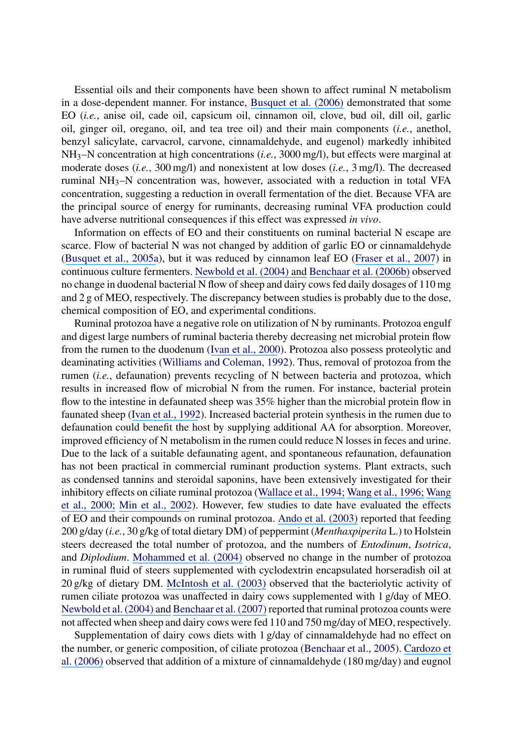Essential oils and their components have been shown to affect ruminal N metabolism in a dose-dependent manner. For instance, [Busquet et al. \(2006\)](https://www.researchgate.net/publication/7343615_Plant_Extracts_Affect_In_Vitro_Rumen_Microbial_Fermentation?el=1_x_8&enrichId=rgreq-c2a975f87c3c0a4ae4f72c568b2909c3-XXX&enrichSource=Y292ZXJQYWdlOzI0ODMzMjkyNjtBUzoxNjMyMTg0Nzk2NTY5NjBAMTQxNTkyNTcyNjMzOQ==) demonstrated that some EO (*i.e.*, anise oil, cade oil, capsicum oil, cinnamon oil, clove, bud oil, dill oil, garlic oil, ginger oil, oregano, oil, and tea tree oil) and their main components (*i.e.*, anethol, benzyl salicylate, carvacrol, carvone, cinnamaldehyde, and eugenol) markedly inhibited NH3–N concentration at high concentrations (*i.e.*, 3000 mg/l), but effects were marginal at moderate doses (*i.e.*, 300 mg/l) and nonexistent at low doses (*i.e.*, 3 mg/l). The decreased ruminal  $NH_3-N$  concentration was, however, associated with a reduction in total VFA concentration, suggesting a reduction in overall fermentation of the diet. Because VFA are the principal source of energy for ruminants, decreasing ruminal VFA production could have adverse nutritional consequences if this effect was expressed *in vivo*.

Information on effects of EO and their constituents on ruminal bacterial N escape are scarce. Flow of bacterial N was not changed by addition of garlic EO or cinnamaldehyde ([Busquet et al., 2005](https://www.researchgate.net/publication/7787150_Effects_of_Cinnamaldehyde_and_Garlic_Oil_on_Rumen_Microbial_Fermentation_in_a_Dual_Flow_Continuous_Culture?el=1_x_8&enrichId=rgreq-c2a975f87c3c0a4ae4f72c568b2909c3-XXX&enrichSource=Y292ZXJQYWdlOzI0ODMzMjkyNjtBUzoxNjMyMTg0Nzk2NTY5NjBAMTQxNTkyNTcyNjMzOQ==)[a\),](#page-16-0) but it was reduced by cinnamon leaf EO ([Fraser et al., 200](https://www.researchgate.net/publication/6397417_Assessment_of_the_Effects_of_Cinnamon_Leaf_Oil_on_Rumen_Microbial_Fermentation_Using_Two_Continuous_Culture_Systems?el=1_x_8&enrichId=rgreq-c2a975f87c3c0a4ae4f72c568b2909c3-XXX&enrichSource=Y292ZXJQYWdlOzI0ODMzMjkyNjtBUzoxNjMyMTg0Nzk2NTY5NjBAMTQxNTkyNTcyNjMzOQ==)[7\)](#page-17-0) in continuous culture fermenters. [Newbold et al. \(2004\)](https://www.researchgate.net/publication/248332725_Effects_of_a_specific_blend_of_essential_oil_compounds_on_rumen_fermentation?el=1_x_8&enrichId=rgreq-c2a975f87c3c0a4ae4f72c568b2909c3-XXX&enrichSource=Y292ZXJQYWdlOzI0ODMzMjkyNjtBUzoxNjMyMTg0Nzk2NTY5NjBAMTQxNTkyNTcyNjMzOQ==) and [Benchaar et al. \(2006b\)](https://www.researchgate.net/publication/6762265_Effects_of_Addition_of_Essential_Oils_and_Monensin_Premix_on_Digestion_Ruminal_Fermentation_Milk_Production_and_Milk_Composition_in_Dairy_Cows?el=1_x_8&enrichId=rgreq-c2a975f87c3c0a4ae4f72c568b2909c3-XXX&enrichSource=Y292ZXJQYWdlOzI0ODMzMjkyNjtBUzoxNjMyMTg0Nzk2NTY5NjBAMTQxNTkyNTcyNjMzOQ==) observed no change in duodenal bacterial N flow of sheep and dairy cows fed daily dosages of 110 mg and 2 g of MEO, respectively. The discrepancy between studies is probably due to the dose, chemical composition of EO, and experimental conditions.

Ruminal protozoa have a negative role on utilization of N by ruminants. Protozoa engulf and digest large numbers of ruminal bacteria thereby decreasing net microbial protein flow from the rumen to the duodenum ([I](#page-17-0)[van et al., 200](https://www.researchgate.net/publication/224002282_Effects_of_Isotricha_Dasytricha_Entodinium_and_Total_Fauna_on_Ruminal_Fermentation_and_Duodenal_Flow_in_Wethers_Fed_Different_Diets?el=1_x_8&enrichId=rgreq-c2a975f87c3c0a4ae4f72c568b2909c3-XXX&enrichSource=Y292ZXJQYWdlOzI0ODMzMjkyNjtBUzoxNjMyMTg0Nzk2NTY5NjBAMTQxNTkyNTcyNjMzOQ==)[0\).](#page-17-0) Protozoa also possess proteolytic and deaminating activities ([Williams and Coleman, 1992\).](#page-19-0) Thus, removal of protozoa from the rumen (*i.e.*, defaunation) prevents recycling of N between bacteria and protozoa, which results in increased flow of microbial N from the rumen. For instance, bacterial protein flow to the intestine in defaunated sheep was 35% higher than the microbial protein flow in faunated sheep [\(I](#page-17-0)[van et al., 199](https://www.researchgate.net/publication/21727011_Effect_of_bentonite_on_wool_growth_and_nitrogen_metabolism_in_fauna_free_and_faunated_sheep?el=1_x_8&enrichId=rgreq-c2a975f87c3c0a4ae4f72c568b2909c3-XXX&enrichSource=Y292ZXJQYWdlOzI0ODMzMjkyNjtBUzoxNjMyMTg0Nzk2NTY5NjBAMTQxNTkyNTcyNjMzOQ==)[2\).](#page-17-0) Increased bacterial protein synthesis in the rumen due to defaunation could benefit the host by supplying additional AA for absorption. Moreover, improved efficiency of N metabolism in the rumen could reduce N losses in feces and urine. Due to the lack of a suitable defaunating agent, and spontaneous refaunation, defaunation has not been practical in commercial ruminant production systems. Plant extracts, such as condensed tannins and steroidal saponins, have been extensively investigated for their inhibitory effects on ciliate ruminal protozoa [\(](#page-19-0)[Wallace et al., 1994;](https://www.researchgate.net/publication/15168324_Influence_of_Yucca_schidigera_Extract_on_Ruminal_Ammonia_Concentrations_and_Ruminal_Microorganisms?el=1_x_8&enrichId=rgreq-c2a975f87c3c0a4ae4f72c568b2909c3-XXX&enrichSource=Y292ZXJQYWdlOzI0ODMzMjkyNjtBUzoxNjMyMTg0Nzk2NTY5NjBAMTQxNTkyNTcyNjMzOQ==) [Wang et al., 1996;](https://www.researchgate.net/publication/231851750_Effect_of_condensed_tannins_upon_the_performance_of_lambs_grazing_Lotus_corniculatus_and_lucern_Medicago_sativa?el=1_x_8&enrichId=rgreq-c2a975f87c3c0a4ae4f72c568b2909c3-XXX&enrichSource=Y292ZXJQYWdlOzI0ODMzMjkyNjtBUzoxNjMyMTg0Nzk2NTY5NjBAMTQxNTkyNTcyNjMzOQ==) [Wang](https://www.researchgate.net/publication/227772552_In_vitro_effects_of_steroidal_saponins_from_Yucca_Schidigere_extract_on_rumen_microbial_protein_synthesis_and_ruminal_fermentation?el=1_x_8&enrichId=rgreq-c2a975f87c3c0a4ae4f72c568b2909c3-XXX&enrichSource=Y292ZXJQYWdlOzI0ODMzMjkyNjtBUzoxNjMyMTg0Nzk2NTY5NjBAMTQxNTkyNTcyNjMzOQ==) [et al., 2000;](https://www.researchgate.net/publication/227772552_In_vitro_effects_of_steroidal_saponins_from_Yucca_Schidigere_extract_on_rumen_microbial_protein_synthesis_and_ruminal_fermentation?el=1_x_8&enrichId=rgreq-c2a975f87c3c0a4ae4f72c568b2909c3-XXX&enrichSource=Y292ZXJQYWdlOzI0ODMzMjkyNjtBUzoxNjMyMTg0Nzk2NTY5NjBAMTQxNTkyNTcyNjMzOQ==) [Min et al., 200](https://www.researchgate.net/publication/10983913_Lotus_corniculatus_condensed_tannins_decrease_in_vivo_populations_of_proteolytic_bacteria_and_affect_nitrogen_metabolism_in_the_rumen_of_sheep?el=1_x_8&enrichId=rgreq-c2a975f87c3c0a4ae4f72c568b2909c3-XXX&enrichSource=Y292ZXJQYWdlOzI0ODMzMjkyNjtBUzoxNjMyMTg0Nzk2NTY5NjBAMTQxNTkyNTcyNjMzOQ==)[2\).](#page-19-0) However, few studies to date have evaluated the effects of EO and their compounds on ruminal protozoa. [Ando et al. \(2003\)](https://www.researchgate.net/publication/248259163_Effect_of_peppermint_feeding_on_the_digestibility_ruminal_fermentation_and_protozoa?el=1_x_8&enrichId=rgreq-c2a975f87c3c0a4ae4f72c568b2909c3-XXX&enrichSource=Y292ZXJQYWdlOzI0ODMzMjkyNjtBUzoxNjMyMTg0Nzk2NTY5NjBAMTQxNTkyNTcyNjMzOQ==) reported that feeding 200 g/day (*i.e.*, 30 g/kg of total dietary DM) of peppermint (*Menthaxpiperita* L.) to Holstein steers decreased the total number of protozoa, and the numbers of *Entodinum*, *Isotrica*, and *Diplodium*. [Mohammed et al. \(2004\)](https://www.researchgate.net/publication/298309112_Effect_of_Japanese_horseradish_oil_on_methane_production_and_ruminal_fermentation_in_vitro_and_in_steers?el=1_x_8&enrichId=rgreq-c2a975f87c3c0a4ae4f72c568b2909c3-XXX&enrichSource=Y292ZXJQYWdlOzI0ODMzMjkyNjtBUzoxNjMyMTg0Nzk2NTY5NjBAMTQxNTkyNTcyNjMzOQ==) observed no change in the number of protozoa in ruminal fluid of steers supplemented with cyclodextrin encapsulated horseradish oil at 20 g/kg of dietary DM. [McIntosh et al. \(2003\)](https://www.researchgate.net/publication/10627333_Effects_of_Essential_Oils_on_Ruminal_Microorganisms_and_Their_Protein_Metabolism?el=1_x_8&enrichId=rgreq-c2a975f87c3c0a4ae4f72c568b2909c3-XXX&enrichSource=Y292ZXJQYWdlOzI0ODMzMjkyNjtBUzoxNjMyMTg0Nzk2NTY5NjBAMTQxNTkyNTcyNjMzOQ==) observed that the bacteriolytic activity of rumen ciliate protozoa was unaffected in dairy cows supplemented with 1 g/day of MEO. [Newbold et al. \(2004\)](https://www.researchgate.net/publication/248332725_Effects_of_a_specific_blend_of_essential_oil_compounds_on_rumen_fermentation?el=1_x_8&enrichId=rgreq-c2a975f87c3c0a4ae4f72c568b2909c3-XXX&enrichSource=Y292ZXJQYWdlOzI0ODMzMjkyNjtBUzoxNjMyMTg0Nzk2NTY5NjBAMTQxNTkyNTcyNjMzOQ==) and [Benchaar et al. \(2007\)](https://www.researchgate.net/publication/6567967_Effects_of_Essential_Oils_on_Digestion_Ruminal_Fermentation_Rumen_Microbial_Populations_Milk_Production_and_Milk_Composition_in_Dairy_Cows_Fed_Alfalfa_Silage_or_Corn_Silage?el=1_x_8&enrichId=rgreq-c2a975f87c3c0a4ae4f72c568b2909c3-XXX&enrichSource=Y292ZXJQYWdlOzI0ODMzMjkyNjtBUzoxNjMyMTg0Nzk2NTY5NjBAMTQxNTkyNTcyNjMzOQ==) reported that ruminal protozoa counts were not affected when sheep and dairy cows were fed 110 and 750 mg/day of MEO, respectively.

Supplementation of dairy cows diets with 1 g/day of cinnamaldehyde had no effect on the number, or generic composition, of ciliate protozoa ([Benchaar et al., 2005\).](#page-15-0) [Cardozo et](https://www.researchgate.net/publication/6818630_Effects_of_alfalfa_extract_anise_capsicum_and_a_mixture_of_cinnamaldehyde_and_eugenol_on_ruminal_fermentation_and_protein_degradation_in_beef_heifers_fed_a_high-concentrate_diet?el=1_x_8&enrichId=rgreq-c2a975f87c3c0a4ae4f72c568b2909c3-XXX&enrichSource=Y292ZXJQYWdlOzI0ODMzMjkyNjtBUzoxNjMyMTg0Nzk2NTY5NjBAMTQxNTkyNTcyNjMzOQ==) [al. \(2006\)](https://www.researchgate.net/publication/6818630_Effects_of_alfalfa_extract_anise_capsicum_and_a_mixture_of_cinnamaldehyde_and_eugenol_on_ruminal_fermentation_and_protein_degradation_in_beef_heifers_fed_a_high-concentrate_diet?el=1_x_8&enrichId=rgreq-c2a975f87c3c0a4ae4f72c568b2909c3-XXX&enrichSource=Y292ZXJQYWdlOzI0ODMzMjkyNjtBUzoxNjMyMTg0Nzk2NTY5NjBAMTQxNTkyNTcyNjMzOQ==) observed that addition of a mixture of cinnamaldehyde (180 mg/day) and eugnol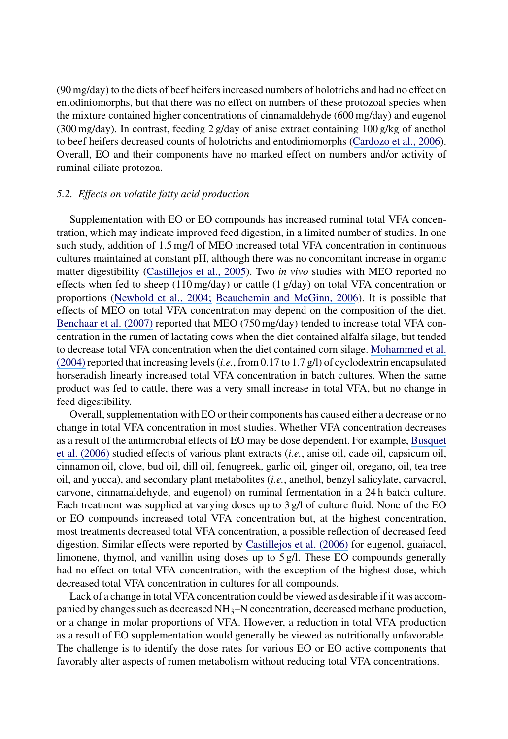$(90 \,\text{mg/day})$  to the diets of beef heifers increased numbers of holotrichs and had no effect on entodiniomorphs, but that there was no effect on numbers of these protozoal species when the mixture contained higher concentrations of cinnamaldehyde (600 mg/day) and eugenol (300 mg/day). In contrast, feeding 2 g/day of anise extract containing 100 g/kg of anethol to beef heifers decreased counts of holotrichs and entodiniomorphs ([Cardozo et al., 200](https://www.researchgate.net/publication/6818630_Effects_of_alfalfa_extract_anise_capsicum_and_a_mixture_of_cinnamaldehyde_and_eugenol_on_ruminal_fermentation_and_protein_degradation_in_beef_heifers_fed_a_high-concentrate_diet?el=1_x_8&enrichId=rgreq-c2a975f87c3c0a4ae4f72c568b2909c3-XXX&enrichSource=Y292ZXJQYWdlOzI0ODMzMjkyNjtBUzoxNjMyMTg0Nzk2NTY5NjBAMTQxNTkyNTcyNjMzOQ==)[6\).](#page-16-0) Overall, EO and their components have no marked effect on numbers and/or activity of ruminal ciliate protozoa.

# *5.2. Effects on volatile fatty acid production*

Supplementation with EO or EO compounds has increased ruminal total VFA concentration, which may indicate improved feed digestion, in a limited number of studies. In one such study, addition of 1.5 mg/l of MEO increased total VFA concentration in continuous cultures maintained at constant pH, although there was no concomitant increase in organic matter digestibility [\(](#page-16-0)[Castillejos et al., 200](https://www.researchgate.net/publication/232715600_Effects_of_a_specific_blend_of_essential_oil_compounds_and_the_type_of_diet_on_rumen_microbial_fermentation_and_nutrient_flow_from_a_continuous_culture_system?el=1_x_8&enrichId=rgreq-c2a975f87c3c0a4ae4f72c568b2909c3-XXX&enrichSource=Y292ZXJQYWdlOzI0ODMzMjkyNjtBUzoxNjMyMTg0Nzk2NTY5NjBAMTQxNTkyNTcyNjMzOQ==)[5\).](#page-16-0) Two *in vivo* studies with MEO reported no effects when fed to sheep  $(110 \text{ mg/day})$  or cattle  $(1 \text{ g/day})$  on total VFA concentration or proportions [\(N](#page-18-0)[ewbold et al., 2004;](https://www.researchgate.net/publication/248332725_Effects_of_a_specific_blend_of_essential_oil_compounds_on_rumen_fermentation?el=1_x_8&enrichId=rgreq-c2a975f87c3c0a4ae4f72c568b2909c3-XXX&enrichSource=Y292ZXJQYWdlOzI0ODMzMjkyNjtBUzoxNjMyMTg0Nzk2NTY5NjBAMTQxNTkyNTcyNjMzOQ==) [Beauchemin and McGinn, 200](https://www.researchgate.net/publication/7082581_Methane_emissions_from_beef_cattle_Effects_of_fumaric_acid_essential_oil_and_canola_oil1?el=1_x_8&enrichId=rgreq-c2a975f87c3c0a4ae4f72c568b2909c3-XXX&enrichSource=Y292ZXJQYWdlOzI0ODMzMjkyNjtBUzoxNjMyMTg0Nzk2NTY5NjBAMTQxNTkyNTcyNjMzOQ==)[6\).](#page-18-0) It is possible that effects of MEO on total VFA concentration may depend on the composition of the diet. [Benchaar et al. \(2007\)](https://www.researchgate.net/publication/6567967_Effects_of_Essential_Oils_on_Digestion_Ruminal_Fermentation_Rumen_Microbial_Populations_Milk_Production_and_Milk_Composition_in_Dairy_Cows_Fed_Alfalfa_Silage_or_Corn_Silage?el=1_x_8&enrichId=rgreq-c2a975f87c3c0a4ae4f72c568b2909c3-XXX&enrichSource=Y292ZXJQYWdlOzI0ODMzMjkyNjtBUzoxNjMyMTg0Nzk2NTY5NjBAMTQxNTkyNTcyNjMzOQ==) reported that MEO (750 mg/day) tended to increase total VFA concentration in the rumen of lactating cows when the diet contained alfalfa silage, but tended to decrease total VFA concentration when the diet contained corn silage. [Mohammed et al.](https://www.researchgate.net/publication/298309112_Effect_of_Japanese_horseradish_oil_on_methane_production_and_ruminal_fermentation_in_vitro_and_in_steers?el=1_x_8&enrichId=rgreq-c2a975f87c3c0a4ae4f72c568b2909c3-XXX&enrichSource=Y292ZXJQYWdlOzI0ODMzMjkyNjtBUzoxNjMyMTg0Nzk2NTY5NjBAMTQxNTkyNTcyNjMzOQ==) [\(2004\)](https://www.researchgate.net/publication/298309112_Effect_of_Japanese_horseradish_oil_on_methane_production_and_ruminal_fermentation_in_vitro_and_in_steers?el=1_x_8&enrichId=rgreq-c2a975f87c3c0a4ae4f72c568b2909c3-XXX&enrichSource=Y292ZXJQYWdlOzI0ODMzMjkyNjtBUzoxNjMyMTg0Nzk2NTY5NjBAMTQxNTkyNTcyNjMzOQ==) reported that increasing levels (*i.e.*, from 0.17 to 1.7 g/l) of cyclodextrin encapsulated horseradish linearly increased total VFA concentration in batch cultures. When the same product was fed to cattle, there was a very small increase in total VFA, but no change in feed digestibility.

Overall, supplementation with EO or their components has caused either a decrease or no change in total VFA concentration in most studies. Whether VFA concentration decreases as a result of the antimicrobial effects of EO may be dose dependent. For example, [Busquet](https://www.researchgate.net/publication/7343615_Plant_Extracts_Affect_In_Vitro_Rumen_Microbial_Fermentation?el=1_x_8&enrichId=rgreq-c2a975f87c3c0a4ae4f72c568b2909c3-XXX&enrichSource=Y292ZXJQYWdlOzI0ODMzMjkyNjtBUzoxNjMyMTg0Nzk2NTY5NjBAMTQxNTkyNTcyNjMzOQ==) [et al. \(2006\)](https://www.researchgate.net/publication/7343615_Plant_Extracts_Affect_In_Vitro_Rumen_Microbial_Fermentation?el=1_x_8&enrichId=rgreq-c2a975f87c3c0a4ae4f72c568b2909c3-XXX&enrichSource=Y292ZXJQYWdlOzI0ODMzMjkyNjtBUzoxNjMyMTg0Nzk2NTY5NjBAMTQxNTkyNTcyNjMzOQ==) studied effects of various plant extracts (*i.e.*, anise oil, cade oil, capsicum oil, cinnamon oil, clove, bud oil, dill oil, fenugreek, garlic oil, ginger oil, oregano, oil, tea tree oil, and yucca), and secondary plant metabolites (*i.e.*, anethol, benzyl salicylate, carvacrol, carvone, cinnamaldehyde, and eugenol) on ruminal fermentation in a 24 h batch culture. Each treatment was supplied at varying doses up to  $3 \text{ g/l}$  of culture fluid. None of the EO or EO compounds increased total VFA concentration but, at the highest concentration, most treatments decreased total VFA concentration, a possible reflection of decreased feed digestion. Similar effects were reported by [Castillejos et al. \(2006\)](https://www.researchgate.net/publication/7010279_Effect_of_Essential_Oil_Active_Compounds_on_Rumen_Microbial_Fermentation_and_Nutrient_Flow_in_In_Vitro_Systems?el=1_x_8&enrichId=rgreq-c2a975f87c3c0a4ae4f72c568b2909c3-XXX&enrichSource=Y292ZXJQYWdlOzI0ODMzMjkyNjtBUzoxNjMyMTg0Nzk2NTY5NjBAMTQxNTkyNTcyNjMzOQ==) for eugenol, guaiacol, limonene, thymol, and vanillin using doses up to 5 g/l. These EO compounds generally had no effect on total VFA concentration, with the exception of the highest dose, which decreased total VFA concentration in cultures for all compounds.

Lack of a change in total VFA concentration could be viewed as desirable if it was accompanied by changes such as decreased NH3–N concentration, decreased methane production, or a change in molar proportions of VFA. However, a reduction in total VFA production as a result of EO supplementation would generally be viewed as nutritionally unfavorable. The challenge is to identify the dose rates for various EO or EO active components that favorably alter aspects of rumen metabolism without reducing total VFA concentrations.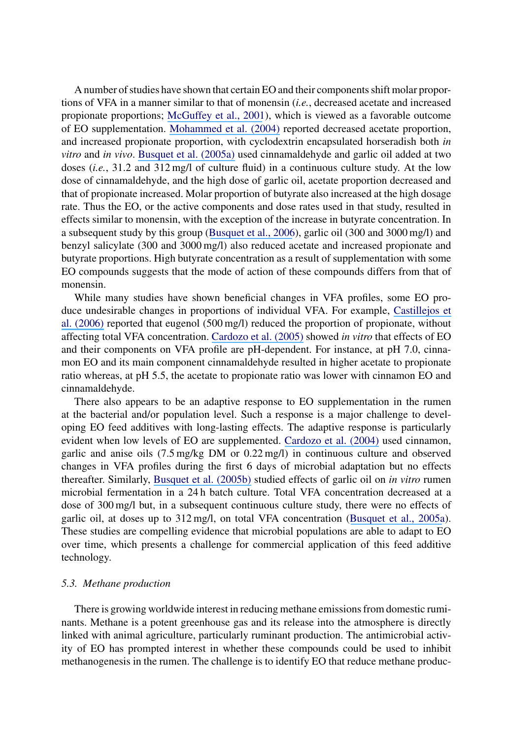A number of studies have shown that certain EO and their components shift molar proportions of VFA in a manner similar to that of monensin (*i.e.*, decreased acetate and increased propionate proportions; [McGuffey et al., 200](https://www.researchgate.net/publication/253864017_Ionophores_for_Dairy_Cattle_Current_Status_and_Future_Outlook?el=1_x_8&enrichId=rgreq-c2a975f87c3c0a4ae4f72c568b2909c3-XXX&enrichSource=Y292ZXJQYWdlOzI0ODMzMjkyNjtBUzoxNjMyMTg0Nzk2NTY5NjBAMTQxNTkyNTcyNjMzOQ==)[1\),](#page-17-0) which is viewed as a favorable outcome of EO supplementation. [Mohammed et al. \(2004\)](https://www.researchgate.net/publication/8491281_Effect_of_Japanese_horseradish_oil_on_methane_production_and_ruminal_fermentation?el=1_x_8&enrichId=rgreq-c2a975f87c3c0a4ae4f72c568b2909c3-XXX&enrichSource=Y292ZXJQYWdlOzI0ODMzMjkyNjtBUzoxNjMyMTg0Nzk2NTY5NjBAMTQxNTkyNTcyNjMzOQ==) reported decreased acetate proportion, and increased propionate proportion, with cyclodextrin encapsulated horseradish both *in vitro* and *in vivo*. [Busquet et al. \(2005a\)](https://www.researchgate.net/publication/7787150_Effects_of_Cinnamaldehyde_and_Garlic_Oil_on_Rumen_Microbial_Fermentation_in_a_Dual_Flow_Continuous_Culture?el=1_x_8&enrichId=rgreq-c2a975f87c3c0a4ae4f72c568b2909c3-XXX&enrichSource=Y292ZXJQYWdlOzI0ODMzMjkyNjtBUzoxNjMyMTg0Nzk2NTY5NjBAMTQxNTkyNTcyNjMzOQ==) used cinnamaldehyde and garlic oil added at two doses (*i.e.*, 31.2 and 312 mg/l of culture fluid) in a continuous culture study. At the low dose of cinnamaldehyde, and the high dose of garlic oil, acetate proportion decreased and that of propionate increased. Molar proportion of butyrate also increased at the high dosage rate. Thus the EO, or the active components and dose rates used in that study, resulted in effects similar to monensin, with the exception of the increase in butyrate concentration. In a subsequent study by this group [\(](#page-16-0)[Busquet et al., 200](https://www.researchgate.net/publication/7343615_Plant_Extracts_Affect_In_Vitro_Rumen_Microbial_Fermentation?el=1_x_8&enrichId=rgreq-c2a975f87c3c0a4ae4f72c568b2909c3-XXX&enrichSource=Y292ZXJQYWdlOzI0ODMzMjkyNjtBUzoxNjMyMTg0Nzk2NTY5NjBAMTQxNTkyNTcyNjMzOQ==)[6\),](#page-16-0) garlic oil (300 and 3000 mg/l) and benzyl salicylate (300 and 3000 mg/l) also reduced acetate and increased propionate and butyrate proportions. High butyrate concentration as a result of supplementation with some EO compounds suggests that the mode of action of these compounds differs from that of monensin.

While many studies have shown beneficial changes in VFA profiles, some EO produce undesirable changes in proportions of individual VFA. For example, [Castillejos et](https://www.researchgate.net/publication/7010279_Effect_of_Essential_Oil_Active_Compounds_on_Rumen_Microbial_Fermentation_and_Nutrient_Flow_in_In_Vitro_Systems?el=1_x_8&enrichId=rgreq-c2a975f87c3c0a4ae4f72c568b2909c3-XXX&enrichSource=Y292ZXJQYWdlOzI0ODMzMjkyNjtBUzoxNjMyMTg0Nzk2NTY5NjBAMTQxNTkyNTcyNjMzOQ==) [al. \(2006\)](https://www.researchgate.net/publication/7010279_Effect_of_Essential_Oil_Active_Compounds_on_Rumen_Microbial_Fermentation_and_Nutrient_Flow_in_In_Vitro_Systems?el=1_x_8&enrichId=rgreq-c2a975f87c3c0a4ae4f72c568b2909c3-XXX&enrichSource=Y292ZXJQYWdlOzI0ODMzMjkyNjtBUzoxNjMyMTg0Nzk2NTY5NjBAMTQxNTkyNTcyNjMzOQ==) reported that eugenol (500 mg/l) reduced the proportion of propionate, without affecting total VFA concentration. [Cardozo et al. \(2005\)](https://www.researchgate.net/publication/7535093_Screening_for_the_effects_at_two_pH_levels_on_in_vitro_rumen_microbial_fermentation_of_a_high-concentrate_beef_cattle_diet?el=1_x_8&enrichId=rgreq-c2a975f87c3c0a4ae4f72c568b2909c3-XXX&enrichSource=Y292ZXJQYWdlOzI0ODMzMjkyNjtBUzoxNjMyMTg0Nzk2NTY5NjBAMTQxNTkyNTcyNjMzOQ==) showed *in vitro* that effects of EO and their components on VFA profile are pH-dependent. For instance, at pH 7.0, cinnamon EO and its main component cinnamaldehyde resulted in higher acetate to propionate ratio whereas, at pH 5.5, the acetate to propionate ratio was lower with cinnamon EO and cinnamaldehyde.

There also appears to be an adaptive response to EO supplementation in the rumen at the bacterial and/or population level. Such a response is a major challenge to developing EO feed additives with long-lasting effects. The adaptive response is particularly evident when low levels of EO are supplemented. [Cardozo et al. \(2004\)](https://www.researchgate.net/publication/8185439_Effects_of_natural_plant_extracts_on_ruminal_protein_degradation_and_fermentation_profiles_in_continuous_culture1?el=1_x_8&enrichId=rgreq-c2a975f87c3c0a4ae4f72c568b2909c3-XXX&enrichSource=Y292ZXJQYWdlOzI0ODMzMjkyNjtBUzoxNjMyMTg0Nzk2NTY5NjBAMTQxNTkyNTcyNjMzOQ==) used cinnamon, garlic and anise oils (7.5 mg/kg DM or 0.22 mg/l) in continuous culture and observed changes in VFA profiles during the first 6 days of microbial adaptation but no effects thereafter. Similarly, [Busquet et al. \(2005b\)](https://www.researchgate.net/publication/7476181_Effect_of_Garlic_Oil_and_Four_of_its_Compounds_on_Rumen_Microbial_Fermentation?el=1_x_8&enrichId=rgreq-c2a975f87c3c0a4ae4f72c568b2909c3-XXX&enrichSource=Y292ZXJQYWdlOzI0ODMzMjkyNjtBUzoxNjMyMTg0Nzk2NTY5NjBAMTQxNTkyNTcyNjMzOQ==) studied effects of garlic oil on *in vitro* rumen microbial fermentation in a 24 h batch culture. Total VFA concentration decreased at a dose of 300 mg/l but, in a subsequent continuous culture study, there were no effects of garlic oil, at doses up to 312 mg/l, on total VFA concentration ([Busquet et al., 2005](https://www.researchgate.net/publication/7787150_Effects_of_Cinnamaldehyde_and_Garlic_Oil_on_Rumen_Microbial_Fermentation_in_a_Dual_Flow_Continuous_Culture?el=1_x_8&enrichId=rgreq-c2a975f87c3c0a4ae4f72c568b2909c3-XXX&enrichSource=Y292ZXJQYWdlOzI0ODMzMjkyNjtBUzoxNjMyMTg0Nzk2NTY5NjBAMTQxNTkyNTcyNjMzOQ==)[a\).](#page-16-0) These studies are compelling evidence that microbial populations are able to adapt to EO over time, which presents a challenge for commercial application of this feed additive technology.

### *5.3. Methane production*

There is growing worldwide interest in reducing methane emissions from domestic ruminants. Methane is a potent greenhouse gas and its release into the atmosphere is directly linked with animal agriculture, particularly ruminant production. The antimicrobial activity of EO has prompted interest in whether these compounds could be used to inhibit methanogenesis in the rumen. The challenge is to identify EO that reduce methane produc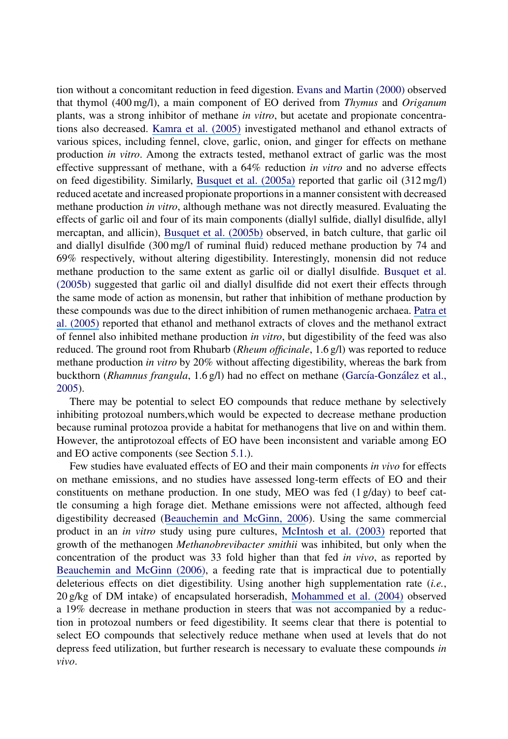tion without a concomitant reduction in feed digestion. [Evans and Martin \(2000\)](#page-16-0) observed that thymol (400 mg/l), a main component of EO derived from *Thymus* and *Origanum* plants, was a strong inhibitor of methane *in vitro*, but acetate and propionate concentrations also decreased. [Kamra et al. \(2005\)](https://www.researchgate.net/publication/223034229_Inhibition_of_ruminal_methanogenesis_by_tropical_plants_containing_secondary_compounds?el=1_x_8&enrichId=rgreq-c2a975f87c3c0a4ae4f72c568b2909c3-XXX&enrichSource=Y292ZXJQYWdlOzI0ODMzMjkyNjtBUzoxNjMyMTg0Nzk2NTY5NjBAMTQxNTkyNTcyNjMzOQ==) investigated methanol and ethanol extracts of various spices, including fennel, clove, garlic, onion, and ginger for effects on methane production *in vitro*. Among the extracts tested, methanol extract of garlic was the most effective suppressant of methane, with a 64% reduction *in vitro* and no adverse effects on feed digestibility. Similarly, [Busquet et al. \(2005a\)](https://www.researchgate.net/publication/7787150_Effects_of_Cinnamaldehyde_and_Garlic_Oil_on_Rumen_Microbial_Fermentation_in_a_Dual_Flow_Continuous_Culture?el=1_x_8&enrichId=rgreq-c2a975f87c3c0a4ae4f72c568b2909c3-XXX&enrichSource=Y292ZXJQYWdlOzI0ODMzMjkyNjtBUzoxNjMyMTg0Nzk2NTY5NjBAMTQxNTkyNTcyNjMzOQ==) reported that garlic oil (312 mg/l) reduced acetate and increased propionate proportions in a manner consistent with decreased methane production *in vitro*, although methane was not directly measured. Evaluating the effects of garlic oil and four of its main components (diallyl sulfide, diallyl disulfide, allyl mercaptan, and allicin), [Busquet et al. \(2005b\)](https://www.researchgate.net/publication/7476181_Effect_of_Garlic_Oil_and_Four_of_its_Compounds_on_Rumen_Microbial_Fermentation?el=1_x_8&enrichId=rgreq-c2a975f87c3c0a4ae4f72c568b2909c3-XXX&enrichSource=Y292ZXJQYWdlOzI0ODMzMjkyNjtBUzoxNjMyMTg0Nzk2NTY5NjBAMTQxNTkyNTcyNjMzOQ==) observed, in batch culture, that garlic oil and diallyl disulfide (300 mg/l of ruminal fluid) reduced methane production by 74 and 69% respectively, without altering digestibility. Interestingly, monensin did not reduce methane production to the same extent as garlic oil or diallyl disulfide. [Busquet et al.](#page-16-0) [\(2005b\)](#page-16-0) suggested that garlic oil and diallyl disulfide did not exert their effects through the same mode of action as monensin, but rather that inhibition of methane production by these compounds was due to the direct inhibition of rumen methanogenic archaea. [Patra et](https://www.researchgate.net/publication/223305808_Effect_of_spices_on_rumen_fermentation_methanogenesis_and_protozoa_counts_in_in_vitro_gas_production_test?el=1_x_8&enrichId=rgreq-c2a975f87c3c0a4ae4f72c568b2909c3-XXX&enrichSource=Y292ZXJQYWdlOzI0ODMzMjkyNjtBUzoxNjMyMTg0Nzk2NTY5NjBAMTQxNTkyNTcyNjMzOQ==) [al. \(2005\)](https://www.researchgate.net/publication/223305808_Effect_of_spices_on_rumen_fermentation_methanogenesis_and_protozoa_counts_in_in_vitro_gas_production_test?el=1_x_8&enrichId=rgreq-c2a975f87c3c0a4ae4f72c568b2909c3-XXX&enrichSource=Y292ZXJQYWdlOzI0ODMzMjkyNjtBUzoxNjMyMTg0Nzk2NTY5NjBAMTQxNTkyNTcyNjMzOQ==) reported that ethanol and methanol extracts of cloves and the methanol extract of fennel also inhibited methane production *in vitro*, but digestibility of the feed was also reduced. The ground root from Rhubarb (*Rheum officinale*, 1.6 g/l) was reported to reduce methane production *in vitro* by 20% without affecting digestibility, whereas the bark from buckthorn (*Rhamnus frangula*, 1.6 g/l) had no effect on methane (García-González et al., [2005\).](#page-17-0)

There may be potential to select EO compounds that reduce methane by selectively inhibiting protozoal numbers,which would be expected to decrease methane production because ruminal protozoa provide a habitat for methanogens that live on and within them. However, the antiprotozoal effects of EO have been inconsistent and variable among EO and EO active components (see Section [5.1.\)](#page-6-0).

Few studies have evaluated effects of EO and their main components *in vivo* for effects on methane emissions, and no studies have assessed long-term effects of EO and their constituents on methane production. In one study, MEO was fed (1 g/day) to beef cattle consuming a high forage diet. Methane emissions were not affected, although feed digestibility decreased [\(B](#page-15-0)[eauchemin and McGinn, 200](https://www.researchgate.net/publication/7082581_Methane_emissions_from_beef_cattle_Effects_of_fumaric_acid_essential_oil_and_canola_oil1?el=1_x_8&enrichId=rgreq-c2a975f87c3c0a4ae4f72c568b2909c3-XXX&enrichSource=Y292ZXJQYWdlOzI0ODMzMjkyNjtBUzoxNjMyMTg0Nzk2NTY5NjBAMTQxNTkyNTcyNjMzOQ==)[6\).](#page-15-0) Using the same commercial product in an *in vitro* study using pure cultures, [McIntosh et al. \(2003\)](https://www.researchgate.net/publication/10627333_Effects_of_Essential_Oils_on_Ruminal_Microorganisms_and_Their_Protein_Metabolism?el=1_x_8&enrichId=rgreq-c2a975f87c3c0a4ae4f72c568b2909c3-XXX&enrichSource=Y292ZXJQYWdlOzI0ODMzMjkyNjtBUzoxNjMyMTg0Nzk2NTY5NjBAMTQxNTkyNTcyNjMzOQ==) reported that growth of the methanogen *Methanobrevibacter smithii* was inhibited, but only when the concentration of the product was 33 fold higher than that fed *in vivo*, as reported by [Beauchemin and McGinn \(2006](https://www.researchgate.net/publication/7082581_Methane_emissions_from_beef_cattle_Effects_of_fumaric_acid_essential_oil_and_canola_oil1?el=1_x_8&enrichId=rgreq-c2a975f87c3c0a4ae4f72c568b2909c3-XXX&enrichSource=Y292ZXJQYWdlOzI0ODMzMjkyNjtBUzoxNjMyMTg0Nzk2NTY5NjBAMTQxNTkyNTcyNjMzOQ==)[\),](#page-15-0) a feeding rate that is impractical due to potentially deleterious effects on diet digestibility. Using another high supplementation rate (*i.e.*, 20 g/kg of DM intake) of encapsulated horseradish, [Mohammed et al. \(2004\)](https://www.researchgate.net/publication/8491281_Effect_of_Japanese_horseradish_oil_on_methane_production_and_ruminal_fermentation?el=1_x_8&enrichId=rgreq-c2a975f87c3c0a4ae4f72c568b2909c3-XXX&enrichSource=Y292ZXJQYWdlOzI0ODMzMjkyNjtBUzoxNjMyMTg0Nzk2NTY5NjBAMTQxNTkyNTcyNjMzOQ==) observed a 19% decrease in methane production in steers that was not accompanied by a reduction in protozoal numbers or feed digestibility. It seems clear that there is potential to select EO compounds that selectively reduce methane when used at levels that do not depress feed utilization, but further research is necessary to evaluate these compounds *in vivo*.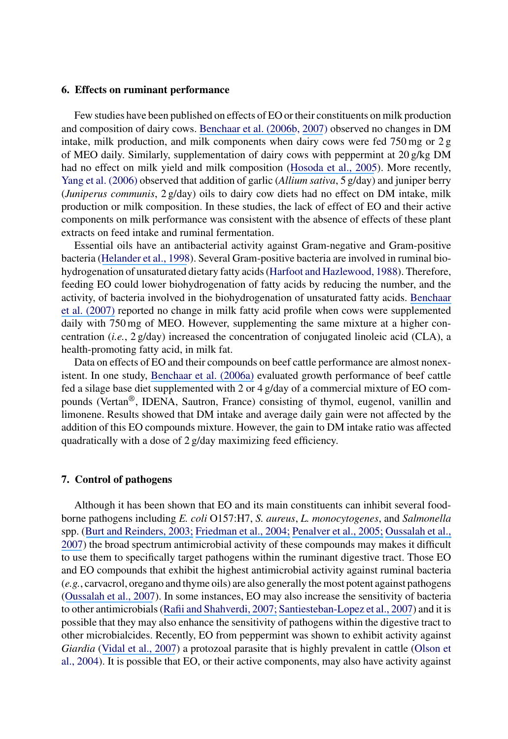#### **6. Effects on ruminant performance**

Few studies have been published on effects of EO or their constituents on milk production and composition of dairy cows. [Benchaar et al. \(2006](https://www.researchgate.net/publication/6762265_Effects_of_Addition_of_Essential_Oils_and_Monensin_Premix_on_Digestion_Ruminal_Fermentation_Milk_Production_and_Milk_Composition_in_Dairy_Cows?el=1_x_8&enrichId=rgreq-c2a975f87c3c0a4ae4f72c568b2909c3-XXX&enrichSource=Y292ZXJQYWdlOzI0ODMzMjkyNjtBUzoxNjMyMTg0Nzk2NTY5NjBAMTQxNTkyNTcyNjMzOQ==)[b,](#page-15-0) [200](https://www.researchgate.net/publication/6567967_Effects_of_Essential_Oils_on_Digestion_Ruminal_Fermentation_Rumen_Microbial_Populations_Milk_Production_and_Milk_Composition_in_Dairy_Cows_Fed_Alfalfa_Silage_or_Corn_Silage?el=1_x_8&enrichId=rgreq-c2a975f87c3c0a4ae4f72c568b2909c3-XXX&enrichSource=Y292ZXJQYWdlOzI0ODMzMjkyNjtBUzoxNjMyMTg0Nzk2NTY5NjBAMTQxNTkyNTcyNjMzOQ==)[7\)](#page-15-0) observed no changes in DM intake, milk production, and milk components when dairy cows were fed 750 mg or 2 g of MEO daily. Similarly, supplementation of dairy cows with peppermint at 20 g/kg DM had no effect on milk yield and milk composition [\(](#page-17-0)[Hosoda et al., 200](https://www.researchgate.net/publication/264152684_Influence_of_Menthapiperita_L_Peppermint_Supplementation_on_Nutrient_Digestibility_and_Energy_Metabolism_in_Lactating_Dairy_Cows?el=1_x_8&enrichId=rgreq-c2a975f87c3c0a4ae4f72c568b2909c3-XXX&enrichSource=Y292ZXJQYWdlOzI0ODMzMjkyNjtBUzoxNjMyMTg0Nzk2NTY5NjBAMTQxNTkyNTcyNjMzOQ==)[5\).](#page-17-0) More recently, [Yang et al. \(2006\)](#page-19-0) observed that addition of garlic (*Allium sativa*, 5 g/day) and juniper berry (*Juniperus communis*, 2 g/day) oils to dairy cow diets had no effect on DM intake, milk production or milk composition. In these studies, the lack of effect of EO and their active components on milk performance was consistent with the absence of effects of these plant extracts on feed intake and ruminal fermentation.

Essential oils have an antibacterial activity against Gram-negative and Gram-positive bacteria [\(](#page-17-0)[Helander et al., 199](https://www.researchgate.net/publication/40153105_Characterization_of_the_Action_of_Selected_Essential_Oil_Components_on_Gram-Negative_Bacteria?el=1_x_8&enrichId=rgreq-c2a975f87c3c0a4ae4f72c568b2909c3-XXX&enrichSource=Y292ZXJQYWdlOzI0ODMzMjkyNjtBUzoxNjMyMTg0Nzk2NTY5NjBAMTQxNTkyNTcyNjMzOQ==)[8\).](#page-17-0) Several Gram-positive bacteria are involved in ruminal biohydrogenation of unsaturated dietary fatty acids ([Harfoot and Hazlewood, 1988\).](#page-17-0) Therefore, feeding EO could lower biohydrogenation of fatty acids by reducing the number, and the activity, of bacteria involved in the biohydrogenation of unsaturated fatty acids. [Benchaar](https://www.researchgate.net/publication/6567967_Effects_of_Essential_Oils_on_Digestion_Ruminal_Fermentation_Rumen_Microbial_Populations_Milk_Production_and_Milk_Composition_in_Dairy_Cows_Fed_Alfalfa_Silage_or_Corn_Silage?el=1_x_8&enrichId=rgreq-c2a975f87c3c0a4ae4f72c568b2909c3-XXX&enrichSource=Y292ZXJQYWdlOzI0ODMzMjkyNjtBUzoxNjMyMTg0Nzk2NTY5NjBAMTQxNTkyNTcyNjMzOQ==) [et al. \(2007\)](https://www.researchgate.net/publication/6567967_Effects_of_Essential_Oils_on_Digestion_Ruminal_Fermentation_Rumen_Microbial_Populations_Milk_Production_and_Milk_Composition_in_Dairy_Cows_Fed_Alfalfa_Silage_or_Corn_Silage?el=1_x_8&enrichId=rgreq-c2a975f87c3c0a4ae4f72c568b2909c3-XXX&enrichSource=Y292ZXJQYWdlOzI0ODMzMjkyNjtBUzoxNjMyMTg0Nzk2NTY5NjBAMTQxNTkyNTcyNjMzOQ==) reported no change in milk fatty acid profile when cows were supplemented daily with 750 mg of MEO. However, supplementing the same mixture at a higher concentration (*i.e.*, 2 g/day) increased the concentration of conjugated linoleic acid (CLA), a health-promoting fatty acid, in milk fat.

Data on effects of EO and their compounds on beef cattle performance are almost nonexistent. In one study, [Benchaar et al. \(2006a\)](https://www.researchgate.net/publication/280021119_Effects_of_monensin_and_increasing_dose_levels_of_a_mixture_of_essential_oil_compounds_on_intake_digestion_and_growth_performance_of_beef_cattle?el=1_x_8&enrichId=rgreq-c2a975f87c3c0a4ae4f72c568b2909c3-XXX&enrichSource=Y292ZXJQYWdlOzI0ODMzMjkyNjtBUzoxNjMyMTg0Nzk2NTY5NjBAMTQxNTkyNTcyNjMzOQ==) evaluated growth performance of beef cattle fed a silage base diet supplemented with 2 or 4  $g$ /day of a commercial mixture of EO compounds (Vertan®, IDENA, Sautron, France) consisting of thymol, eugenol, vanillin and limonene. Results showed that DM intake and average daily gain were not affected by the addition of this EO compounds mixture. However, the gain to DM intake ratio was affected quadratically with a dose of 2 g/day maximizing feed efficiency.

#### **7. Control of pathogens**

Although it has been shown that EO and its main constituents can inhibit several foodborne pathogens including *E. coli* O157:H7, *S. aureus*, *L. monocytogenes*, and *Salmonella* spp. [\(](#page-16-0)[Burt and Reinders, 2003;](https://www.researchgate.net/publication/10905922_Antibacterial_activity_of_selected_plant_essential_oils_against_Escherichia_coli_O157H7?el=1_x_8&enrichId=rgreq-c2a975f87c3c0a4ae4f72c568b2909c3-XXX&enrichSource=Y292ZXJQYWdlOzI0ODMzMjkyNjtBUzoxNjMyMTg0Nzk2NTY5NjBAMTQxNTkyNTcyNjMzOQ==) [Friedman et al., 2004;](https://www.researchgate.net/publication/8347601_Antibacterial_Activities_of_Plant_Essential_Oils_and_Their_Components_against_Escherichia_coli_O157H7_and_Salmonella_enterica_in_Apple_Juice?el=1_x_8&enrichId=rgreq-c2a975f87c3c0a4ae4f72c568b2909c3-XXX&enrichSource=Y292ZXJQYWdlOzI0ODMzMjkyNjtBUzoxNjMyMTg0Nzk2NTY5NjBAMTQxNTkyNTcyNjMzOQ==) [Penalver et al., 2005;](https://www.researchgate.net/publication/8056112_Antimicrobial_activity_of_five_essential_oils_against_origin_strains_of_the_Enterobacteriaceae_family?el=1_x_8&enrichId=rgreq-c2a975f87c3c0a4ae4f72c568b2909c3-XXX&enrichSource=Y292ZXJQYWdlOzI0ODMzMjkyNjtBUzoxNjMyMTg0Nzk2NTY5NjBAMTQxNTkyNTcyNjMzOQ==) [Oussalah et al.,](https://www.researchgate.net/publication/223787706_Inhibitory_effects_of_selected_plant_essential_oils_on_the_growth_of_four_pathogenic_bacteria_E_coli_O157H7_Salmonella_Typhimurium_Staphylococcus_aureus_and_Listeria_monocytogenes?el=1_x_8&enrichId=rgreq-c2a975f87c3c0a4ae4f72c568b2909c3-XXX&enrichSource=Y292ZXJQYWdlOzI0ODMzMjkyNjtBUzoxNjMyMTg0Nzk2NTY5NjBAMTQxNTkyNTcyNjMzOQ==) [200](https://www.researchgate.net/publication/223787706_Inhibitory_effects_of_selected_plant_essential_oils_on_the_growth_of_four_pathogenic_bacteria_E_coli_O157H7_Salmonella_Typhimurium_Staphylococcus_aureus_and_Listeria_monocytogenes?el=1_x_8&enrichId=rgreq-c2a975f87c3c0a4ae4f72c568b2909c3-XXX&enrichSource=Y292ZXJQYWdlOzI0ODMzMjkyNjtBUzoxNjMyMTg0Nzk2NTY5NjBAMTQxNTkyNTcyNjMzOQ==)[7\)](#page-16-0) the broad spectrum antimicrobial activity of these compounds may makes it difficult to use them to specifically target pathogens within the ruminant digestive tract. Those EO and EO compounds that exhibit the highest antimicrobial activity against ruminal bacteria (*e.g.*, carvacrol, oregano and thyme oils) are also generally the most potent against pathogens ([Oussalah et al., 200](https://www.researchgate.net/publication/223787706_Inhibitory_effects_of_selected_plant_essential_oils_on_the_growth_of_four_pathogenic_bacteria_E_coli_O157H7_Salmonella_Typhimurium_Staphylococcus_aureus_and_Listeria_monocytogenes?el=1_x_8&enrichId=rgreq-c2a975f87c3c0a4ae4f72c568b2909c3-XXX&enrichSource=Y292ZXJQYWdlOzI0ODMzMjkyNjtBUzoxNjMyMTg0Nzk2NTY5NjBAMTQxNTkyNTcyNjMzOQ==)[7\).](#page-18-0) In some instances, EO may also increase the sensitivity of bacteria to other antimicrobials [\(](#page-18-0)[Rafii and Shahverdi, 2007;](https://www.researchgate.net/publication/6607362_Comparison_of_Essential_Oils_from_Three_Plants_for_Enhancement_of_Antimicrobial_Activity_of_Nitrofurantoin_against_Enterobacteria?el=1_x_8&enrichId=rgreq-c2a975f87c3c0a4ae4f72c568b2909c3-XXX&enrichSource=Y292ZXJQYWdlOzI0ODMzMjkyNjtBUzoxNjMyMTg0Nzk2NTY5NjBAMTQxNTkyNTcyNjMzOQ==) [Santiesteban-Lopez et al., 2007](https://www.researchgate.net/publication/6562425_Susceptibility_of_food-borne_bacteria_to_binary_combinations_of_antimicrobials_at_selected_a_w_and_pH?el=1_x_8&enrichId=rgreq-c2a975f87c3c0a4ae4f72c568b2909c3-XXX&enrichSource=Y292ZXJQYWdlOzI0ODMzMjkyNjtBUzoxNjMyMTg0Nzk2NTY5NjBAMTQxNTkyNTcyNjMzOQ==)[\) a](#page-18-0)nd it is possible that they may also enhance the sensitivity of pathogens within the digestive tract to other microbialcides. Recently, EO from peppermint was shown to exhibit activity against *Giardia* ([Vidal et al., 200](https://www.researchgate.net/publication/6943179_Giardia_lamblia_The_effects_of_extracts_and_fractions_from_Mentha_x_piperita_Lin_Lamiaceae_on_trophozoites?el=1_x_8&enrichId=rgreq-c2a975f87c3c0a4ae4f72c568b2909c3-XXX&enrichSource=Y292ZXJQYWdlOzI0ODMzMjkyNjtBUzoxNjMyMTg0Nzk2NTY5NjBAMTQxNTkyNTcyNjMzOQ==)[7\)](#page-18-0) a protozoal parasite that is highly prevalent in cattle [\(Olson et](#page-18-0) [al., 2004\).](#page-18-0) It is possible that EO, or their active components, may also have activity against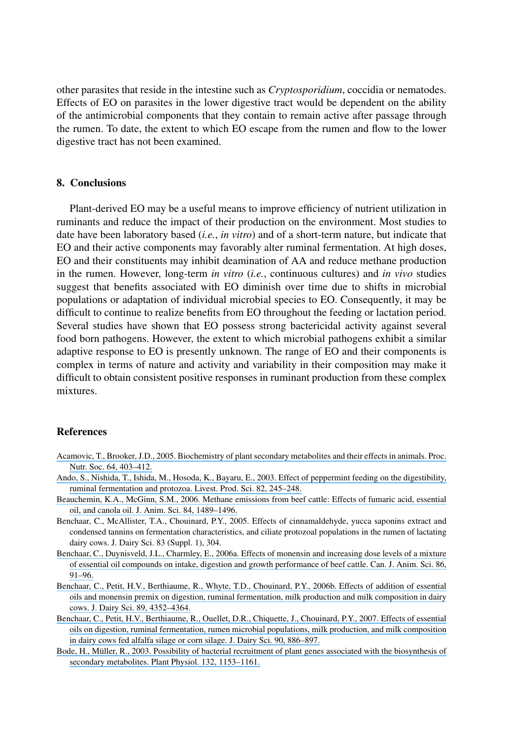<span id="page-15-0"></span>other parasites that reside in the intestine such as *Cryptosporidium*, coccidia or nematodes. Effects of EO on parasites in the lower digestive tract would be dependent on the ability of the antimicrobial components that they contain to remain active after passage through the rumen. To date, the extent to which EO escape from the rumen and flow to the lower digestive tract has not been examined.

# **8. Conclusions**

Plant-derived EO may be a useful means to improve efficiency of nutrient utilization in ruminants and reduce the impact of their production on the environment. Most studies to date have been laboratory based (*i.e.*, *in vitro*) and of a short-term nature, but indicate that EO and their active components may favorably alter ruminal fermentation. At high doses, EO and their constituents may inhibit deamination of AA and reduce methane production in the rumen. However, long-term *in vitro* (*i.e.*, continuous cultures) and *in vivo* studies suggest that benefits associated with EO diminish over time due to shifts in microbial populations or adaptation of individual microbial species to EO. Consequently, it may be difficult to continue to realize benefits from EO throughout the feeding or lactation period. Several studies have shown that EO possess strong bactericidal activity against several food born pathogens. However, the extent to which microbial pathogens exhibit a similar adaptive response to EO is presently unknown. The range of EO and their components is complex in terms of nature and activity and variability in their composition may make it difficult to obtain consistent positive responses in ruminant production from these complex mixtures.

# **References**

- [Acamovic, T., Brooker, J.D., 2005. Biochemistry of plant secondary metabolites and their effects in animals. Proc.](https://www.researchgate.net/publication/7696394_Symposium_on_plants_as_animal_foods_a_case_of_catch_22_Biochemistry_of_plant_secondary_metabolites_and_their_effects_in_animals?el=1_x_8&enrichId=rgreq-c2a975f87c3c0a4ae4f72c568b2909c3-XXX&enrichSource=Y292ZXJQYWdlOzI0ODMzMjkyNjtBUzoxNjMyMTg0Nzk2NTY5NjBAMTQxNTkyNTcyNjMzOQ==) [Nutr. Soc. 64, 403–412.](https://www.researchgate.net/publication/7696394_Symposium_on_plants_as_animal_foods_a_case_of_catch_22_Biochemistry_of_plant_secondary_metabolites_and_their_effects_in_animals?el=1_x_8&enrichId=rgreq-c2a975f87c3c0a4ae4f72c568b2909c3-XXX&enrichSource=Y292ZXJQYWdlOzI0ODMzMjkyNjtBUzoxNjMyMTg0Nzk2NTY5NjBAMTQxNTkyNTcyNjMzOQ==)
- [Ando, S., Nishida, T., Ishida, M., Hosoda, K., Bayaru, E., 2003. Effect of peppermint feeding on the digestibility,](https://www.researchgate.net/publication/248259163_Effect_of_peppermint_feeding_on_the_digestibility_ruminal_fermentation_and_protozoa?el=1_x_8&enrichId=rgreq-c2a975f87c3c0a4ae4f72c568b2909c3-XXX&enrichSource=Y292ZXJQYWdlOzI0ODMzMjkyNjtBUzoxNjMyMTg0Nzk2NTY5NjBAMTQxNTkyNTcyNjMzOQ==) [ruminal fermentation and protozoa. Livest. Prod. Sci. 82, 245–248.](https://www.researchgate.net/publication/248259163_Effect_of_peppermint_feeding_on_the_digestibility_ruminal_fermentation_and_protozoa?el=1_x_8&enrichId=rgreq-c2a975f87c3c0a4ae4f72c568b2909c3-XXX&enrichSource=Y292ZXJQYWdlOzI0ODMzMjkyNjtBUzoxNjMyMTg0Nzk2NTY5NjBAMTQxNTkyNTcyNjMzOQ==)
- [Beauchemin, K.A., McGinn, S.M., 2006. Methane emissions from beef cattle: Effects of fumaric acid, essential](https://www.researchgate.net/publication/7082581_Methane_emissions_from_beef_cattle_Effects_of_fumaric_acid_essential_oil_and_canola_oil1?el=1_x_8&enrichId=rgreq-c2a975f87c3c0a4ae4f72c568b2909c3-XXX&enrichSource=Y292ZXJQYWdlOzI0ODMzMjkyNjtBUzoxNjMyMTg0Nzk2NTY5NjBAMTQxNTkyNTcyNjMzOQ==) [oil, and canola oil. J. Anim. Sci. 84, 1489–1496.](https://www.researchgate.net/publication/7082581_Methane_emissions_from_beef_cattle_Effects_of_fumaric_acid_essential_oil_and_canola_oil1?el=1_x_8&enrichId=rgreq-c2a975f87c3c0a4ae4f72c568b2909c3-XXX&enrichSource=Y292ZXJQYWdlOzI0ODMzMjkyNjtBUzoxNjMyMTg0Nzk2NTY5NjBAMTQxNTkyNTcyNjMzOQ==)
- Benchaar, C., McAllister, T.A., Chouinard, P.Y., 2005. Effects of cinnamaldehyde, yucca saponins extract and condensed tannins on fermentation characteristics, and ciliate protozoal populations in the rumen of lactating dairy cows. J. Dairy Sci. 83 (Suppl. 1), 304.
- [Benchaar, C., Duynisveld, J.L., Charmley, E., 2006a. Effects of monensin and increasing dose levels of a mixture](https://www.researchgate.net/publication/280021119_Effects_of_monensin_and_increasing_dose_levels_of_a_mixture_of_essential_oil_compounds_on_intake_digestion_and_growth_performance_of_beef_cattle?el=1_x_8&enrichId=rgreq-c2a975f87c3c0a4ae4f72c568b2909c3-XXX&enrichSource=Y292ZXJQYWdlOzI0ODMzMjkyNjtBUzoxNjMyMTg0Nzk2NTY5NjBAMTQxNTkyNTcyNjMzOQ==) [of essential oil compounds on intake, digestion and growth performance of beef cattle. Can. J. Anim. Sci. 86,](https://www.researchgate.net/publication/280021119_Effects_of_monensin_and_increasing_dose_levels_of_a_mixture_of_essential_oil_compounds_on_intake_digestion_and_growth_performance_of_beef_cattle?el=1_x_8&enrichId=rgreq-c2a975f87c3c0a4ae4f72c568b2909c3-XXX&enrichSource=Y292ZXJQYWdlOzI0ODMzMjkyNjtBUzoxNjMyMTg0Nzk2NTY5NjBAMTQxNTkyNTcyNjMzOQ==) [91–96.](https://www.researchgate.net/publication/280021119_Effects_of_monensin_and_increasing_dose_levels_of_a_mixture_of_essential_oil_compounds_on_intake_digestion_and_growth_performance_of_beef_cattle?el=1_x_8&enrichId=rgreq-c2a975f87c3c0a4ae4f72c568b2909c3-XXX&enrichSource=Y292ZXJQYWdlOzI0ODMzMjkyNjtBUzoxNjMyMTg0Nzk2NTY5NjBAMTQxNTkyNTcyNjMzOQ==)
- [Benchaar, C., Petit, H.V., Berthiaume, R., Whyte, T.D., Chouinard, P.Y., 2006b. Effects of addition of essential](https://www.researchgate.net/publication/6762265_Effects_of_Addition_of_Essential_Oils_and_Monensin_Premix_on_Digestion_Ruminal_Fermentation_Milk_Production_and_Milk_Composition_in_Dairy_Cows?el=1_x_8&enrichId=rgreq-c2a975f87c3c0a4ae4f72c568b2909c3-XXX&enrichSource=Y292ZXJQYWdlOzI0ODMzMjkyNjtBUzoxNjMyMTg0Nzk2NTY5NjBAMTQxNTkyNTcyNjMzOQ==) [oils and monensin premix on digestion, ruminal fermentation, milk production and milk composition in dairy](https://www.researchgate.net/publication/6762265_Effects_of_Addition_of_Essential_Oils_and_Monensin_Premix_on_Digestion_Ruminal_Fermentation_Milk_Production_and_Milk_Composition_in_Dairy_Cows?el=1_x_8&enrichId=rgreq-c2a975f87c3c0a4ae4f72c568b2909c3-XXX&enrichSource=Y292ZXJQYWdlOzI0ODMzMjkyNjtBUzoxNjMyMTg0Nzk2NTY5NjBAMTQxNTkyNTcyNjMzOQ==) [cows. J. Dairy Sci. 89, 4352–4364.](https://www.researchgate.net/publication/6762265_Effects_of_Addition_of_Essential_Oils_and_Monensin_Premix_on_Digestion_Ruminal_Fermentation_Milk_Production_and_Milk_Composition_in_Dairy_Cows?el=1_x_8&enrichId=rgreq-c2a975f87c3c0a4ae4f72c568b2909c3-XXX&enrichSource=Y292ZXJQYWdlOzI0ODMzMjkyNjtBUzoxNjMyMTg0Nzk2NTY5NjBAMTQxNTkyNTcyNjMzOQ==)
- [Benchaar, C., Petit, H.V., Berthiaume, R., Ouellet, D.R., Chiquette, J., Chouinard, P.Y., 2007. Effects of essential](https://www.researchgate.net/publication/6567967_Effects_of_Essential_Oils_on_Digestion_Ruminal_Fermentation_Rumen_Microbial_Populations_Milk_Production_and_Milk_Composition_in_Dairy_Cows_Fed_Alfalfa_Silage_or_Corn_Silage?el=1_x_8&enrichId=rgreq-c2a975f87c3c0a4ae4f72c568b2909c3-XXX&enrichSource=Y292ZXJQYWdlOzI0ODMzMjkyNjtBUzoxNjMyMTg0Nzk2NTY5NjBAMTQxNTkyNTcyNjMzOQ==) [oils on digestion, ruminal fermentation, rumen microbial populations, milk production, and milk composition](https://www.researchgate.net/publication/6567967_Effects_of_Essential_Oils_on_Digestion_Ruminal_Fermentation_Rumen_Microbial_Populations_Milk_Production_and_Milk_Composition_in_Dairy_Cows_Fed_Alfalfa_Silage_or_Corn_Silage?el=1_x_8&enrichId=rgreq-c2a975f87c3c0a4ae4f72c568b2909c3-XXX&enrichSource=Y292ZXJQYWdlOzI0ODMzMjkyNjtBUzoxNjMyMTg0Nzk2NTY5NjBAMTQxNTkyNTcyNjMzOQ==) [in dairy cows fed alfalfa silage or corn silage. J. Dairy Sci. 90, 886–897.](https://www.researchgate.net/publication/6567967_Effects_of_Essential_Oils_on_Digestion_Ruminal_Fermentation_Rumen_Microbial_Populations_Milk_Production_and_Milk_Composition_in_Dairy_Cows_Fed_Alfalfa_Silage_or_Corn_Silage?el=1_x_8&enrichId=rgreq-c2a975f87c3c0a4ae4f72c568b2909c3-XXX&enrichSource=Y292ZXJQYWdlOzI0ODMzMjkyNjtBUzoxNjMyMTg0Nzk2NTY5NjBAMTQxNTkyNTcyNjMzOQ==)
- Bode, H., Müller, R., 2003. Possibility of bacterial recruitment of plant genes associated with the biosynthesis of [secondary metabolites. Plant Physiol. 132, 1153–1161.](https://www.researchgate.net/publication/10663998_Possibility_of_bacterial_recruitment_of_plant_genes_associated_with_the_biosynthesis_of_secondary_metabolites?el=1_x_8&enrichId=rgreq-c2a975f87c3c0a4ae4f72c568b2909c3-XXX&enrichSource=Y292ZXJQYWdlOzI0ODMzMjkyNjtBUzoxNjMyMTg0Nzk2NTY5NjBAMTQxNTkyNTcyNjMzOQ==)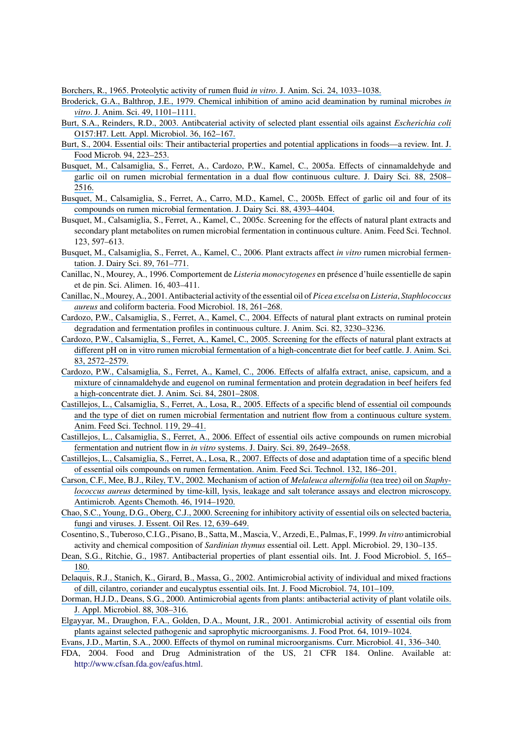<span id="page-16-0"></span>[Borchers, R., 1965. Proteolytic activity of rumen fluid](https://www.researchgate.net/publication/279636959_Proteolytic_Activity_of_Rumen_Fluid_In_Vitro?el=1_x_8&enrichId=rgreq-c2a975f87c3c0a4ae4f72c568b2909c3-XXX&enrichSource=Y292ZXJQYWdlOzI0ODMzMjkyNjtBUzoxNjMyMTg0Nzk2NTY5NjBAMTQxNTkyNTcyNjMzOQ==) *in vitro*. J. Anim. Sci. 24, 1033–1038.

- [Broderick, G.A., Balthrop, J.E., 1979. Chemical inhibition of amino acid deamination by ruminal microbes](https://www.researchgate.net/publication/237727919_Chemical_inhibition_of_amino_acid_deamination_by_ruminal_microbes_in_vitro?el=1_x_8&enrichId=rgreq-c2a975f87c3c0a4ae4f72c568b2909c3-XXX&enrichSource=Y292ZXJQYWdlOzI0ODMzMjkyNjtBUzoxNjMyMTg0Nzk2NTY5NjBAMTQxNTkyNTcyNjMzOQ==) *in vitro*[. J. Anim. Sci. 49, 1101–1111.](https://www.researchgate.net/publication/237727919_Chemical_inhibition_of_amino_acid_deamination_by_ruminal_microbes_in_vitro?el=1_x_8&enrichId=rgreq-c2a975f87c3c0a4ae4f72c568b2909c3-XXX&enrichSource=Y292ZXJQYWdlOzI0ODMzMjkyNjtBUzoxNjMyMTg0Nzk2NTY5NjBAMTQxNTkyNTcyNjMzOQ==)
- [Burt, S.A., Reinders, R.D., 2003. Antibcaterial activity of selected plant essential oils against](https://www.researchgate.net/publication/10905922_Antibacterial_activity_of_selected_plant_essential_oils_against_Escherichia_coli_O157H7?el=1_x_8&enrichId=rgreq-c2a975f87c3c0a4ae4f72c568b2909c3-XXX&enrichSource=Y292ZXJQYWdlOzI0ODMzMjkyNjtBUzoxNjMyMTg0Nzk2NTY5NjBAMTQxNTkyNTcyNjMzOQ==) *Escherichia coli* [O157:H7. Lett. Appl. Microbiol. 36, 162–167.](https://www.researchgate.net/publication/10905922_Antibacterial_activity_of_selected_plant_essential_oils_against_Escherichia_coli_O157H7?el=1_x_8&enrichId=rgreq-c2a975f87c3c0a4ae4f72c568b2909c3-XXX&enrichSource=Y292ZXJQYWdlOzI0ODMzMjkyNjtBUzoxNjMyMTg0Nzk2NTY5NjBAMTQxNTkyNTcyNjMzOQ==)
- [Burt, S., 2004. Essential oils: Their antibacterial properties and potential applications in foods—a review. Int. J.](https://www.researchgate.net/publication/8463493_Essential_oils_Their_antibacterial_properties_and_potential_applications_in_foods-A_review_International_Journal_of_Food_Microbiology_943_223-253?el=1_x_8&enrichId=rgreq-c2a975f87c3c0a4ae4f72c568b2909c3-XXX&enrichSource=Y292ZXJQYWdlOzI0ODMzMjkyNjtBUzoxNjMyMTg0Nzk2NTY5NjBAMTQxNTkyNTcyNjMzOQ==) [Food Microb. 94, 223–253.](https://www.researchgate.net/publication/8463493_Essential_oils_Their_antibacterial_properties_and_potential_applications_in_foods-A_review_International_Journal_of_Food_Microbiology_943_223-253?el=1_x_8&enrichId=rgreq-c2a975f87c3c0a4ae4f72c568b2909c3-XXX&enrichSource=Y292ZXJQYWdlOzI0ODMzMjkyNjtBUzoxNjMyMTg0Nzk2NTY5NjBAMTQxNTkyNTcyNjMzOQ==)
- [Busquet, M., Calsamiglia, S., Ferret, A., Cardozo, P.W., Kamel, C., 2005a. Effects of cinnamaldehyde and](https://www.researchgate.net/publication/7787150_Effects_of_Cinnamaldehyde_and_Garlic_Oil_on_Rumen_Microbial_Fermentation_in_a_Dual_Flow_Continuous_Culture?el=1_x_8&enrichId=rgreq-c2a975f87c3c0a4ae4f72c568b2909c3-XXX&enrichSource=Y292ZXJQYWdlOzI0ODMzMjkyNjtBUzoxNjMyMTg0Nzk2NTY5NjBAMTQxNTkyNTcyNjMzOQ==) [garlic oil on rumen microbial fermentation in a dual flow continuous culture. J. Dairy Sci. 88, 2508–](https://www.researchgate.net/publication/7787150_Effects_of_Cinnamaldehyde_and_Garlic_Oil_on_Rumen_Microbial_Fermentation_in_a_Dual_Flow_Continuous_Culture?el=1_x_8&enrichId=rgreq-c2a975f87c3c0a4ae4f72c568b2909c3-XXX&enrichSource=Y292ZXJQYWdlOzI0ODMzMjkyNjtBUzoxNjMyMTg0Nzk2NTY5NjBAMTQxNTkyNTcyNjMzOQ==) [2516.](https://www.researchgate.net/publication/7787150_Effects_of_Cinnamaldehyde_and_Garlic_Oil_on_Rumen_Microbial_Fermentation_in_a_Dual_Flow_Continuous_Culture?el=1_x_8&enrichId=rgreq-c2a975f87c3c0a4ae4f72c568b2909c3-XXX&enrichSource=Y292ZXJQYWdlOzI0ODMzMjkyNjtBUzoxNjMyMTg0Nzk2NTY5NjBAMTQxNTkyNTcyNjMzOQ==)
- [Busquet, M., Calsamiglia, S., Ferret, A., Carro, M.D., Kamel, C., 2005b. Effect of garlic oil and four of its](https://www.researchgate.net/publication/7476181_Effect_of_Garlic_Oil_and_Four_of_its_Compounds_on_Rumen_Microbial_Fermentation?el=1_x_8&enrichId=rgreq-c2a975f87c3c0a4ae4f72c568b2909c3-XXX&enrichSource=Y292ZXJQYWdlOzI0ODMzMjkyNjtBUzoxNjMyMTg0Nzk2NTY5NjBAMTQxNTkyNTcyNjMzOQ==) [compounds on rumen microbial fermentation. J. Dairy Sci. 88, 4393–4404.](https://www.researchgate.net/publication/7476181_Effect_of_Garlic_Oil_and_Four_of_its_Compounds_on_Rumen_Microbial_Fermentation?el=1_x_8&enrichId=rgreq-c2a975f87c3c0a4ae4f72c568b2909c3-XXX&enrichSource=Y292ZXJQYWdlOzI0ODMzMjkyNjtBUzoxNjMyMTg0Nzk2NTY5NjBAMTQxNTkyNTcyNjMzOQ==)
- Busquet, M., Calsamiglia, S., Ferret, A., Kamel, C., 2005c. Screening for the effects of natural plant extracts and secondary plant metabolites on rumen microbial fermentation in continuous culture. Anim. Feed Sci. Technol. 123, 597–613.
- [Busquet, M., Calsamiglia, S., Ferret, A., Kamel, C., 2006. Plant extracts affect](https://www.researchgate.net/publication/7343615_Plant_Extracts_Affect_In_Vitro_Rumen_Microbial_Fermentation?el=1_x_8&enrichId=rgreq-c2a975f87c3c0a4ae4f72c568b2909c3-XXX&enrichSource=Y292ZXJQYWdlOzI0ODMzMjkyNjtBUzoxNjMyMTg0Nzk2NTY5NjBAMTQxNTkyNTcyNjMzOQ==) *in vitro* rumen microbial fermen[tation. J. Dairy Sci. 89, 761–771.](https://www.researchgate.net/publication/7343615_Plant_Extracts_Affect_In_Vitro_Rumen_Microbial_Fermentation?el=1_x_8&enrichId=rgreq-c2a975f87c3c0a4ae4f72c568b2909c3-XXX&enrichSource=Y292ZXJQYWdlOzI0ODMzMjkyNjtBUzoxNjMyMTg0Nzk2NTY5NjBAMTQxNTkyNTcyNjMzOQ==)
- Canillac, N., Mourey, A., 1996. Comportement de *Listeria monocytogenes* en presence d'huile essentielle de sapin ´ et de pin. Sci. Alimen. 16, 403–411.
- [Canillac, N., Mourey, A., 2001. Antibacterial activity of the essential oil of](https://www.researchgate.net/publication/248565099_Antibacterial_activity_of_the_essential_oil_of_Picea_excelsa_on_Listeria_Staphylococcus_aureus_and_coliform_bacteria?el=1_x_8&enrichId=rgreq-c2a975f87c3c0a4ae4f72c568b2909c3-XXX&enrichSource=Y292ZXJQYWdlOzI0ODMzMjkyNjtBUzoxNjMyMTg0Nzk2NTY5NjBAMTQxNTkyNTcyNjMzOQ==)*Picea excelsa* on *Listeria*, *Staphlococcus aureus* [and coliform bacteria. Food Microbiol. 18, 261–268.](https://www.researchgate.net/publication/248565099_Antibacterial_activity_of_the_essential_oil_of_Picea_excelsa_on_Listeria_Staphylococcus_aureus_and_coliform_bacteria?el=1_x_8&enrichId=rgreq-c2a975f87c3c0a4ae4f72c568b2909c3-XXX&enrichSource=Y292ZXJQYWdlOzI0ODMzMjkyNjtBUzoxNjMyMTg0Nzk2NTY5NjBAMTQxNTkyNTcyNjMzOQ==)
- [Cardozo, P.W., Calsamiglia, S., Ferret, A., Kamel, C., 2004. Effects of natural plant extracts on ruminal protein](https://www.researchgate.net/publication/8185439_Effects_of_natural_plant_extracts_on_ruminal_protein_degradation_and_fermentation_profiles_in_continuous_culture1?el=1_x_8&enrichId=rgreq-c2a975f87c3c0a4ae4f72c568b2909c3-XXX&enrichSource=Y292ZXJQYWdlOzI0ODMzMjkyNjtBUzoxNjMyMTg0Nzk2NTY5NjBAMTQxNTkyNTcyNjMzOQ==) [degradation and fermentation profiles in continuous culture. J. Anim. Sci. 82, 3230–3236.](https://www.researchgate.net/publication/8185439_Effects_of_natural_plant_extracts_on_ruminal_protein_degradation_and_fermentation_profiles_in_continuous_culture1?el=1_x_8&enrichId=rgreq-c2a975f87c3c0a4ae4f72c568b2909c3-XXX&enrichSource=Y292ZXJQYWdlOzI0ODMzMjkyNjtBUzoxNjMyMTg0Nzk2NTY5NjBAMTQxNTkyNTcyNjMzOQ==)
- [Cardozo, P.W., Calsamiglia, S., Ferret, A., Kamel, C., 2005. Screening for the effects of natural plant extracts at](https://www.researchgate.net/publication/299172856_Screening_for_the_effects_of_natural_plant_extracts_at_different_pH_on_in_vitro_rumen_microbial_fermentation_of_a_high-concentrate_diet_for_beef_cattle?el=1_x_8&enrichId=rgreq-c2a975f87c3c0a4ae4f72c568b2909c3-XXX&enrichSource=Y292ZXJQYWdlOzI0ODMzMjkyNjtBUzoxNjMyMTg0Nzk2NTY5NjBAMTQxNTkyNTcyNjMzOQ==) [different pH on in vitro rumen microbial fermentation of a high-concentrate diet for beef cattle. J. Anim. Sci.](https://www.researchgate.net/publication/299172856_Screening_for_the_effects_of_natural_plant_extracts_at_different_pH_on_in_vitro_rumen_microbial_fermentation_of_a_high-concentrate_diet_for_beef_cattle?el=1_x_8&enrichId=rgreq-c2a975f87c3c0a4ae4f72c568b2909c3-XXX&enrichSource=Y292ZXJQYWdlOzI0ODMzMjkyNjtBUzoxNjMyMTg0Nzk2NTY5NjBAMTQxNTkyNTcyNjMzOQ==) [83, 2572–2579.](https://www.researchgate.net/publication/299172856_Screening_for_the_effects_of_natural_plant_extracts_at_different_pH_on_in_vitro_rumen_microbial_fermentation_of_a_high-concentrate_diet_for_beef_cattle?el=1_x_8&enrichId=rgreq-c2a975f87c3c0a4ae4f72c568b2909c3-XXX&enrichSource=Y292ZXJQYWdlOzI0ODMzMjkyNjtBUzoxNjMyMTg0Nzk2NTY5NjBAMTQxNTkyNTcyNjMzOQ==)
- [Cardozo, P.W., Calsamiglia, S., Ferret, A., Kamel, C., 2006. Effects of alfalfa extract, anise, capsicum, and a](https://www.researchgate.net/publication/6818630_Effects_of_alfalfa_extract_anise_capsicum_and_a_mixture_of_cinnamaldehyde_and_eugenol_on_ruminal_fermentation_and_protein_degradation_in_beef_heifers_fed_a_high-concentrate_diet?el=1_x_8&enrichId=rgreq-c2a975f87c3c0a4ae4f72c568b2909c3-XXX&enrichSource=Y292ZXJQYWdlOzI0ODMzMjkyNjtBUzoxNjMyMTg0Nzk2NTY5NjBAMTQxNTkyNTcyNjMzOQ==) [mixture of cinnamaldehyde and eugenol on ruminal fermentation and protein degradation in beef heifers fed](https://www.researchgate.net/publication/6818630_Effects_of_alfalfa_extract_anise_capsicum_and_a_mixture_of_cinnamaldehyde_and_eugenol_on_ruminal_fermentation_and_protein_degradation_in_beef_heifers_fed_a_high-concentrate_diet?el=1_x_8&enrichId=rgreq-c2a975f87c3c0a4ae4f72c568b2909c3-XXX&enrichSource=Y292ZXJQYWdlOzI0ODMzMjkyNjtBUzoxNjMyMTg0Nzk2NTY5NjBAMTQxNTkyNTcyNjMzOQ==) [a high-concentrate diet. J. Anim. Sci. 84, 2801–2808.](https://www.researchgate.net/publication/6818630_Effects_of_alfalfa_extract_anise_capsicum_and_a_mixture_of_cinnamaldehyde_and_eugenol_on_ruminal_fermentation_and_protein_degradation_in_beef_heifers_fed_a_high-concentrate_diet?el=1_x_8&enrichId=rgreq-c2a975f87c3c0a4ae4f72c568b2909c3-XXX&enrichSource=Y292ZXJQYWdlOzI0ODMzMjkyNjtBUzoxNjMyMTg0Nzk2NTY5NjBAMTQxNTkyNTcyNjMzOQ==)
- [Castillejos, L., Calsamiglia, S., Ferret, A., Losa, R., 2005. Effects of a specific blend of essential oil compounds](https://www.researchgate.net/publication/232715600_Effects_of_a_specific_blend_of_essential_oil_compounds_and_the_type_of_diet_on_rumen_microbial_fermentation_and_nutrient_flow_from_a_continuous_culture_system?el=1_x_8&enrichId=rgreq-c2a975f87c3c0a4ae4f72c568b2909c3-XXX&enrichSource=Y292ZXJQYWdlOzI0ODMzMjkyNjtBUzoxNjMyMTg0Nzk2NTY5NjBAMTQxNTkyNTcyNjMzOQ==) [and the type of diet on rumen microbial fermentation and nutrient flow from a continuous culture system.](https://www.researchgate.net/publication/232715600_Effects_of_a_specific_blend_of_essential_oil_compounds_and_the_type_of_diet_on_rumen_microbial_fermentation_and_nutrient_flow_from_a_continuous_culture_system?el=1_x_8&enrichId=rgreq-c2a975f87c3c0a4ae4f72c568b2909c3-XXX&enrichSource=Y292ZXJQYWdlOzI0ODMzMjkyNjtBUzoxNjMyMTg0Nzk2NTY5NjBAMTQxNTkyNTcyNjMzOQ==) [Anim. Feed Sci. Technol. 119, 29–41.](https://www.researchgate.net/publication/232715600_Effects_of_a_specific_blend_of_essential_oil_compounds_and_the_type_of_diet_on_rumen_microbial_fermentation_and_nutrient_flow_from_a_continuous_culture_system?el=1_x_8&enrichId=rgreq-c2a975f87c3c0a4ae4f72c568b2909c3-XXX&enrichSource=Y292ZXJQYWdlOzI0ODMzMjkyNjtBUzoxNjMyMTg0Nzk2NTY5NjBAMTQxNTkyNTcyNjMzOQ==)
- [Castillejos, L., Calsamiglia, S., Ferret, A., 2006. Effect of essential oils active compounds on rumen microbial](https://www.researchgate.net/publication/7010279_Effect_of_Essential_Oil_Active_Compounds_on_Rumen_Microbial_Fermentation_and_Nutrient_Flow_in_In_Vitro_Systems?el=1_x_8&enrichId=rgreq-c2a975f87c3c0a4ae4f72c568b2909c3-XXX&enrichSource=Y292ZXJQYWdlOzI0ODMzMjkyNjtBUzoxNjMyMTg0Nzk2NTY5NjBAMTQxNTkyNTcyNjMzOQ==) fermentation and nutrient flow in *in vitro* [systems. J. Dairy. Sci. 89, 2649–2658.](https://www.researchgate.net/publication/7010279_Effect_of_Essential_Oil_Active_Compounds_on_Rumen_Microbial_Fermentation_and_Nutrient_Flow_in_In_Vitro_Systems?el=1_x_8&enrichId=rgreq-c2a975f87c3c0a4ae4f72c568b2909c3-XXX&enrichSource=Y292ZXJQYWdlOzI0ODMzMjkyNjtBUzoxNjMyMTg0Nzk2NTY5NjBAMTQxNTkyNTcyNjMzOQ==)
- [Castillejos, L., Calsamiglia, S., Ferret, A., Losa, R., 2007. Effects of dose and adaptation time of a specific blend](https://www.researchgate.net/publication/232715606_Effects_of_dose_and_adaptation_time_of_a_specific_blend_of_essential_oil_compounds_on_rumen_fermentation?el=1_x_8&enrichId=rgreq-c2a975f87c3c0a4ae4f72c568b2909c3-XXX&enrichSource=Y292ZXJQYWdlOzI0ODMzMjkyNjtBUzoxNjMyMTg0Nzk2NTY5NjBAMTQxNTkyNTcyNjMzOQ==) [of essential oils compounds on rumen fermentation. Anim. Feed Sci. Technol. 132, 186–201.](https://www.researchgate.net/publication/232715606_Effects_of_dose_and_adaptation_time_of_a_specific_blend_of_essential_oil_compounds_on_rumen_fermentation?el=1_x_8&enrichId=rgreq-c2a975f87c3c0a4ae4f72c568b2909c3-XXX&enrichSource=Y292ZXJQYWdlOzI0ODMzMjkyNjtBUzoxNjMyMTg0Nzk2NTY5NjBAMTQxNTkyNTcyNjMzOQ==)
- [Carson, C.F., Mee, B.J., Riley, T.V., 2002. Mechanism of action of](https://www.researchgate.net/publication/11352910_Mechanism_of_Action_of_Melaleuca_alternifolia_Tea_Tree_Oil_on_Staphylococcus_aureus_Determined_by_Time-Kill_Lysis_Leakage_and_Salt_Tolerance_Assays_and_Electron_Microscopy?el=1_x_8&enrichId=rgreq-c2a975f87c3c0a4ae4f72c568b2909c3-XXX&enrichSource=Y292ZXJQYWdlOzI0ODMzMjkyNjtBUzoxNjMyMTg0Nzk2NTY5NjBAMTQxNTkyNTcyNjMzOQ==) *Melaleuca alternifolia* (tea tree) oil on *Staphylococcus aureus* [determined by time-kill, lysis, leakage and salt tolerance assays and electron microscopy.](https://www.researchgate.net/publication/11352910_Mechanism_of_Action_of_Melaleuca_alternifolia_Tea_Tree_Oil_on_Staphylococcus_aureus_Determined_by_Time-Kill_Lysis_Leakage_and_Salt_Tolerance_Assays_and_Electron_Microscopy?el=1_x_8&enrichId=rgreq-c2a975f87c3c0a4ae4f72c568b2909c3-XXX&enrichSource=Y292ZXJQYWdlOzI0ODMzMjkyNjtBUzoxNjMyMTg0Nzk2NTY5NjBAMTQxNTkyNTcyNjMzOQ==) [Antimicrob. Agents Chemoth. 46, 1914–1920.](https://www.researchgate.net/publication/11352910_Mechanism_of_Action_of_Melaleuca_alternifolia_Tea_Tree_Oil_on_Staphylococcus_aureus_Determined_by_Time-Kill_Lysis_Leakage_and_Salt_Tolerance_Assays_and_Electron_Microscopy?el=1_x_8&enrichId=rgreq-c2a975f87c3c0a4ae4f72c568b2909c3-XXX&enrichSource=Y292ZXJQYWdlOzI0ODMzMjkyNjtBUzoxNjMyMTg0Nzk2NTY5NjBAMTQxNTkyNTcyNjMzOQ==)
- [Chao, S.C., Young, D.G., Oberg, C.J., 2000. Screening for inhibitory activity of essential oils on selected bacteria,](https://www.researchgate.net/publication/254246707_Screening_for_Inhibitory_Activity_of_Essential_Oils_on_Selected_Bacteria_Fungi_and_Viruses?el=1_x_8&enrichId=rgreq-c2a975f87c3c0a4ae4f72c568b2909c3-XXX&enrichSource=Y292ZXJQYWdlOzI0ODMzMjkyNjtBUzoxNjMyMTg0Nzk2NTY5NjBAMTQxNTkyNTcyNjMzOQ==) [fungi and viruses. J. Essent. Oil Res. 12, 639–649.](https://www.researchgate.net/publication/254246707_Screening_for_Inhibitory_Activity_of_Essential_Oils_on_Selected_Bacteria_Fungi_and_Viruses?el=1_x_8&enrichId=rgreq-c2a975f87c3c0a4ae4f72c568b2909c3-XXX&enrichSource=Y292ZXJQYWdlOzI0ODMzMjkyNjtBUzoxNjMyMTg0Nzk2NTY5NjBAMTQxNTkyNTcyNjMzOQ==)
- Cosentino, S., Tuberoso, C.I.G., Pisano, B., Satta, M., Mascia, V., Arzedi, E., Palmas, F., 1999.*In vitro* antimicrobial activity and chemical composition of *Sardinian thymus* essential oil. Lett. Appl. Microbiol. 29, 130–135.
- [Dean, S.G., Ritchie, G., 1987. Antibacterial properties of plant essential oils. Int. J. Food Microbiol. 5, 165–](https://www.researchgate.net/publication/222873503_Antibacterial_Properties_of_Plant_Essential_oils?el=1_x_8&enrichId=rgreq-c2a975f87c3c0a4ae4f72c568b2909c3-XXX&enrichSource=Y292ZXJQYWdlOzI0ODMzMjkyNjtBUzoxNjMyMTg0Nzk2NTY5NjBAMTQxNTkyNTcyNjMzOQ==) [180.](https://www.researchgate.net/publication/222873503_Antibacterial_Properties_of_Plant_Essential_oils?el=1_x_8&enrichId=rgreq-c2a975f87c3c0a4ae4f72c568b2909c3-XXX&enrichSource=Y292ZXJQYWdlOzI0ODMzMjkyNjtBUzoxNjMyMTg0Nzk2NTY5NjBAMTQxNTkyNTcyNjMzOQ==)
- [Delaquis, R.J., Stanich, K., Girard, B., Massa, G., 2002. Antimicrobial activity of individual and mixed fractions](https://www.researchgate.net/publication/11436644_Antimicrobial_activity_of_individual_and_mixed_fractions_of_Dill_Cilantro_Coriander_and_Eucalyptus_essential_oils?el=1_x_8&enrichId=rgreq-c2a975f87c3c0a4ae4f72c568b2909c3-XXX&enrichSource=Y292ZXJQYWdlOzI0ODMzMjkyNjtBUzoxNjMyMTg0Nzk2NTY5NjBAMTQxNTkyNTcyNjMzOQ==) [of dill, cilantro, coriander and eucalyptus essential oils. Int. J. Food Microbiol. 74, 101–109.](https://www.researchgate.net/publication/11436644_Antimicrobial_activity_of_individual_and_mixed_fractions_of_Dill_Cilantro_Coriander_and_Eucalyptus_essential_oils?el=1_x_8&enrichId=rgreq-c2a975f87c3c0a4ae4f72c568b2909c3-XXX&enrichSource=Y292ZXJQYWdlOzI0ODMzMjkyNjtBUzoxNjMyMTg0Nzk2NTY5NjBAMTQxNTkyNTcyNjMzOQ==)
- [Dorman, H.J.D., Deans, S.G., 2000. Antimicrobial agents from plants: antibacterial activity of plant volatile oils.](https://www.researchgate.net/publication/12580253_Antimicrobial_agents_from_plants_Antibacterial_activity_of_plant_volatile_oils?el=1_x_8&enrichId=rgreq-c2a975f87c3c0a4ae4f72c568b2909c3-XXX&enrichSource=Y292ZXJQYWdlOzI0ODMzMjkyNjtBUzoxNjMyMTg0Nzk2NTY5NjBAMTQxNTkyNTcyNjMzOQ==) [J. Appl. Microbiol. 88, 308–316.](https://www.researchgate.net/publication/12580253_Antimicrobial_agents_from_plants_Antibacterial_activity_of_plant_volatile_oils?el=1_x_8&enrichId=rgreq-c2a975f87c3c0a4ae4f72c568b2909c3-XXX&enrichSource=Y292ZXJQYWdlOzI0ODMzMjkyNjtBUzoxNjMyMTg0Nzk2NTY5NjBAMTQxNTkyNTcyNjMzOQ==)
- [Elgayyar, M., Draughon, F.A., Golden, D.A., Mount, J.R., 2001. Antimicrobial activity of essential oils from](https://www.researchgate.net/publication/11886060_Antimicrobial_Activity_of_Essential_Oils_from_Plants_against_Selected_Pathogenic_and_Saprophytic_Microorganisms?el=1_x_8&enrichId=rgreq-c2a975f87c3c0a4ae4f72c568b2909c3-XXX&enrichSource=Y292ZXJQYWdlOzI0ODMzMjkyNjtBUzoxNjMyMTg0Nzk2NTY5NjBAMTQxNTkyNTcyNjMzOQ==) [plants against selected pathogenic and saprophytic microorganisms. J. Food Prot. 64, 1019–1024.](https://www.researchgate.net/publication/11886060_Antimicrobial_Activity_of_Essential_Oils_from_Plants_against_Selected_Pathogenic_and_Saprophytic_Microorganisms?el=1_x_8&enrichId=rgreq-c2a975f87c3c0a4ae4f72c568b2909c3-XXX&enrichSource=Y292ZXJQYWdlOzI0ODMzMjkyNjtBUzoxNjMyMTg0Nzk2NTY5NjBAMTQxNTkyNTcyNjMzOQ==)
- [Evans, J.D., Martin, S.A., 2000. Effects of thymol on ruminal microorganisms. Curr. Microbiol. 41, 336–340.](https://www.researchgate.net/publication/12308601_Effects_of_Thymol_on_Ruminal_Microorganisms?el=1_x_8&enrichId=rgreq-c2a975f87c3c0a4ae4f72c568b2909c3-XXX&enrichSource=Y292ZXJQYWdlOzI0ODMzMjkyNjtBUzoxNjMyMTg0Nzk2NTY5NjBAMTQxNTkyNTcyNjMzOQ==)
- FDA, 2004. Food and Drug Administration of the US, 21 CFR 184. Online. Available at: [http://www.cfsan.fda.gov/eafus.html.](http://www.cfsan.fda.gov/eafus.html)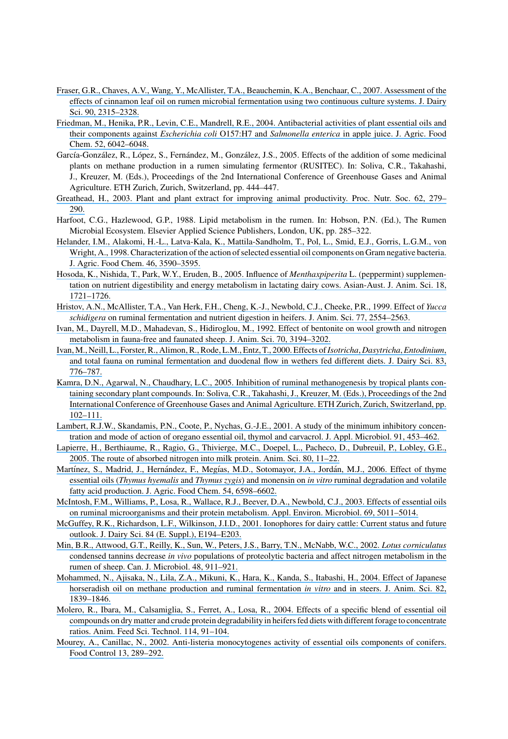- <span id="page-17-0"></span>[Fraser, G.R., Chaves, A.V., Wang, Y., McAllister, T.A., Beauchemin, K.A., Benchaar, C., 2007. Assessment of the](https://www.researchgate.net/publication/6397417_Assessment_of_the_Effects_of_Cinnamon_Leaf_Oil_on_Rumen_Microbial_Fermentation_Using_Two_Continuous_Culture_Systems?el=1_x_8&enrichId=rgreq-c2a975f87c3c0a4ae4f72c568b2909c3-XXX&enrichSource=Y292ZXJQYWdlOzI0ODMzMjkyNjtBUzoxNjMyMTg0Nzk2NTY5NjBAMTQxNTkyNTcyNjMzOQ==) [effects of cinnamon leaf oil on rumen microbial fermentation using two continuous culture systems. J. Dairy](https://www.researchgate.net/publication/6397417_Assessment_of_the_Effects_of_Cinnamon_Leaf_Oil_on_Rumen_Microbial_Fermentation_Using_Two_Continuous_Culture_Systems?el=1_x_8&enrichId=rgreq-c2a975f87c3c0a4ae4f72c568b2909c3-XXX&enrichSource=Y292ZXJQYWdlOzI0ODMzMjkyNjtBUzoxNjMyMTg0Nzk2NTY5NjBAMTQxNTkyNTcyNjMzOQ==) [Sci. 90, 2315–2328.](https://www.researchgate.net/publication/6397417_Assessment_of_the_Effects_of_Cinnamon_Leaf_Oil_on_Rumen_Microbial_Fermentation_Using_Two_Continuous_Culture_Systems?el=1_x_8&enrichId=rgreq-c2a975f87c3c0a4ae4f72c568b2909c3-XXX&enrichSource=Y292ZXJQYWdlOzI0ODMzMjkyNjtBUzoxNjMyMTg0Nzk2NTY5NjBAMTQxNTkyNTcyNjMzOQ==)
- [Friedman, M., Henika, P.R., Levin, C.E., Mandrell, R.E., 2004. Antibacterial activities of plant essential oils and](https://www.researchgate.net/publication/8347601_Antibacterial_Activities_of_Plant_Essential_Oils_and_Their_Components_against_Escherichia_coli_O157H7_and_Salmonella_enterica_in_Apple_Juice?el=1_x_8&enrichId=rgreq-c2a975f87c3c0a4ae4f72c568b2909c3-XXX&enrichSource=Y292ZXJQYWdlOzI0ODMzMjkyNjtBUzoxNjMyMTg0Nzk2NTY5NjBAMTQxNTkyNTcyNjMzOQ==) their components against *Escherichia coli* O157:H7 and *Salmonella enterica* [in apple juice. J. Agric. Food](https://www.researchgate.net/publication/8347601_Antibacterial_Activities_of_Plant_Essential_Oils_and_Their_Components_against_Escherichia_coli_O157H7_and_Salmonella_enterica_in_Apple_Juice?el=1_x_8&enrichId=rgreq-c2a975f87c3c0a4ae4f72c568b2909c3-XXX&enrichSource=Y292ZXJQYWdlOzI0ODMzMjkyNjtBUzoxNjMyMTg0Nzk2NTY5NjBAMTQxNTkyNTcyNjMzOQ==) [Chem. 52, 6042–6048.](https://www.researchgate.net/publication/8347601_Antibacterial_Activities_of_Plant_Essential_Oils_and_Their_Components_against_Escherichia_coli_O157H7_and_Salmonella_enterica_in_Apple_Juice?el=1_x_8&enrichId=rgreq-c2a975f87c3c0a4ae4f72c568b2909c3-XXX&enrichSource=Y292ZXJQYWdlOzI0ODMzMjkyNjtBUzoxNjMyMTg0Nzk2NTY5NjBAMTQxNTkyNTcyNjMzOQ==)
- García-González, R., López, S., Fernández, M., González, J.S., 2005. Effects of the addition of some medicinal plants on methane production in a rumen simulating fermentor (RUSITEC). In: Soliva, C.R., Takahashi, J., Kreuzer, M. (Eds.), Proceedings of the 2nd International Conference of Greenhouse Gases and Animal Agriculture. ETH Zurich, Zurich, Switzerland, pp. 444–447.
- [Greathead, H., 2003. Plant and plant extract for improving animal productivity. Proc. Nutr. Soc. 62, 279–](https://www.researchgate.net/publication/9082593_Plants_and_plant_extracts_for_improving_animal_productivity?el=1_x_8&enrichId=rgreq-c2a975f87c3c0a4ae4f72c568b2909c3-XXX&enrichSource=Y292ZXJQYWdlOzI0ODMzMjkyNjtBUzoxNjMyMTg0Nzk2NTY5NjBAMTQxNTkyNTcyNjMzOQ==) [290.](https://www.researchgate.net/publication/9082593_Plants_and_plant_extracts_for_improving_animal_productivity?el=1_x_8&enrichId=rgreq-c2a975f87c3c0a4ae4f72c568b2909c3-XXX&enrichSource=Y292ZXJQYWdlOzI0ODMzMjkyNjtBUzoxNjMyMTg0Nzk2NTY5NjBAMTQxNTkyNTcyNjMzOQ==)
- Harfoot, C.G., Hazlewood, G.P., 1988. Lipid metabolism in the rumen. In: Hobson, P.N. (Ed.), The Rumen Microbial Ecosystem. Elsevier Applied Science Publishers, London, UK, pp. 285–322.
- [Helander, I.M., Alakomi, H.-L., Latva-Kala, K., Mattila-Sandholm, T., Pol, L., Smid, E.J., Gorris, L.G.M., von](https://www.researchgate.net/publication/40153105_Characterization_of_the_Action_of_Selected_Essential_Oil_Components_on_Gram-Negative_Bacteria?el=1_x_8&enrichId=rgreq-c2a975f87c3c0a4ae4f72c568b2909c3-XXX&enrichSource=Y292ZXJQYWdlOzI0ODMzMjkyNjtBUzoxNjMyMTg0Nzk2NTY5NjBAMTQxNTkyNTcyNjMzOQ==) [Wright, A., 1998. Characterization of the action of selected essential oil components on Gram negative bacteria.](https://www.researchgate.net/publication/40153105_Characterization_of_the_Action_of_Selected_Essential_Oil_Components_on_Gram-Negative_Bacteria?el=1_x_8&enrichId=rgreq-c2a975f87c3c0a4ae4f72c568b2909c3-XXX&enrichSource=Y292ZXJQYWdlOzI0ODMzMjkyNjtBUzoxNjMyMTg0Nzk2NTY5NjBAMTQxNTkyNTcyNjMzOQ==) [J. Agric. Food Chem. 46, 3590–3595.](https://www.researchgate.net/publication/40153105_Characterization_of_the_Action_of_Selected_Essential_Oil_Components_on_Gram-Negative_Bacteria?el=1_x_8&enrichId=rgreq-c2a975f87c3c0a4ae4f72c568b2909c3-XXX&enrichSource=Y292ZXJQYWdlOzI0ODMzMjkyNjtBUzoxNjMyMTg0Nzk2NTY5NjBAMTQxNTkyNTcyNjMzOQ==)
- [Hosoda, K., Nishida, T., Park, W.Y., Eruden, B., 2005. Influence of](https://www.researchgate.net/publication/264152684_Influence_of_Menthapiperita_L_Peppermint_Supplementation_on_Nutrient_Digestibility_and_Energy_Metabolism_in_Lactating_Dairy_Cows?el=1_x_8&enrichId=rgreq-c2a975f87c3c0a4ae4f72c568b2909c3-XXX&enrichSource=Y292ZXJQYWdlOzI0ODMzMjkyNjtBUzoxNjMyMTg0Nzk2NTY5NjBAMTQxNTkyNTcyNjMzOQ==) *Menthaxpiperita* L. (peppermint) supplemen[tation on nutrient digestibility and energy metabolism in lactating dairy cows. Asian-Aust. J. Anim. Sci. 18,](https://www.researchgate.net/publication/264152684_Influence_of_Menthapiperita_L_Peppermint_Supplementation_on_Nutrient_Digestibility_and_Energy_Metabolism_in_Lactating_Dairy_Cows?el=1_x_8&enrichId=rgreq-c2a975f87c3c0a4ae4f72c568b2909c3-XXX&enrichSource=Y292ZXJQYWdlOzI0ODMzMjkyNjtBUzoxNjMyMTg0Nzk2NTY5NjBAMTQxNTkyNTcyNjMzOQ==) [1721–1726.](https://www.researchgate.net/publication/264152684_Influence_of_Menthapiperita_L_Peppermint_Supplementation_on_Nutrient_Digestibility_and_Energy_Metabolism_in_Lactating_Dairy_Cows?el=1_x_8&enrichId=rgreq-c2a975f87c3c0a4ae4f72c568b2909c3-XXX&enrichSource=Y292ZXJQYWdlOzI0ODMzMjkyNjtBUzoxNjMyMTg0Nzk2NTY5NjBAMTQxNTkyNTcyNjMzOQ==)
- [Hristov, A.N., McAllister, T.A., Van Herk, F.H., Cheng, K.-J., Newbold, C.J., Cheeke, P.R., 1999. Effect of](https://www.researchgate.net/publication/12808694_Effect_of_Yucca_Schidigera_on_ruminal_fermentation_and_nutrient_digestion_in_heifers?el=1_x_8&enrichId=rgreq-c2a975f87c3c0a4ae4f72c568b2909c3-XXX&enrichSource=Y292ZXJQYWdlOzI0ODMzMjkyNjtBUzoxNjMyMTg0Nzk2NTY5NjBAMTQxNTkyNTcyNjMzOQ==) *Yucca schidigera* [on ruminal fermentation and nutrient digestion in heifers. J. Anim. Sci. 77, 2554–2563.](https://www.researchgate.net/publication/12808694_Effect_of_Yucca_Schidigera_on_ruminal_fermentation_and_nutrient_digestion_in_heifers?el=1_x_8&enrichId=rgreq-c2a975f87c3c0a4ae4f72c568b2909c3-XXX&enrichSource=Y292ZXJQYWdlOzI0ODMzMjkyNjtBUzoxNjMyMTg0Nzk2NTY5NjBAMTQxNTkyNTcyNjMzOQ==)
- [Ivan, M., Dayrell, M.D., Mahadevan, S., Hidiroglou, M., 1992. Effect of bentonite on wool growth and nitrogen](https://www.researchgate.net/publication/21727011_Effect_of_bentonite_on_wool_growth_and_nitrogen_metabolism_in_fauna_free_and_faunated_sheep?el=1_x_8&enrichId=rgreq-c2a975f87c3c0a4ae4f72c568b2909c3-XXX&enrichSource=Y292ZXJQYWdlOzI0ODMzMjkyNjtBUzoxNjMyMTg0Nzk2NTY5NjBAMTQxNTkyNTcyNjMzOQ==) [metabolism in fauna-free and faunated sheep. J. Anim. Sci. 70, 3194–3202.](https://www.researchgate.net/publication/21727011_Effect_of_bentonite_on_wool_growth_and_nitrogen_metabolism_in_fauna_free_and_faunated_sheep?el=1_x_8&enrichId=rgreq-c2a975f87c3c0a4ae4f72c568b2909c3-XXX&enrichSource=Y292ZXJQYWdlOzI0ODMzMjkyNjtBUzoxNjMyMTg0Nzk2NTY5NjBAMTQxNTkyNTcyNjMzOQ==)
- [Ivan, M., Neill, L., Forster, R., Alimon, R., Rode, L.M., Entz, T., 2000. Effects of](https://www.researchgate.net/publication/224002282_Effects_of_Isotricha_Dasytricha_Entodinium_and_Total_Fauna_on_Ruminal_Fermentation_and_Duodenal_Flow_in_Wethers_Fed_Different_Diets?el=1_x_8&enrichId=rgreq-c2a975f87c3c0a4ae4f72c568b2909c3-XXX&enrichSource=Y292ZXJQYWdlOzI0ODMzMjkyNjtBUzoxNjMyMTg0Nzk2NTY5NjBAMTQxNTkyNTcyNjMzOQ==)*Isotricha*, *Dasytricha*,*Entodinium*, [and total fauna on ruminal fermentation and duodenal flow in wethers fed different diets. J. Dairy Sci. 83,](https://www.researchgate.net/publication/224002282_Effects_of_Isotricha_Dasytricha_Entodinium_and_Total_Fauna_on_Ruminal_Fermentation_and_Duodenal_Flow_in_Wethers_Fed_Different_Diets?el=1_x_8&enrichId=rgreq-c2a975f87c3c0a4ae4f72c568b2909c3-XXX&enrichSource=Y292ZXJQYWdlOzI0ODMzMjkyNjtBUzoxNjMyMTg0Nzk2NTY5NjBAMTQxNTkyNTcyNjMzOQ==) [776–787.](https://www.researchgate.net/publication/224002282_Effects_of_Isotricha_Dasytricha_Entodinium_and_Total_Fauna_on_Ruminal_Fermentation_and_Duodenal_Flow_in_Wethers_Fed_Different_Diets?el=1_x_8&enrichId=rgreq-c2a975f87c3c0a4ae4f72c568b2909c3-XXX&enrichSource=Y292ZXJQYWdlOzI0ODMzMjkyNjtBUzoxNjMyMTg0Nzk2NTY5NjBAMTQxNTkyNTcyNjMzOQ==)
- [Kamra, D.N., Agarwal, N., Chaudhary, L.C., 2005. Inhibition of ruminal methanogenesis by tropical plants con](https://www.researchgate.net/publication/223034229_Inhibition_of_ruminal_methanogenesis_by_tropical_plants_containing_secondary_compounds?el=1_x_8&enrichId=rgreq-c2a975f87c3c0a4ae4f72c568b2909c3-XXX&enrichSource=Y292ZXJQYWdlOzI0ODMzMjkyNjtBUzoxNjMyMTg0Nzk2NTY5NjBAMTQxNTkyNTcyNjMzOQ==)[taining secondary plant compounds. In: Soliva, C.R., Takahashi, J., Kreuzer, M. \(Eds.\), Proceedings of the 2nd](https://www.researchgate.net/publication/223034229_Inhibition_of_ruminal_methanogenesis_by_tropical_plants_containing_secondary_compounds?el=1_x_8&enrichId=rgreq-c2a975f87c3c0a4ae4f72c568b2909c3-XXX&enrichSource=Y292ZXJQYWdlOzI0ODMzMjkyNjtBUzoxNjMyMTg0Nzk2NTY5NjBAMTQxNTkyNTcyNjMzOQ==) [International Conference of Greenhouse Gases and Animal Agriculture. ETH Zurich, Zurich, Switzerland, pp.](https://www.researchgate.net/publication/223034229_Inhibition_of_ruminal_methanogenesis_by_tropical_plants_containing_secondary_compounds?el=1_x_8&enrichId=rgreq-c2a975f87c3c0a4ae4f72c568b2909c3-XXX&enrichSource=Y292ZXJQYWdlOzI0ODMzMjkyNjtBUzoxNjMyMTg0Nzk2NTY5NjBAMTQxNTkyNTcyNjMzOQ==) [102–111.](https://www.researchgate.net/publication/223034229_Inhibition_of_ruminal_methanogenesis_by_tropical_plants_containing_secondary_compounds?el=1_x_8&enrichId=rgreq-c2a975f87c3c0a4ae4f72c568b2909c3-XXX&enrichSource=Y292ZXJQYWdlOzI0ODMzMjkyNjtBUzoxNjMyMTg0Nzk2NTY5NjBAMTQxNTkyNTcyNjMzOQ==)
- [Lambert, R.J.W., Skandamis, P.N., Coote, P., Nychas, G.-J.E., 2001. A study of the minimum inhibitory concen](https://www.researchgate.net/publication/11790795_A_study_of_the_Minimum_Inhibitory_Concentration_and_mode_of_action_of_Oregano_Essential_Oil_Thymol_and_Carvacrol?el=1_x_8&enrichId=rgreq-c2a975f87c3c0a4ae4f72c568b2909c3-XXX&enrichSource=Y292ZXJQYWdlOzI0ODMzMjkyNjtBUzoxNjMyMTg0Nzk2NTY5NjBAMTQxNTkyNTcyNjMzOQ==)[tration and mode of action of oregano essential oil, thymol and carvacrol. J. Appl. Microbiol. 91, 453–462.](https://www.researchgate.net/publication/11790795_A_study_of_the_Minimum_Inhibitory_Concentration_and_mode_of_action_of_Oregano_Essential_Oil_Thymol_and_Carvacrol?el=1_x_8&enrichId=rgreq-c2a975f87c3c0a4ae4f72c568b2909c3-XXX&enrichSource=Y292ZXJQYWdlOzI0ODMzMjkyNjtBUzoxNjMyMTg0Nzk2NTY5NjBAMTQxNTkyNTcyNjMzOQ==)
- [Lapierre, H., Berthiaume, R., Ragio, G., Thivierge, M.C., Doepel, L., Pacheco, D., Dubreuil, P., Lobley, G.E.,](https://www.researchgate.net/publication/231858685_The_route_of_absorbed_nitrogen_into_milk_protein?el=1_x_8&enrichId=rgreq-c2a975f87c3c0a4ae4f72c568b2909c3-XXX&enrichSource=Y292ZXJQYWdlOzI0ODMzMjkyNjtBUzoxNjMyMTg0Nzk2NTY5NjBAMTQxNTkyNTcyNjMzOQ==) [2005. The route of absorbed nitrogen into milk protein. Anim. Sci. 80, 11–22.](https://www.researchgate.net/publication/231858685_The_route_of_absorbed_nitrogen_into_milk_protein?el=1_x_8&enrichId=rgreq-c2a975f87c3c0a4ae4f72c568b2909c3-XXX&enrichSource=Y292ZXJQYWdlOzI0ODMzMjkyNjtBUzoxNjMyMTg0Nzk2NTY5NjBAMTQxNTkyNTcyNjMzOQ==)
- Martínez, S., Madrid, J., Hernández, F., Megías, M.D., Sotomayor, J.A., Jordán, M.J., 2006. Effect of thyme essential oils (*Thymus hyemalis* and *Thymus zygis*) and monensin on *in vitro* [ruminal degradation and volatile](https://www.researchgate.net/publication/6850020_Effect_of_Thyme_Essential_Oils_Thymus_hyemalis_and_Thymus_zygis_and_Monensin_on_in_Vitro_Ruminal_Degradation_and_Volatile_Fatty_Acid_Production?el=1_x_8&enrichId=rgreq-c2a975f87c3c0a4ae4f72c568b2909c3-XXX&enrichSource=Y292ZXJQYWdlOzI0ODMzMjkyNjtBUzoxNjMyMTg0Nzk2NTY5NjBAMTQxNTkyNTcyNjMzOQ==) [fatty acid production. J. Agric. Food Chem. 54, 6598–6602.](https://www.researchgate.net/publication/6850020_Effect_of_Thyme_Essential_Oils_Thymus_hyemalis_and_Thymus_zygis_and_Monensin_on_in_Vitro_Ruminal_Degradation_and_Volatile_Fatty_Acid_Production?el=1_x_8&enrichId=rgreq-c2a975f87c3c0a4ae4f72c568b2909c3-XXX&enrichSource=Y292ZXJQYWdlOzI0ODMzMjkyNjtBUzoxNjMyMTg0Nzk2NTY5NjBAMTQxNTkyNTcyNjMzOQ==)
- [McIntosh, F.M., Williams, P., Losa, R., Wallace, R.J., Beever, D.A., Newbold, C.J., 2003. Effects of essential oils](https://www.researchgate.net/publication/10627333_Effects_of_Essential_Oils_on_Ruminal_Microorganisms_and_Their_Protein_Metabolism?el=1_x_8&enrichId=rgreq-c2a975f87c3c0a4ae4f72c568b2909c3-XXX&enrichSource=Y292ZXJQYWdlOzI0ODMzMjkyNjtBUzoxNjMyMTg0Nzk2NTY5NjBAMTQxNTkyNTcyNjMzOQ==) [on ruminal microorganisms and their protein metabolism. Appl. Environ. Microbiol. 69, 5011–5014.](https://www.researchgate.net/publication/10627333_Effects_of_Essential_Oils_on_Ruminal_Microorganisms_and_Their_Protein_Metabolism?el=1_x_8&enrichId=rgreq-c2a975f87c3c0a4ae4f72c568b2909c3-XXX&enrichSource=Y292ZXJQYWdlOzI0ODMzMjkyNjtBUzoxNjMyMTg0Nzk2NTY5NjBAMTQxNTkyNTcyNjMzOQ==)
- [McGuffey, R.K., Richardson, L.F., Wilkinson, J.I.D., 2001. Ionophores for dairy cattle: Current status and future](https://www.researchgate.net/publication/253864017_Ionophores_for_Dairy_Cattle_Current_Status_and_Future_Outlook?el=1_x_8&enrichId=rgreq-c2a975f87c3c0a4ae4f72c568b2909c3-XXX&enrichSource=Y292ZXJQYWdlOzI0ODMzMjkyNjtBUzoxNjMyMTg0Nzk2NTY5NjBAMTQxNTkyNTcyNjMzOQ==) [outlook. J. Dairy Sci. 84 \(E. Suppl.\), E194–E203.](https://www.researchgate.net/publication/253864017_Ionophores_for_Dairy_Cattle_Current_Status_and_Future_Outlook?el=1_x_8&enrichId=rgreq-c2a975f87c3c0a4ae4f72c568b2909c3-XXX&enrichSource=Y292ZXJQYWdlOzI0ODMzMjkyNjtBUzoxNjMyMTg0Nzk2NTY5NjBAMTQxNTkyNTcyNjMzOQ==)
- [Min, B.R., Attwood, G.T., Reilly, K., Sun, W., Peters, J.S., Barry, T.N., McNabb, W.C., 2002.](https://www.researchgate.net/publication/10983913_Lotus_corniculatus_condensed_tannins_decrease_in_vivo_populations_of_proteolytic_bacteria_and_affect_nitrogen_metabolism_in_the_rumen_of_sheep?el=1_x_8&enrichId=rgreq-c2a975f87c3c0a4ae4f72c568b2909c3-XXX&enrichSource=Y292ZXJQYWdlOzI0ODMzMjkyNjtBUzoxNjMyMTg0Nzk2NTY5NjBAMTQxNTkyNTcyNjMzOQ==) *Lotus corniculatus* condensed tannins decrease *in vivo* [populations of proteolytic bacteria and affect nitrogen metabolism in the](https://www.researchgate.net/publication/10983913_Lotus_corniculatus_condensed_tannins_decrease_in_vivo_populations_of_proteolytic_bacteria_and_affect_nitrogen_metabolism_in_the_rumen_of_sheep?el=1_x_8&enrichId=rgreq-c2a975f87c3c0a4ae4f72c568b2909c3-XXX&enrichSource=Y292ZXJQYWdlOzI0ODMzMjkyNjtBUzoxNjMyMTg0Nzk2NTY5NjBAMTQxNTkyNTcyNjMzOQ==) [rumen of sheep. Can. J. Microbiol. 48, 911–921.](https://www.researchgate.net/publication/10983913_Lotus_corniculatus_condensed_tannins_decrease_in_vivo_populations_of_proteolytic_bacteria_and_affect_nitrogen_metabolism_in_the_rumen_of_sheep?el=1_x_8&enrichId=rgreq-c2a975f87c3c0a4ae4f72c568b2909c3-XXX&enrichSource=Y292ZXJQYWdlOzI0ODMzMjkyNjtBUzoxNjMyMTg0Nzk2NTY5NjBAMTQxNTkyNTcyNjMzOQ==)
- [Mohammed, N., Ajisaka, N., Lila, Z.A., Mikuni, K., Hara, K., Kanda, S., Itabashi, H., 2004. Effect of Japanese](https://www.researchgate.net/publication/298309112_Effect_of_Japanese_horseradish_oil_on_methane_production_and_ruminal_fermentation_in_vitro_and_in_steers?el=1_x_8&enrichId=rgreq-c2a975f87c3c0a4ae4f72c568b2909c3-XXX&enrichSource=Y292ZXJQYWdlOzI0ODMzMjkyNjtBUzoxNjMyMTg0Nzk2NTY5NjBAMTQxNTkyNTcyNjMzOQ==) [horseradish oil on methane production and ruminal fermentation](https://www.researchgate.net/publication/298309112_Effect_of_Japanese_horseradish_oil_on_methane_production_and_ruminal_fermentation_in_vitro_and_in_steers?el=1_x_8&enrichId=rgreq-c2a975f87c3c0a4ae4f72c568b2909c3-XXX&enrichSource=Y292ZXJQYWdlOzI0ODMzMjkyNjtBUzoxNjMyMTg0Nzk2NTY5NjBAMTQxNTkyNTcyNjMzOQ==) *in vitro* and in steers. J. Anim. Sci. 82, [1839–1846.](https://www.researchgate.net/publication/298309112_Effect_of_Japanese_horseradish_oil_on_methane_production_and_ruminal_fermentation_in_vitro_and_in_steers?el=1_x_8&enrichId=rgreq-c2a975f87c3c0a4ae4f72c568b2909c3-XXX&enrichSource=Y292ZXJQYWdlOzI0ODMzMjkyNjtBUzoxNjMyMTg0Nzk2NTY5NjBAMTQxNTkyNTcyNjMzOQ==)
- [Molero, R., Ibara, M., Calsamiglia, S., Ferret, A., Losa, R., 2004. Effects of a specific blend of essential oil](https://www.researchgate.net/publication/248332740_Effects_of_a_specific_blend_of_essential_oil_compounds_on_dry_matter_and_crude_protein_degradability_in_heifers_fed_diets_with_different_forage_to_concentrate_ratios?el=1_x_8&enrichId=rgreq-c2a975f87c3c0a4ae4f72c568b2909c3-XXX&enrichSource=Y292ZXJQYWdlOzI0ODMzMjkyNjtBUzoxNjMyMTg0Nzk2NTY5NjBAMTQxNTkyNTcyNjMzOQ==) [compounds on dry matter and crude protein degradability in heifers fed diets with different forage to concentrate](https://www.researchgate.net/publication/248332740_Effects_of_a_specific_blend_of_essential_oil_compounds_on_dry_matter_and_crude_protein_degradability_in_heifers_fed_diets_with_different_forage_to_concentrate_ratios?el=1_x_8&enrichId=rgreq-c2a975f87c3c0a4ae4f72c568b2909c3-XXX&enrichSource=Y292ZXJQYWdlOzI0ODMzMjkyNjtBUzoxNjMyMTg0Nzk2NTY5NjBAMTQxNTkyNTcyNjMzOQ==) [ratios. Anim. Feed Sci. Technol. 114, 91–104.](https://www.researchgate.net/publication/248332740_Effects_of_a_specific_blend_of_essential_oil_compounds_on_dry_matter_and_crude_protein_degradability_in_heifers_fed_diets_with_different_forage_to_concentrate_ratios?el=1_x_8&enrichId=rgreq-c2a975f87c3c0a4ae4f72c568b2909c3-XXX&enrichSource=Y292ZXJQYWdlOzI0ODMzMjkyNjtBUzoxNjMyMTg0Nzk2NTY5NjBAMTQxNTkyNTcyNjMzOQ==)
- [Mourey, A., Canillac, N., 2002. Anti-listeria monocytogenes activity of essential oils components of conifers.](https://www.researchgate.net/publication/222221215_Anti-Listeria_monocytogenes_activity_of_essential_oils_components_of_conifers?el=1_x_8&enrichId=rgreq-c2a975f87c3c0a4ae4f72c568b2909c3-XXX&enrichSource=Y292ZXJQYWdlOzI0ODMzMjkyNjtBUzoxNjMyMTg0Nzk2NTY5NjBAMTQxNTkyNTcyNjMzOQ==) [Food Control 13, 289–292.](https://www.researchgate.net/publication/222221215_Anti-Listeria_monocytogenes_activity_of_essential_oils_components_of_conifers?el=1_x_8&enrichId=rgreq-c2a975f87c3c0a4ae4f72c568b2909c3-XXX&enrichSource=Y292ZXJQYWdlOzI0ODMzMjkyNjtBUzoxNjMyMTg0Nzk2NTY5NjBAMTQxNTkyNTcyNjMzOQ==)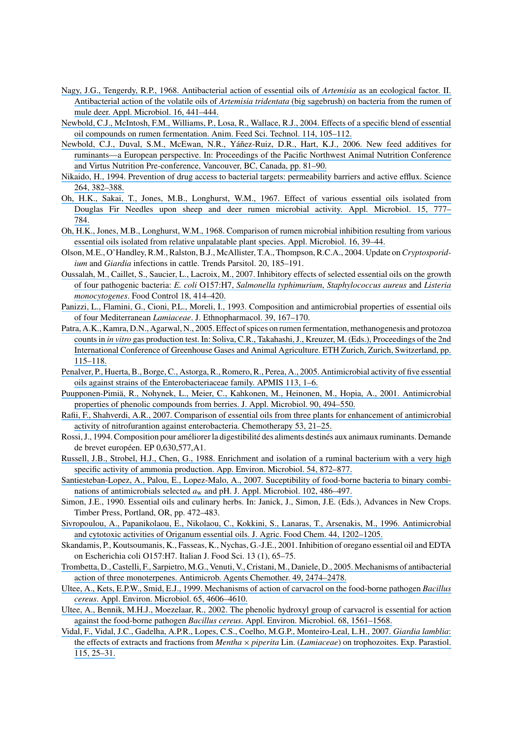- <span id="page-18-0"></span>[Nagy, J.G., Tengerdy, R.P., 1968. Antibacterial action of essential oils of](https://www.researchgate.net/publication/17535889_Antibacterial_Action_of_Essential_Oils_of_Artemisia_as_an_Ecological_Factor_II_Antibacterial_Action_of_the_Volatile_Oils_of_Artemisia_tridentata_Big_Sagebrush_on_Bacteria_from_the_Rumen_of_Mule_Deer?el=1_x_8&enrichId=rgreq-c2a975f87c3c0a4ae4f72c568b2909c3-XXX&enrichSource=Y292ZXJQYWdlOzI0ODMzMjkyNjtBUzoxNjMyMTg0Nzk2NTY5NjBAMTQxNTkyNTcyNjMzOQ==) *Artemisia* as an ecological factor. II. Antibacterial action of the volatile oils of *Artemisia tridentata* [\(big sagebrush\) on bacteria from the rumen of](https://www.researchgate.net/publication/17535889_Antibacterial_Action_of_Essential_Oils_of_Artemisia_as_an_Ecological_Factor_II_Antibacterial_Action_of_the_Volatile_Oils_of_Artemisia_tridentata_Big_Sagebrush_on_Bacteria_from_the_Rumen_of_Mule_Deer?el=1_x_8&enrichId=rgreq-c2a975f87c3c0a4ae4f72c568b2909c3-XXX&enrichSource=Y292ZXJQYWdlOzI0ODMzMjkyNjtBUzoxNjMyMTg0Nzk2NTY5NjBAMTQxNTkyNTcyNjMzOQ==) [mule deer. Appl. Microbiol. 16, 441–444.](https://www.researchgate.net/publication/17535889_Antibacterial_Action_of_Essential_Oils_of_Artemisia_as_an_Ecological_Factor_II_Antibacterial_Action_of_the_Volatile_Oils_of_Artemisia_tridentata_Big_Sagebrush_on_Bacteria_from_the_Rumen_of_Mule_Deer?el=1_x_8&enrichId=rgreq-c2a975f87c3c0a4ae4f72c568b2909c3-XXX&enrichSource=Y292ZXJQYWdlOzI0ODMzMjkyNjtBUzoxNjMyMTg0Nzk2NTY5NjBAMTQxNTkyNTcyNjMzOQ==)
- [Newbold, C.J., McIntosh, F.M., Williams, P., Losa, R., Wallace, R.J., 2004. Effects of a specific blend of essential](https://www.researchgate.net/publication/248332725_Effects_of_a_specific_blend_of_essential_oil_compounds_on_rumen_fermentation?el=1_x_8&enrichId=rgreq-c2a975f87c3c0a4ae4f72c568b2909c3-XXX&enrichSource=Y292ZXJQYWdlOzI0ODMzMjkyNjtBUzoxNjMyMTg0Nzk2NTY5NjBAMTQxNTkyNTcyNjMzOQ==) [oil compounds on rumen fermentation. Anim. Feed Sci. Technol. 114, 105–112.](https://www.researchgate.net/publication/248332725_Effects_of_a_specific_blend_of_essential_oil_compounds_on_rumen_fermentation?el=1_x_8&enrichId=rgreq-c2a975f87c3c0a4ae4f72c568b2909c3-XXX&enrichSource=Y292ZXJQYWdlOzI0ODMzMjkyNjtBUzoxNjMyMTg0Nzk2NTY5NjBAMTQxNTkyNTcyNjMzOQ==)
- Newbold, C.J., Duval, S.M., McEwan, N.R., Yáñez-Ruiz, D.R., Hart, K.J., 2006. New feed additives for [ruminants—a European perspective. In: Proceedings of the Pacific Northwest Animal Nutrition Conference](https://www.researchgate.net/publication/288258272_New_feed_additives_for_ruminants-a_European_perspective?el=1_x_8&enrichId=rgreq-c2a975f87c3c0a4ae4f72c568b2909c3-XXX&enrichSource=Y292ZXJQYWdlOzI0ODMzMjkyNjtBUzoxNjMyMTg0Nzk2NTY5NjBAMTQxNTkyNTcyNjMzOQ==) [and Virtus Nutrition Pre-conference, Vancouver, BC, Canada, pp. 81–90.](https://www.researchgate.net/publication/288258272_New_feed_additives_for_ruminants-a_European_perspective?el=1_x_8&enrichId=rgreq-c2a975f87c3c0a4ae4f72c568b2909c3-XXX&enrichSource=Y292ZXJQYWdlOzI0ODMzMjkyNjtBUzoxNjMyMTg0Nzk2NTY5NjBAMTQxNTkyNTcyNjMzOQ==)
- [Nikaido, H., 1994. Prevention of drug access to bacterial targets: permeability barriers and active efflux. Science](https://www.researchgate.net/publication/15044881_Prevention_of_Drug_Access_to_Bacterial_Targets_Permeability_Barriers_and_Active_Efflux?el=1_x_8&enrichId=rgreq-c2a975f87c3c0a4ae4f72c568b2909c3-XXX&enrichSource=Y292ZXJQYWdlOzI0ODMzMjkyNjtBUzoxNjMyMTg0Nzk2NTY5NjBAMTQxNTkyNTcyNjMzOQ==) [264, 382–388.](https://www.researchgate.net/publication/15044881_Prevention_of_Drug_Access_to_Bacterial_Targets_Permeability_Barriers_and_Active_Efflux?el=1_x_8&enrichId=rgreq-c2a975f87c3c0a4ae4f72c568b2909c3-XXX&enrichSource=Y292ZXJQYWdlOzI0ODMzMjkyNjtBUzoxNjMyMTg0Nzk2NTY5NjBAMTQxNTkyNTcyNjMzOQ==)
- [Oh, H.K., Sakai, T., Jones, M.B., Longhurst, W.M., 1967. Effect of various essential oils isolated from](https://www.researchgate.net/publication/17137581_Effect_of_Various_Essential_Oils_Isolated_from_Douglas_Fir_Needles_upon_Sheep_and_Deer_Rumen_Microbial_Activity?el=1_x_8&enrichId=rgreq-c2a975f87c3c0a4ae4f72c568b2909c3-XXX&enrichSource=Y292ZXJQYWdlOzI0ODMzMjkyNjtBUzoxNjMyMTg0Nzk2NTY5NjBAMTQxNTkyNTcyNjMzOQ==) [Douglas Fir Needles upon sheep and deer rumen microbial activity. Appl. Microbiol. 15, 777–](https://www.researchgate.net/publication/17137581_Effect_of_Various_Essential_Oils_Isolated_from_Douglas_Fir_Needles_upon_Sheep_and_Deer_Rumen_Microbial_Activity?el=1_x_8&enrichId=rgreq-c2a975f87c3c0a4ae4f72c568b2909c3-XXX&enrichSource=Y292ZXJQYWdlOzI0ODMzMjkyNjtBUzoxNjMyMTg0Nzk2NTY5NjBAMTQxNTkyNTcyNjMzOQ==) [784.](https://www.researchgate.net/publication/17137581_Effect_of_Various_Essential_Oils_Isolated_from_Douglas_Fir_Needles_upon_Sheep_and_Deer_Rumen_Microbial_Activity?el=1_x_8&enrichId=rgreq-c2a975f87c3c0a4ae4f72c568b2909c3-XXX&enrichSource=Y292ZXJQYWdlOzI0ODMzMjkyNjtBUzoxNjMyMTg0Nzk2NTY5NjBAMTQxNTkyNTcyNjMzOQ==)
- [Oh, H.K., Jones, M.B., Longhurst, W.M., 1968. Comparison of rumen microbial inhibition resulting from various](https://www.researchgate.net/publication/17548492_Comparison_of_Rumen_Microbial_Inhibition_Resulting_from_Various_Essential_Oils_Isolated_from_Relatively_Unpalatable_Plant_Species?el=1_x_8&enrichId=rgreq-c2a975f87c3c0a4ae4f72c568b2909c3-XXX&enrichSource=Y292ZXJQYWdlOzI0ODMzMjkyNjtBUzoxNjMyMTg0Nzk2NTY5NjBAMTQxNTkyNTcyNjMzOQ==) [essential oils isolated from relative unpalatable plant species. Appl. Microbiol. 16, 39–44.](https://www.researchgate.net/publication/17548492_Comparison_of_Rumen_Microbial_Inhibition_Resulting_from_Various_Essential_Oils_Isolated_from_Relatively_Unpalatable_Plant_Species?el=1_x_8&enrichId=rgreq-c2a975f87c3c0a4ae4f72c568b2909c3-XXX&enrichSource=Y292ZXJQYWdlOzI0ODMzMjkyNjtBUzoxNjMyMTg0Nzk2NTY5NjBAMTQxNTkyNTcyNjMzOQ==)
- Olson, M.E., O'Handley, R.M., Ralston, B.J., McAllister, T.A., Thompson, R.C.A., 2004. Update on *Cryptosporidium* and *Giardia* infections in cattle. Trends Parsitol. 20, 185–191.
- [Oussalah, M., Caillet, S., Saucier, L., Lacroix, M., 2007. Inhibitory effects of selected essential oils on the growth](https://www.researchgate.net/publication/223787706_Inhibitory_effects_of_selected_plant_essential_oils_on_the_growth_of_four_pathogenic_bacteria_E_coli_O157H7_Salmonella_Typhimurium_Staphylococcus_aureus_and_Listeria_monocytogenes?el=1_x_8&enrichId=rgreq-c2a975f87c3c0a4ae4f72c568b2909c3-XXX&enrichSource=Y292ZXJQYWdlOzI0ODMzMjkyNjtBUzoxNjMyMTg0Nzk2NTY5NjBAMTQxNTkyNTcyNjMzOQ==) [of four pathogenic bacteria:](https://www.researchgate.net/publication/223787706_Inhibitory_effects_of_selected_plant_essential_oils_on_the_growth_of_four_pathogenic_bacteria_E_coli_O157H7_Salmonella_Typhimurium_Staphylococcus_aureus_and_Listeria_monocytogenes?el=1_x_8&enrichId=rgreq-c2a975f87c3c0a4ae4f72c568b2909c3-XXX&enrichSource=Y292ZXJQYWdlOzI0ODMzMjkyNjtBUzoxNjMyMTg0Nzk2NTY5NjBAMTQxNTkyNTcyNjMzOQ==) *E. coli* O157:H7, *Salmonella typhimurium*, *Staphylococcus aureus* and *Listeria monocytogenes*[. Food Control 18, 414–420.](https://www.researchgate.net/publication/223787706_Inhibitory_effects_of_selected_plant_essential_oils_on_the_growth_of_four_pathogenic_bacteria_E_coli_O157H7_Salmonella_Typhimurium_Staphylococcus_aureus_and_Listeria_monocytogenes?el=1_x_8&enrichId=rgreq-c2a975f87c3c0a4ae4f72c568b2909c3-XXX&enrichSource=Y292ZXJQYWdlOzI0ODMzMjkyNjtBUzoxNjMyMTg0Nzk2NTY5NjBAMTQxNTkyNTcyNjMzOQ==)
- [Panizzi, L., Flamini, G., Cioni, P.L., Moreli, I., 1993. Composition and antimicrobial properties of essential oils](https://www.researchgate.net/publication/14940266_Composition_and_antimicrobial_activity_of_essential_oils_of_four_Mediterranean_Lamiaceae?el=1_x_8&enrichId=rgreq-c2a975f87c3c0a4ae4f72c568b2909c3-XXX&enrichSource=Y292ZXJQYWdlOzI0ODMzMjkyNjtBUzoxNjMyMTg0Nzk2NTY5NjBAMTQxNTkyNTcyNjMzOQ==) of four Mediterranean *Lamiaceae*[. J. Ethnopharmacol. 39, 167–170.](https://www.researchgate.net/publication/14940266_Composition_and_antimicrobial_activity_of_essential_oils_of_four_Mediterranean_Lamiaceae?el=1_x_8&enrichId=rgreq-c2a975f87c3c0a4ae4f72c568b2909c3-XXX&enrichSource=Y292ZXJQYWdlOzI0ODMzMjkyNjtBUzoxNjMyMTg0Nzk2NTY5NjBAMTQxNTkyNTcyNjMzOQ==)
- [Patra, A.K., Kamra, D.N., Agarwal, N., 2005. Effect of spices on rumen fermentation, methanogenesis and protozoa](https://www.researchgate.net/publication/223305808_Effect_of_spices_on_rumen_fermentation_methanogenesis_and_protozoa_counts_in_in_vitro_gas_production_test?el=1_x_8&enrichId=rgreq-c2a975f87c3c0a4ae4f72c568b2909c3-XXX&enrichSource=Y292ZXJQYWdlOzI0ODMzMjkyNjtBUzoxNjMyMTg0Nzk2NTY5NjBAMTQxNTkyNTcyNjMzOQ==) counts in *in vitro* [gas production test. In: Soliva, C.R., Takahashi, J., Kreuzer, M. \(Eds.\), Proceedings of the 2nd](https://www.researchgate.net/publication/223305808_Effect_of_spices_on_rumen_fermentation_methanogenesis_and_protozoa_counts_in_in_vitro_gas_production_test?el=1_x_8&enrichId=rgreq-c2a975f87c3c0a4ae4f72c568b2909c3-XXX&enrichSource=Y292ZXJQYWdlOzI0ODMzMjkyNjtBUzoxNjMyMTg0Nzk2NTY5NjBAMTQxNTkyNTcyNjMzOQ==) [International Conference of Greenhouse Gases and Animal Agriculture. ETH Zurich, Zurich, Switzerland, pp.](https://www.researchgate.net/publication/223305808_Effect_of_spices_on_rumen_fermentation_methanogenesis_and_protozoa_counts_in_in_vitro_gas_production_test?el=1_x_8&enrichId=rgreq-c2a975f87c3c0a4ae4f72c568b2909c3-XXX&enrichSource=Y292ZXJQYWdlOzI0ODMzMjkyNjtBUzoxNjMyMTg0Nzk2NTY5NjBAMTQxNTkyNTcyNjMzOQ==) [115–118.](https://www.researchgate.net/publication/223305808_Effect_of_spices_on_rumen_fermentation_methanogenesis_and_protozoa_counts_in_in_vitro_gas_production_test?el=1_x_8&enrichId=rgreq-c2a975f87c3c0a4ae4f72c568b2909c3-XXX&enrichSource=Y292ZXJQYWdlOzI0ODMzMjkyNjtBUzoxNjMyMTg0Nzk2NTY5NjBAMTQxNTkyNTcyNjMzOQ==)
- [Penalver, P., Huerta, B., Borge, C., Astorga, R., Romero, R., Perea, A., 2005. Antimicrobial activity of five essential](https://www.researchgate.net/publication/8056112_Antimicrobial_activity_of_five_essential_oils_against_origin_strains_of_the_Enterobacteriaceae_family?el=1_x_8&enrichId=rgreq-c2a975f87c3c0a4ae4f72c568b2909c3-XXX&enrichSource=Y292ZXJQYWdlOzI0ODMzMjkyNjtBUzoxNjMyMTg0Nzk2NTY5NjBAMTQxNTkyNTcyNjMzOQ==) [oils against strains of the Enterobacteriaceae family. APMIS 113, 1–6.](https://www.researchgate.net/publication/8056112_Antimicrobial_activity_of_five_essential_oils_against_origin_strains_of_the_Enterobacteriaceae_family?el=1_x_8&enrichId=rgreq-c2a975f87c3c0a4ae4f72c568b2909c3-XXX&enrichSource=Y292ZXJQYWdlOzI0ODMzMjkyNjtBUzoxNjMyMTg0Nzk2NTY5NjBAMTQxNTkyNTcyNjMzOQ==)
- [Puupponen-Pimia, R., Nohynek, L., Meier, C., Kahkonen, M., Heinonen, M., Hopia, A., 2001. Antimicrobial](https://www.researchgate.net/publication/12025666_Antimicrobial_properties_of_phenolic_compounds_from_berries?el=1_x_8&enrichId=rgreq-c2a975f87c3c0a4ae4f72c568b2909c3-XXX&enrichSource=Y292ZXJQYWdlOzI0ODMzMjkyNjtBUzoxNjMyMTg0Nzk2NTY5NjBAMTQxNTkyNTcyNjMzOQ==) ¨ [properties of phenolic compounds from berries. J. Appl. Microbiol. 90, 494–550.](https://www.researchgate.net/publication/12025666_Antimicrobial_properties_of_phenolic_compounds_from_berries?el=1_x_8&enrichId=rgreq-c2a975f87c3c0a4ae4f72c568b2909c3-XXX&enrichSource=Y292ZXJQYWdlOzI0ODMzMjkyNjtBUzoxNjMyMTg0Nzk2NTY5NjBAMTQxNTkyNTcyNjMzOQ==)
- [Rafii, F., Shahverdi, A.R., 2007. Comparison of essential oils from three plants for enhancement of antimicrobial](https://www.researchgate.net/publication/6607362_Comparison_of_Essential_Oils_from_Three_Plants_for_Enhancement_of_Antimicrobial_Activity_of_Nitrofurantoin_against_Enterobacteria?el=1_x_8&enrichId=rgreq-c2a975f87c3c0a4ae4f72c568b2909c3-XXX&enrichSource=Y292ZXJQYWdlOzI0ODMzMjkyNjtBUzoxNjMyMTg0Nzk2NTY5NjBAMTQxNTkyNTcyNjMzOQ==) [activity of nitrofurantion against enterobacteria. Chemotherapy 53, 21–25.](https://www.researchgate.net/publication/6607362_Comparison_of_Essential_Oils_from_Three_Plants_for_Enhancement_of_Antimicrobial_Activity_of_Nitrofurantoin_against_Enterobacteria?el=1_x_8&enrichId=rgreq-c2a975f87c3c0a4ae4f72c568b2909c3-XXX&enrichSource=Y292ZXJQYWdlOzI0ODMzMjkyNjtBUzoxNjMyMTg0Nzk2NTY5NjBAMTQxNTkyNTcyNjMzOQ==)
- Rossi, J., 1994. Composition pour améliorer la digestibilité des aliments destinés aux animaux ruminants. Demande de brevet européen. EP 0,630,577,A1.
- [Russell, J.B., Strobel, H.J., Chen, G., 1988. Enrichment and isolation of a ruminal bacterium with a very high](https://www.researchgate.net/publication/19777834_Enrichment_and_isolation_of_a_ruminal_bacterium_with_a_very_high_specific_activity_of_ammonia_production?el=1_x_8&enrichId=rgreq-c2a975f87c3c0a4ae4f72c568b2909c3-XXX&enrichSource=Y292ZXJQYWdlOzI0ODMzMjkyNjtBUzoxNjMyMTg0Nzk2NTY5NjBAMTQxNTkyNTcyNjMzOQ==) [specific activity of ammonia production. App. Environ. Microbiol. 54, 872–877.](https://www.researchgate.net/publication/19777834_Enrichment_and_isolation_of_a_ruminal_bacterium_with_a_very_high_specific_activity_of_ammonia_production?el=1_x_8&enrichId=rgreq-c2a975f87c3c0a4ae4f72c568b2909c3-XXX&enrichSource=Y292ZXJQYWdlOzI0ODMzMjkyNjtBUzoxNjMyMTg0Nzk2NTY5NjBAMTQxNTkyNTcyNjMzOQ==)
- [Santiesteban-Lopez, A., Palou, E., Lopez-Malo, A., 2007. Suceptibility of food-borne bacteria to binary combi](https://www.researchgate.net/publication/6562425_Susceptibility_of_food-borne_bacteria_to_binary_combinations_of_antimicrobials_at_selected_a_w_and_pH?el=1_x_8&enrichId=rgreq-c2a975f87c3c0a4ae4f72c568b2909c3-XXX&enrichSource=Y292ZXJQYWdlOzI0ODMzMjkyNjtBUzoxNjMyMTg0Nzk2NTY5NjBAMTQxNTkyNTcyNjMzOQ==)nations of antimicrobials selected *a*<sup>w</sup> [and pH. J. Appl. Microbiol. 102, 486–497.](https://www.researchgate.net/publication/6562425_Susceptibility_of_food-borne_bacteria_to_binary_combinations_of_antimicrobials_at_selected_a_w_and_pH?el=1_x_8&enrichId=rgreq-c2a975f87c3c0a4ae4f72c568b2909c3-XXX&enrichSource=Y292ZXJQYWdlOzI0ODMzMjkyNjtBUzoxNjMyMTg0Nzk2NTY5NjBAMTQxNTkyNTcyNjMzOQ==)
- Simon, J.E., 1990. Essential oils and culinary herbs. In: Janick, J., Simon, J.E. (Eds.), Advances in New Crops. Timber Press, Portland, OR, pp. 472–483.
- [Sivropoulou, A., Papanikolaou, E., Nikolaou, C., Kokkini, S., Lanaras, T., Arsenakis, M., 1996. Antimicrobial](https://www.researchgate.net/publication/231554524_Antimicrobial_and_Cytotoxic_Activities_of_Origanum_Essential_Oils?el=1_x_8&enrichId=rgreq-c2a975f87c3c0a4ae4f72c568b2909c3-XXX&enrichSource=Y292ZXJQYWdlOzI0ODMzMjkyNjtBUzoxNjMyMTg0Nzk2NTY5NjBAMTQxNTkyNTcyNjMzOQ==) [and cytotoxic activities of Origanum essential oils. J. Agric. Food Chem. 44, 1202–1205.](https://www.researchgate.net/publication/231554524_Antimicrobial_and_Cytotoxic_Activities_of_Origanum_Essential_Oils?el=1_x_8&enrichId=rgreq-c2a975f87c3c0a4ae4f72c568b2909c3-XXX&enrichSource=Y292ZXJQYWdlOzI0ODMzMjkyNjtBUzoxNjMyMTg0Nzk2NTY5NjBAMTQxNTkyNTcyNjMzOQ==)
- Skandamis, P., Koutsoumanis, K., Fasseas, K., Nychas, G.-J.E., 2001. Inhibition of oregano essential oil and EDTA on Escherichia coli O157:H7. Italian J. Food Sci. 13 (1), 65–75.
- [Trombetta, D., Castelli, F., Sarpietro, M.G., Venuti, V., Cristani, M., Daniele, D., 2005. Mechanisms of antibacterial](https://www.researchgate.net/publication/7823332_Mechanisms_of_Antibacterial_Action_of_Three_Monoterpenes?el=1_x_8&enrichId=rgreq-c2a975f87c3c0a4ae4f72c568b2909c3-XXX&enrichSource=Y292ZXJQYWdlOzI0ODMzMjkyNjtBUzoxNjMyMTg0Nzk2NTY5NjBAMTQxNTkyNTcyNjMzOQ==) [action of three monoterpenes. Antimicrob. Agents Chemother. 49, 2474–2478.](https://www.researchgate.net/publication/7823332_Mechanisms_of_Antibacterial_Action_of_Three_Monoterpenes?el=1_x_8&enrichId=rgreq-c2a975f87c3c0a4ae4f72c568b2909c3-XXX&enrichSource=Y292ZXJQYWdlOzI0ODMzMjkyNjtBUzoxNjMyMTg0Nzk2NTY5NjBAMTQxNTkyNTcyNjMzOQ==)
- [Ultee, A., Kets, E.P.W., Smid, E.J., 1999. Mechanisms of action of carvacrol on the food-borne pathogen](https://www.researchgate.net/publication/12792560_Mechanisms_of_Action_of_Carvacrol_on_the_Food-Borne_Pathogen_Bacillus_cereus?el=1_x_8&enrichId=rgreq-c2a975f87c3c0a4ae4f72c568b2909c3-XXX&enrichSource=Y292ZXJQYWdlOzI0ODMzMjkyNjtBUzoxNjMyMTg0Nzk2NTY5NjBAMTQxNTkyNTcyNjMzOQ==) *Bacillus cereus*[. Appl. Environ. Microbiol. 65, 4606–4610.](https://www.researchgate.net/publication/12792560_Mechanisms_of_Action_of_Carvacrol_on_the_Food-Borne_Pathogen_Bacillus_cereus?el=1_x_8&enrichId=rgreq-c2a975f87c3c0a4ae4f72c568b2909c3-XXX&enrichSource=Y292ZXJQYWdlOzI0ODMzMjkyNjtBUzoxNjMyMTg0Nzk2NTY5NjBAMTQxNTkyNTcyNjMzOQ==)
- [Ultee, A., Bennik, M.H.J., Moezelaar, R., 2002. The phenolic hydroxyl group of carvacrol is essential for action](https://www.researchgate.net/publication/11447327_The_Phenolic_Hydroxyl_Group_of_Carvacrol_Is_Essential_for_Action_against_the_Food-Borne_Pathogen_Bacillus_cereus?el=1_x_8&enrichId=rgreq-c2a975f87c3c0a4ae4f72c568b2909c3-XXX&enrichSource=Y292ZXJQYWdlOzI0ODMzMjkyNjtBUzoxNjMyMTg0Nzk2NTY5NjBAMTQxNTkyNTcyNjMzOQ==) against the food-borne pathogen *Bacillus cereus*[. Appl. Environ. Microbiol. 68, 1561–1568.](https://www.researchgate.net/publication/11447327_The_Phenolic_Hydroxyl_Group_of_Carvacrol_Is_Essential_for_Action_against_the_Food-Borne_Pathogen_Bacillus_cereus?el=1_x_8&enrichId=rgreq-c2a975f87c3c0a4ae4f72c568b2909c3-XXX&enrichSource=Y292ZXJQYWdlOzI0ODMzMjkyNjtBUzoxNjMyMTg0Nzk2NTY5NjBAMTQxNTkyNTcyNjMzOQ==)
- [Vidal, F., Vidal, J.C., Gadelha, A.P.R., Lopes, C.S., Coelho, M.G.P., Monteiro-Leal, L.H., 2007.](https://www.researchgate.net/publication/6943179_Giardia_lamblia_The_effects_of_extracts_and_fractions_from_Mentha_x_piperita_Lin_Lamiaceae_on_trophozoites?el=1_x_8&enrichId=rgreq-c2a975f87c3c0a4ae4f72c568b2909c3-XXX&enrichSource=Y292ZXJQYWdlOzI0ODMzMjkyNjtBUzoxNjMyMTg0Nzk2NTY5NjBAMTQxNTkyNTcyNjMzOQ==) *Giardia lamblia*: [the effects of extracts and fractions from](https://www.researchgate.net/publication/6943179_Giardia_lamblia_The_effects_of_extracts_and_fractions_from_Mentha_x_piperita_Lin_Lamiaceae_on_trophozoites?el=1_x_8&enrichId=rgreq-c2a975f87c3c0a4ae4f72c568b2909c3-XXX&enrichSource=Y292ZXJQYWdlOzI0ODMzMjkyNjtBUzoxNjMyMTg0Nzk2NTY5NjBAMTQxNTkyNTcyNjMzOQ==) *Mentha* × *piperita* Lin. (*Lamiaceae*) on trophozoites. Exp. Parastiol. [115, 25–31.](https://www.researchgate.net/publication/6943179_Giardia_lamblia_The_effects_of_extracts_and_fractions_from_Mentha_x_piperita_Lin_Lamiaceae_on_trophozoites?el=1_x_8&enrichId=rgreq-c2a975f87c3c0a4ae4f72c568b2909c3-XXX&enrichSource=Y292ZXJQYWdlOzI0ODMzMjkyNjtBUzoxNjMyMTg0Nzk2NTY5NjBAMTQxNTkyNTcyNjMzOQ==)